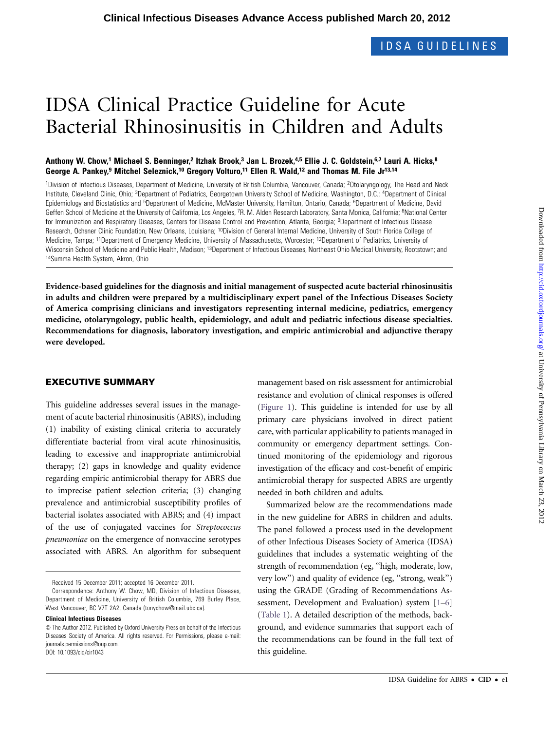# IDSA GUIDELINES

# IDSA Clinical Practice Guideline for Acute Bacterial Rhinosinusitis in Children and Adults

#### Anthony W. Chow,<sup>1</sup> Michael S. Benninger,<sup>2</sup> Itzhak Brook,<sup>3</sup> Jan L. Brozek,<sup>4,5</sup> Ellie J. C. Goldstein,<sup>6,7</sup> Lauri A. Hicks,<sup>8</sup> George A. Pankey,<sup>9</sup> Mitchel Seleznick,<sup>10</sup> Gregory Volturo,<sup>11</sup> Ellen R. Wald,<sup>12</sup> and Thomas M. File Jr<sup>13,14</sup>

<sup>1</sup>Division of Infectious Diseases, Department of Medicine, University of British Columbia, Vancouver, Canada; <sup>2</sup>Otolaryngology, The Head and Neck Institute, Cleveland Clinic, Ohio; <sup>3</sup>Department of Pediatrics, Georgetown University School of Medicine, Washington, D.C.; <sup>4</sup>Department of Clinical Epidemiology and Biostatistics and <sup>5</sup>Department of Medicine, McMaster University, Hamilton, Ontario, Canada; <sup>6</sup>Department of Medicine, David Geffen School of Medicine at the University of California, Los Angeles, <sup>7</sup>R. M. Alden Research Laboratory, Santa Monica, California; <sup>a</sup>National Center for Immunization and Respiratory Diseases, Centers for Disease Control and Prevention, Atlanta, Georgia; <sup>9</sup>Department of Infectious Disease Research, Ochsner Clinic Foundation, New Orleans, Louisiana; <sup>10</sup>Division of General Internal Medicine, University of South Florida College of Medicine, Tampa; 11Department of Emergency Medicine, University of Massachusetts, Worcester; 12Department of Pediatrics, University of Wisconsin School of Medicine and Public Health, Madison; <sup>13</sup>Department of Infectious Diseases, Northeast Ohio Medical University, Rootstown; and 14Summa Health System, Akron, Ohio

Evidence-based guidelines for the diagnosis and initial management of suspected acute bacterial rhinosinusitis in adults and children were prepared by a multidisciplinary expert panel of the Infectious Diseases Society of America comprising clinicians and investigators representing internal medicine, pediatrics, emergency medicine, otolaryngology, public health, epidemiology, and adult and pediatric infectious disease specialties. Recommendations for diagnosis, laboratory investigation, and empiric antimicrobial and adjunctive therapy were developed.

### EXECUTIVE SUMMARY

This guideline addresses several issues in the management of acute bacterial rhinosinusitis (ABRS), including (1) inability of existing clinical criteria to accurately differentiate bacterial from viral acute rhinosinusitis, leading to excessive and inappropriate antimicrobial therapy; (2) gaps in knowledge and quality evidence regarding empiric antimicrobial therapy for ABRS due to imprecise patient selection criteria; (3) changing prevalence and antimicrobial susceptibility profiles of bacterial isolates associated with ABRS; and (4) impact of the use of conjugated vaccines for Streptococcus pneumoniae on the emergence of nonvaccine serotypes associated with ABRS. An algorithm for subsequent

Received 15 December 2011; accepted 16 December 2011.

Correspondence: Anthony W. Chow, MD, Division of Infectious Diseases, Department of Medicine, University of British Columbia, 769 Burley Place, West Vancouver, BC V7T 2A2, Canada (tonychow@mail.ubc.ca).

Clinical Infectious Diseases

management based on risk assessment for antimicrobial resistance and evolution of clinical responses is offered ([Figure 1](#page-1-0)). This guideline is intended for use by all primary care physicians involved in direct patient care, with particular applicability to patients managed in community or emergency department settings. Continued monitoring of the epidemiology and rigorous investigation of the efficacy and cost-benefit of empiric antimicrobial therapy for suspected ABRS are urgently needed in both children and adults.

Summarized below are the recommendations made in the new guideline for ABRS in children and adults. The panel followed a process used in the development of other Infectious Diseases Society of America (IDSA) guidelines that includes a systematic weighting of the strength of recommendation (eg, ''high, moderate, low, very low'') and quality of evidence (eg, ''strong, weak'') using the GRADE (Grading of Recommendations Assessment, Development and Evaluation) system [\[1–6\]](#page-35-0) ([Table 1\)](#page-4-0). A detailed description of the methods, background, and evidence summaries that support each of the recommendations can be found in the full text of this guideline.

The Author 2012. Published by Oxford University Press on behalf of the Infectious Diseases Society of America. All rights reserved. For Permissions, please e-mail: journals.permissions@oup.com. DOI: 10.1093/cid/cir1043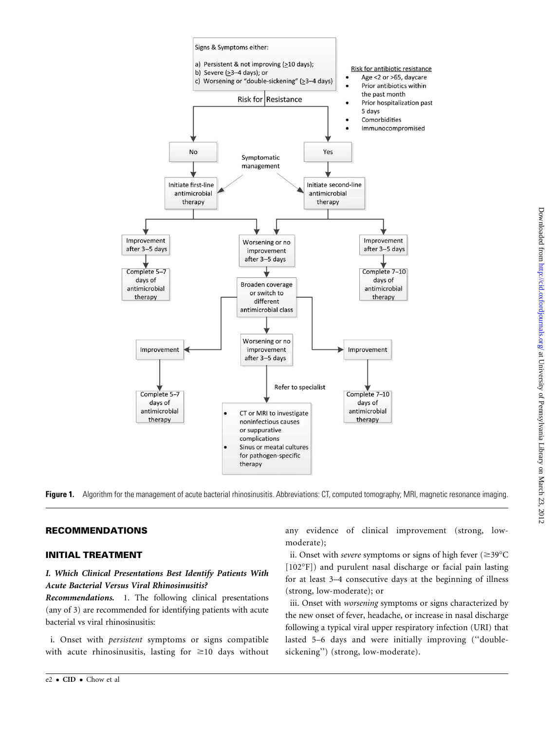<span id="page-1-0"></span>

Figure 1. Algorithm for the management of acute bacterial rhinosinusitis. Abbreviations: CT, computed tomography; MRI, magnetic resonance imaging.

# RECOMMENDATIONS

### INITIAL TREATMENT

# I. Which Clinical Presentations Best Identify Patients With Acute Bacterial Versus Viral Rhinosinusitis?

Recommendations. 1. The following clinical presentations (any of 3) are recommended for identifying patients with acute bacterial vs viral rhinosinusitis:

i. Onset with persistent symptoms or signs compatible with acute rhinosinusitis, lasting for  $\geq 10$  days without any evidence of clinical improvement (strong, lowmoderate);

ii. Onset with *severe* symptoms or signs of high fever ( $\geq$ 39°C [102°F]) and purulent nasal discharge or facial pain lasting for at least 3–4 consecutive days at the beginning of illness (strong, low-moderate); or

iii. Onset with worsening symptoms or signs characterized by the new onset of fever, headache, or increase in nasal discharge following a typical viral upper respiratory infection (URI) that lasted 5–6 days and were initially improving (''doublesickening") (strong, low-moderate).

Downloaded from <http://cid.oxfordjournals.org/> at University of Pennsylvania Library on March 23, 2012

Downloaded from http://cid.oxfordjournals.org/ at University of Pennsylvania Library on March 23, 2012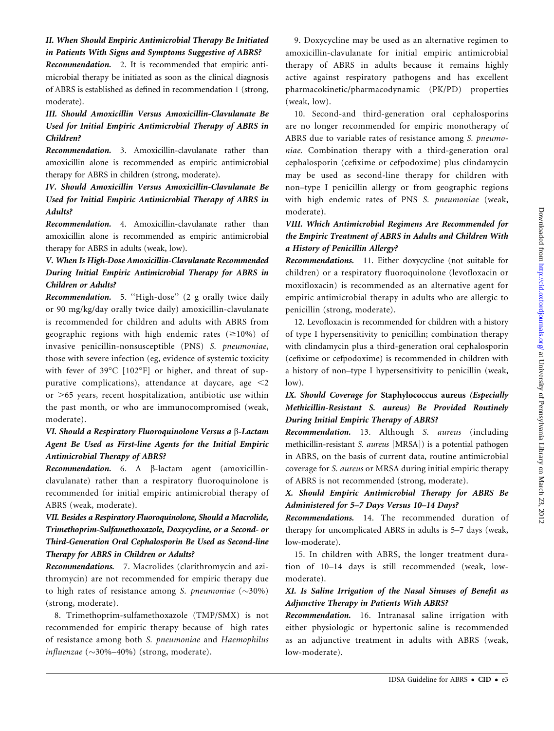# II. When Should Empiric Antimicrobial Therapy Be Initiated in Patients With Signs and Symptoms Suggestive of ABRS?

Recommendation. 2. It is recommended that empiric antimicrobial therapy be initiated as soon as the clinical diagnosis of ABRS is established as defined in recommendation 1 (strong, moderate).

# III. Should Amoxicillin Versus Amoxicillin-Clavulanate Be Used for Initial Empiric Antimicrobial Therapy of ABRS in Children?

Recommendation. 3. Amoxicillin-clavulanate rather than amoxicillin alone is recommended as empiric antimicrobial therapy for ABRS in children (strong, moderate).

# IV. Should Amoxicillin Versus Amoxicillin-Clavulanate Be Used for Initial Empiric Antimicrobial Therapy of ABRS in Adults?

Recommendation. 4. Amoxicillin-clavulanate rather than amoxicillin alone is recommended as empiric antimicrobial therapy for ABRS in adults (weak, low).

# V. When Is High-Dose Amoxicillin-Clavulanate Recommended During Initial Empiric Antimicrobial Therapy for ABRS in Children or Adults?

Recommendation. 5. "High-dose" (2 g orally twice daily or 90 mg/kg/day orally twice daily) amoxicillin-clavulanate is recommended for children and adults with ABRS from geographic regions with high endemic rates  $(\geq 10\%)$  of invasive penicillin-nonsusceptible (PNS) S. pneumoniae, those with severe infection (eg, evidence of systemic toxicity with fever of 39°C [102°F] or higher, and threat of suppurative complications), attendance at daycare, age  $\leq 2$ or  $>65$  years, recent hospitalization, antibiotic use within the past month, or who are immunocompromised (weak, moderate).

# VI. Should a Respiratory Fluoroquinolone Versus a  $\beta$ -Lactam Agent Be Used as First-line Agents for the Initial Empiric Antimicrobial Therapy of ABRS?

Recommendation. 6. A  $\beta$ -lactam agent (amoxicillinclavulanate) rather than a respiratory fluoroquinolone is recommended for initial empiric antimicrobial therapy of ABRS (weak, moderate).

# VII. Besides a Respiratory Fluoroquinolone, Should a Macrolide, Trimethoprim-Sulfamethoxazole, Doxycycline, or a Second- or Third-Generation Oral Cephalosporin Be Used as Second-line Therapy for ABRS in Children or Adults?

Recommendations. 7. Macrolides (clarithromycin and azithromycin) are not recommended for empiric therapy due to high rates of resistance among S. pneumoniae  $(\sim 30\%)$ (strong, moderate).

8. Trimethoprim-sulfamethoxazole (TMP/SMX) is not recommended for empiric therapy because of high rates of resistance among both S. pneumoniae and Haemophilus influenzae ( $\sim$ 30%–40%) (strong, moderate).

9. Doxycycline may be used as an alternative regimen to amoxicillin-clavulanate for initial empiric antimicrobial therapy of ABRS in adults because it remains highly active against respiratory pathogens and has excellent pharmacokinetic/pharmacodynamic (PK/PD) properties (weak, low).

10. Second-and third-generation oral cephalosporins are no longer recommended for empiric monotherapy of ABRS due to variable rates of resistance among S. pneumoniae. Combination therapy with a third-generation oral cephalosporin (cefixime or cefpodoxime) plus clindamycin may be used as second-line therapy for children with non–type I penicillin allergy or from geographic regions with high endemic rates of PNS S. pneumoniae (weak, moderate).

# VIII. Which Antimicrobial Regimens Are Recommended for the Empiric Treatment of ABRS in Adults and Children With a History of Penicillin Allergy?

Recommendations. 11. Either doxycycline (not suitable for children) or a respiratory fluoroquinolone (levofloxacin or moxifloxacin) is recommended as an alternative agent for empiric antimicrobial therapy in adults who are allergic to penicillin (strong, moderate).

12. Levofloxacin is recommended for children with a history of type I hypersensitivity to penicillin; combination therapy with clindamycin plus a third-generation oral cephalosporin (cefixime or cefpodoxime) is recommended in children with a history of non–type I hypersensitivity to penicillin (weak, low).

# IX. Should Coverage for Staphylococcus aureus (Especially Methicillin-Resistant S. aureus) Be Provided Routinely During Initial Empiric Therapy of ABRS?

Recommendation. 13. Although S. aureus (including methicillin-resistant S. aureus [MRSA]) is a potential pathogen in ABRS, on the basis of current data, routine antimicrobial coverage for S. aureus or MRSA during initial empiric therapy of ABRS is not recommended (strong, moderate).

# X. Should Empiric Antimicrobial Therapy for ABRS Be Administered for 5–7 Days Versus 10–14 Days?

Recommendations. 14. The recommended duration of therapy for uncomplicated ABRS in adults is 5–7 days (weak, low-moderate).

15. In children with ABRS, the longer treatment duration of 10–14 days is still recommended (weak, lowmoderate).

# XI. Is Saline Irrigation of the Nasal Sinuses of Benefit as Adjunctive Therapy in Patients With ABRS?

Recommendation. 16. Intranasal saline irrigation with either physiologic or hypertonic saline is recommended as an adjunctive treatment in adults with ABRS (weak, low-moderate).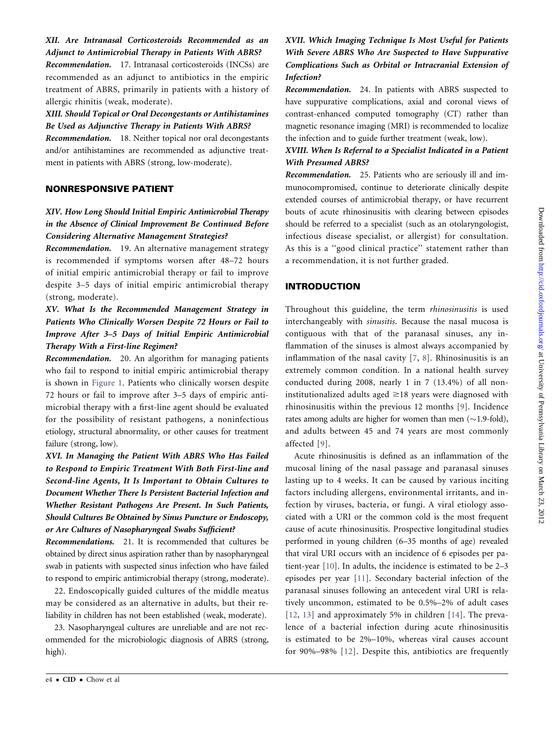# XII. Are Intranasal Corticosteroids Recommended as an Adjunct to Antimicrobial Therapy in Patients With ABRS?

Recommendation. 17. Intranasal corticosteroids (INCSs) are recommended as an adjunct to antibiotics in the empiric treatment of ABRS, primarily in patients with a history of allergic rhinitis (weak, moderate).

### XIII. Should Topical or Oral Decongestants or Antihistamines Be Used as Adjunctive Therapy in Patients With ABRS?

Recommendation. 18. Neither topical nor oral decongestants and/or antihistamines are recommended as adjunctive treatment in patients with ABRS (strong, low-moderate).

# NONRESPONSIVE PATIENT

# XIV. How Long Should Initial Empiric Antimicrobial Therapy in the Absence of Clinical Improvement Be Continued Before Considering Alternative Management Strategies?

Recommendation. 19. An alternative management strategy is recommended if symptoms worsen after 48–72 hours of initial empiric antimicrobial therapy or fail to improve despite 3–5 days of initial empiric antimicrobial therapy (strong, moderate).

# XV. What Is the Recommended Management Strategy in Patients Who Clinically Worsen Despite 72 Hours or Fail to Improve After 3–5 Days of Initial Empiric Antimicrobial Therapy With a First-line Regimen?

Recommendation. 20. An algorithm for managing patients who fail to respond to initial empiric antimicrobial therapy is shown in [Figure 1](#page-1-0). Patients who clinically worsen despite 72 hours or fail to improve after 3–5 days of empiric antimicrobial therapy with a first-line agent should be evaluated for the possibility of resistant pathogens, a noninfectious etiology, structural abnormality, or other causes for treatment failure (strong, low).

XVI. In Managing the Patient With ABRS Who Has Failed to Respond to Empiric Treatment With Both First-line and Second-line Agents, It Is Important to Obtain Cultures to Document Whether There Is Persistent Bacterial Infection and Whether Resistant Pathogens Are Present. In Such Patients, Should Cultures Be Obtained by Sinus Puncture or Endoscopy, or Are Cultures of Nasopharyngeal Swabs Sufficient?

Recommendations. 21. It is recommended that cultures be obtained by direct sinus aspiration rather than by nasopharyngeal swab in patients with suspected sinus infection who have failed to respond to empiric antimicrobial therapy (strong, moderate).

22. Endoscopically guided cultures of the middle meatus may be considered as an alternative in adults, but their reliability in children has not been established (weak, moderate).

23. Nasopharyngeal cultures are unreliable and are not recommended for the microbiologic diagnosis of ABRS (strong, high).

# XVII. Which Imaging Technique Is Most Useful for Patients With Severe ABRS Who Are Suspected to Have Suppurative Complications Such as Orbital or Intracranial Extension of Infection?

Recommendation. 24. In patients with ABRS suspected to have suppurative complications, axial and coronal views of contrast-enhanced computed tomography (CT) rather than magnetic resonance imaging (MRI) is recommended to localize the infection and to guide further treatment (weak, low).

# XVIII. When Is Referral to a Specialist Indicated in a Patient With Presumed ABRS?

Recommendation. 25. Patients who are seriously ill and immunocompromised, continue to deteriorate clinically despite extended courses of antimicrobial therapy, or have recurrent bouts of acute rhinosinusitis with clearing between episodes should be referred to a specialist (such as an otolaryngologist, infectious disease specialist, or allergist) for consultation. As this is a ''good clinical practice'' statement rather than a recommendation, it is not further graded.

# INTRODUCTION

Throughout this guideline, the term rhinosinusitis is used interchangeably with sinusitis. Because the nasal mucosa is contiguous with that of the paranasal sinuses, any inflammation of the sinuses is almost always accompanied by inflammation of the nasal cavity [\[7](#page-35-0), [8\]](#page-35-0). Rhinosinusitis is an extremely common condition. In a national health survey conducted during 2008, nearly 1 in 7 (13.4%) of all noninstitutionalized adults aged  $\geq$ 18 years were diagnosed with rhinosinusitis within the previous 12 months [[9](#page-35-0)]. Incidence rates among adults are higher for women than men  $(\sim 1.9\text{-}fold)$ , and adults between 45 and 74 years are most commonly affected [[9](#page-35-0)].

Acute rhinosinusitis is defined as an inflammation of the mucosal lining of the nasal passage and paranasal sinuses lasting up to 4 weeks. It can be caused by various inciting factors including allergens, environmental irritants, and infection by viruses, bacteria, or fungi. A viral etiology associated with a URI or the common cold is the most frequent cause of acute rhinosinusitis. Prospective longitudinal studies performed in young children (6–35 months of age) revealed that viral URI occurs with an incidence of 6 episodes per patient-year [\[10](#page-35-0)]. In adults, the incidence is estimated to be 2–3 episodes per year [[11](#page-35-0)]. Secondary bacterial infection of the paranasal sinuses following an antecedent viral URI is relatively uncommon, estimated to be 0.5%–2% of adult cases [[12,](#page-35-0) [13\]](#page-35-0) and approximately 5% in children [[14\]](#page-35-0). The prevalence of a bacterial infection during acute rhinosinusitis is estimated to be 2%–10%, whereas viral causes account for 90%–98% [[12](#page-35-0)]. Despite this, antibiotics are frequently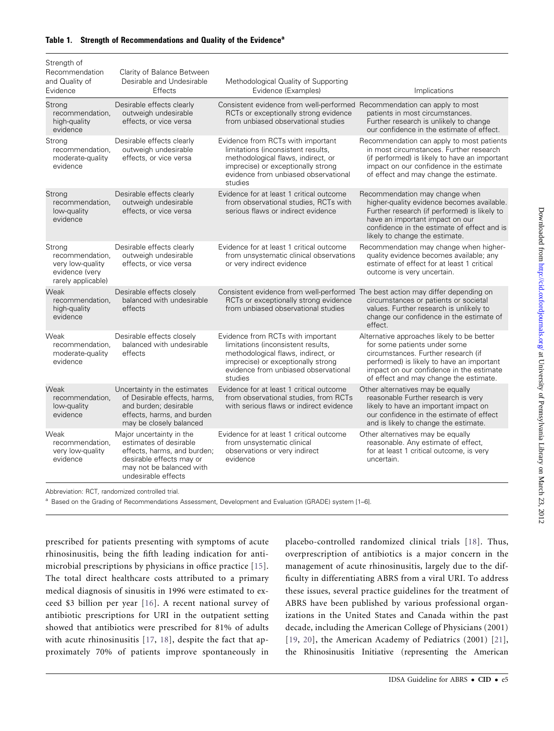<span id="page-4-0"></span>

| Strength of<br>Recommendation<br>and Quality of<br>Evidence                           | Clarity of Balance Between<br>Desirable and Undesirable<br>Effects                                                                                               | Methodological Quality of Supporting<br>Evidence (Examples)                                                                                                                                            | Implications                                                                                                                                                                                                                                         |
|---------------------------------------------------------------------------------------|------------------------------------------------------------------------------------------------------------------------------------------------------------------|--------------------------------------------------------------------------------------------------------------------------------------------------------------------------------------------------------|------------------------------------------------------------------------------------------------------------------------------------------------------------------------------------------------------------------------------------------------------|
| Strong<br>recommendation,<br>high-quality<br>evidence                                 | Desirable effects clearly<br>outweigh undesirable<br>effects, or vice versa                                                                                      | Consistent evidence from well-performed Recommendation can apply to most<br>RCTs or exceptionally strong evidence<br>from unbiased observational studies                                               | patients in most circumstances.<br>Further research is unlikely to change<br>our confidence in the estimate of effect.                                                                                                                               |
| Strong<br>recommendation,<br>moderate-quality<br>evidence                             | Desirable effects clearly<br>outweigh undesirable<br>effects, or vice versa                                                                                      | Evidence from RCTs with important<br>limitations (inconsistent results,<br>methodological flaws, indirect, or<br>imprecise) or exceptionally strong<br>evidence from unbiased observational<br>studies | Recommendation can apply to most patients<br>in most circumstances. Further research<br>(if performed) is likely to have an important<br>impact on our confidence in the estimate<br>of effect and may change the estimate.                          |
| Strong<br>recommendation,<br>low-quality<br>evidence                                  | Desirable effects clearly<br>outweigh undesirable<br>effects, or vice versa                                                                                      | Evidence for at least 1 critical outcome<br>from observational studies. RCTs with<br>serious flaws or indirect evidence                                                                                | Recommendation may change when<br>higher-quality evidence becomes available.<br>Further research (if performed) is likely to<br>have an important impact on our<br>confidence in the estimate of effect and is<br>likely to change the estimate.     |
| Strong<br>recommendation,<br>very low-quality<br>evidence (very<br>rarely applicable) | Desirable effects clearly<br>outweigh undesirable<br>effects, or vice versa                                                                                      | Evidence for at least 1 critical outcome<br>from unsystematic clinical observations<br>or very indirect evidence                                                                                       | Recommendation may change when higher-<br>quality evidence becomes available; any<br>estimate of effect for at least 1 critical<br>outcome is very uncertain.                                                                                        |
| Weak<br>recommendation,<br>high-quality<br>evidence                                   | Desirable effects closely<br>balanced with undesirable<br>effects                                                                                                | Consistent evidence from well-performed The best action may differ depending on<br>RCTs or exceptionally strong evidence<br>from unbiased observational studies                                        | circumstances or patients or societal<br>values. Further research is unlikely to<br>change our confidence in the estimate of<br>effect.                                                                                                              |
| Weak<br>recommendation.<br>moderate-quality<br>evidence                               | Desirable effects closely<br>balanced with undesirable<br>effects                                                                                                | Evidence from RCTs with important<br>limitations (inconsistent results,<br>methodological flaws, indirect, or<br>imprecise) or exceptionally strong<br>evidence from unbiased observational<br>studies | Alternative approaches likely to be better<br>for some patients under some<br>circumstances. Further research (if<br>performed) is likely to have an important<br>impact on our confidence in the estimate<br>of effect and may change the estimate. |
| Weak<br>recommendation,<br>low-quality<br>evidence                                    | Uncertainty in the estimates<br>of Desirable effects, harms,<br>and burden; desirable<br>effects, harms, and burden<br>may be closely balanced                   | Evidence for at least 1 critical outcome<br>from observational studies, from RCTs<br>with serious flaws or indirect evidence                                                                           | Other alternatives may be equally<br>reasonable Further research is very<br>likely to have an important impact on<br>our confidence in the estimate of effect<br>and is likely to change the estimate.                                               |
| Weak<br>recommendation,<br>very low-quality<br>evidence                               | Major uncertainty in the<br>estimates of desirable<br>effects, harms, and burden;<br>desirable effects may or<br>may not be balanced with<br>undesirable effects | Evidence for at least 1 critical outcome<br>from unsystematic clinical<br>observations or very indirect<br>evidence                                                                                    | Other alternatives may be equally<br>reasonable. Any estimate of effect,<br>for at least 1 critical outcome, is very<br>uncertain.                                                                                                                   |

Abbreviation: RCT, randomized controlled trial.

a Based on the Grading of Recommendations Assessment, Development and Evaluation (GRADE) system [1-6].

prescribed for patients presenting with symptoms of acute rhinosinusitis, being the fifth leading indication for antimicrobial prescriptions by physicians in office practice [[15](#page-35-0)]. The total direct healthcare costs attributed to a primary medical diagnosis of sinusitis in 1996 were estimated to exceed \$3 billion per year [\[16\]](#page-35-0). A recent national survey of antibiotic prescriptions for URI in the outpatient setting showed that antibiotics were prescribed for 81% of adults with acute rhinosinusitis [\[17,](#page-35-0) [18\]](#page-35-0), despite the fact that approximately 70% of patients improve spontaneously in placebo-controlled randomized clinical trials [[18](#page-35-0)]. Thus, overprescription of antibiotics is a major concern in the management of acute rhinosinusitis, largely due to the difficulty in differentiating ABRS from a viral URI. To address these issues, several practice guidelines for the treatment of ABRS have been published by various professional organizations in the United States and Canada within the past decade, including the American College of Physicians (2001) [[19](#page-35-0), [20\]](#page-35-0), the American Academy of Pediatrics (2001) [\[21](#page-35-0)], the Rhinosinusitis Initiative (representing the American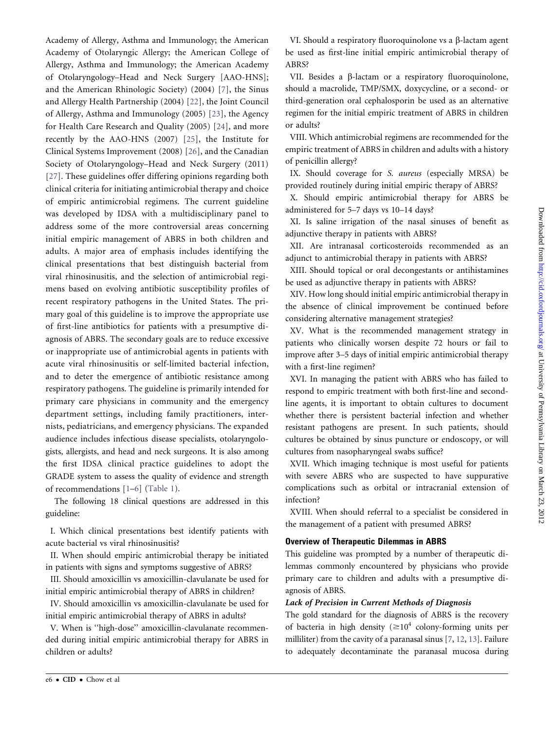Academy of Allergy, Asthma and Immunology; the American Academy of Otolaryngic Allergy; the American College of Allergy, Asthma and Immunology; the American Academy of Otolaryngology–Head and Neck Surgery [AAO-HNS]; and the American Rhinologic Society) (2004) [\[7\]](#page-35-0), the Sinus and Allergy Health Partnership (2004) [[22\]](#page-35-0), the Joint Council of Allergy, Asthma and Immunology (2005) [\[23](#page-35-0)], the Agency for Health Care Research and Quality (2005) [\[24](#page-35-0)], and more recently by the AAO-HNS (2007) [[25](#page-35-0)], the Institute for Clinical Systems Improvement (2008) [[26](#page-35-0)], and the Canadian Society of Otolaryngology–Head and Neck Surgery (2011) [[27\]](#page-35-0). These guidelines offer differing opinions regarding both clinical criteria for initiating antimicrobial therapy and choice of empiric antimicrobial regimens. The current guideline was developed by IDSA with a multidisciplinary panel to address some of the more controversial areas concerning initial empiric management of ABRS in both children and adults. A major area of emphasis includes identifying the clinical presentations that best distinguish bacterial from viral rhinosinusitis, and the selection of antimicrobial regimens based on evolving antibiotic susceptibility profiles of recent respiratory pathogens in the United States. The primary goal of this guideline is to improve the appropriate use of first-line antibiotics for patients with a presumptive diagnosis of ABRS. The secondary goals are to reduce excessive or inappropriate use of antimicrobial agents in patients with acute viral rhinosinusitis or self-limited bacterial infection, and to deter the emergence of antibiotic resistance among respiratory pathogens. The guideline is primarily intended for primary care physicians in community and the emergency department settings, including family practitioners, internists, pediatricians, and emergency physicians. The expanded audience includes infectious disease specialists, otolaryngologists, allergists, and head and neck surgeons. It is also among the first IDSA clinical practice guidelines to adopt the GRADE system to assess the quality of evidence and strength of recommendations [[1–6\]](#page-35-0) ([Table 1](#page-4-0)).

The following 18 clinical questions are addressed in this guideline:

I. Which clinical presentations best identify patients with acute bacterial vs viral rhinosinusitis?

II. When should empiric antimicrobial therapy be initiated in patients with signs and symptoms suggestive of ABRS?

III. Should amoxicillin vs amoxicillin-clavulanate be used for initial empiric antimicrobial therapy of ABRS in children?

IV. Should amoxicillin vs amoxicillin-clavulanate be used for initial empiric antimicrobial therapy of ABRS in adults?

V. When is ''high-dose'' amoxicillin-clavulanate recommended during initial empiric antimicrobial therapy for ABRS in children or adults?

VI. Should a respiratory fluoroquinolone vs a  $\beta$ -lactam agent be used as first-line initial empiric antimicrobial therapy of ABRS?

VII. Besides a b-lactam or a respiratory fluoroquinolone, should a macrolide, TMP/SMX, doxycycline, or a second- or third-generation oral cephalosporin be used as an alternative regimen for the initial empiric treatment of ABRS in children or adults?

VIII. Which antimicrobial regimens are recommended for the empiric treatment of ABRS in children and adults with a history of penicillin allergy?

IX. Should coverage for S. aureus (especially MRSA) be provided routinely during initial empiric therapy of ABRS?

X. Should empiric antimicrobial therapy for ABRS be administered for 5–7 days vs 10–14 days?

XI. Is saline irrigation of the nasal sinuses of benefit as adjunctive therapy in patients with ABRS?

XII. Are intranasal corticosteroids recommended as an adjunct to antimicrobial therapy in patients with ABRS?

XIII. Should topical or oral decongestants or antihistamines be used as adjunctive therapy in patients with ABRS?

XIV. How long should initial empiric antimicrobial therapy in the absence of clinical improvement be continued before considering alternative management strategies?

XV. What is the recommended management strategy in patients who clinically worsen despite 72 hours or fail to improve after 3–5 days of initial empiric antimicrobial therapy with a first-line regimen?

XVI. In managing the patient with ABRS who has failed to respond to empiric treatment with both first-line and secondline agents, it is important to obtain cultures to document whether there is persistent bacterial infection and whether resistant pathogens are present. In such patients, should cultures be obtained by sinus puncture or endoscopy, or will cultures from nasopharyngeal swabs suffice?

XVII. Which imaging technique is most useful for patients with severe ABRS who are suspected to have suppurative complications such as orbital or intracranial extension of infection?

XVIII. When should referral to a specialist be considered in the management of a patient with presumed ABRS?

### Overview of Therapeutic Dilemmas in ABRS

This guideline was prompted by a number of therapeutic dilemmas commonly encountered by physicians who provide primary care to children and adults with a presumptive diagnosis of ABRS.

### Lack of Precision in Current Methods of Diagnosis

The gold standard for the diagnosis of ABRS is the recovery of bacteria in high density ( $\geq 10^4$  colony-forming units per milliliter) from the cavity of a paranasal sinus [\[7,](#page-35-0) [12](#page-35-0), [13](#page-35-0)]. Failure to adequately decontaminate the paranasal mucosa during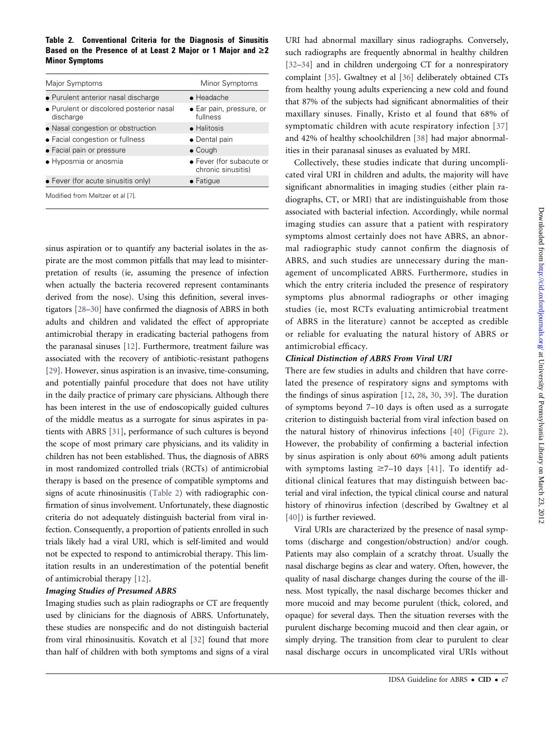<span id="page-6-0"></span>Table 2. Conventional Criteria for the Diagnosis of Sinusitis Based on the Presence of at Least 2 Major or 1 Major and ≥2 Minor Symptoms

| Major Symptoms                                        | Minor Symptoms                                 |
|-------------------------------------------------------|------------------------------------------------|
| • Purulent anterior nasal discharge                   | $\bullet$ Headache                             |
| • Purulent or discolored posterior nasal<br>discharge | • Ear pain, pressure, or<br>fullness           |
| • Nasal congestion or obstruction                     | $\bullet$ Halitosis                            |
| • Facial congestion or fullness                       | • Dental pain                                  |
| • Facial pain or pressure                             | $\bullet$ Cough                                |
| • Hyposmia or anosmia                                 | • Fever (for subacute or<br>chronic sinusitis) |
| • Fever (for acute sinusitis only)                    | $\bullet$ Fatique                              |
| Modified from Meltzer et al [7].                      |                                                |

sinus aspiration or to quantify any bacterial isolates in the aspirate are the most common pitfalls that may lead to misinterpretation of results (ie, assuming the presence of infection when actually the bacteria recovered represent contaminants derived from the nose). Using this definition, several investigators [\[28](#page-35-0)–[30\]](#page-35-0) have confirmed the diagnosis of ABRS in both adults and children and validated the effect of appropriate antimicrobial therapy in eradicating bacterial pathogens from the paranasal sinuses [[12\]](#page-35-0). Furthermore, treatment failure was associated with the recovery of antibiotic-resistant pathogens [\[29](#page-35-0)]. However, sinus aspiration is an invasive, time-consuming, and potentially painful procedure that does not have utility in the daily practice of primary care physicians. Although there has been interest in the use of endoscopically guided cultures of the middle meatus as a surrogate for sinus aspirates in patients with ABRS [\[31](#page-35-0)], performance of such cultures is beyond the scope of most primary care physicians, and its validity in children has not been established. Thus, the diagnosis of ABRS in most randomized controlled trials (RCTs) of antimicrobial therapy is based on the presence of compatible symptoms and signs of acute rhinosinusitis (Table 2) with radiographic confirmation of sinus involvement. Unfortunately, these diagnostic criteria do not adequately distinguish bacterial from viral infection. Consequently, a proportion of patients enrolled in such trials likely had a viral URI, which is self-limited and would not be expected to respond to antimicrobial therapy. This limitation results in an underestimation of the potential benefit of antimicrobial therapy [\[12](#page-35-0)].

### Imaging Studies of Presumed ABRS

Imaging studies such as plain radiographs or CT are frequently used by clinicians for the diagnosis of ABRS. Unfortunately, these studies are nonspecific and do not distinguish bacterial from viral rhinosinusitis. Kovatch et al [\[32](#page-35-0)] found that more than half of children with both symptoms and signs of a viral

URI had abnormal maxillary sinus radiographs. Conversely, such radiographs are frequently abnormal in healthy children [\[32](#page-35-0)-34] and in children undergoing CT for a nonrespiratory complaint [\[35\]](#page-36-0). Gwaltney et al [\[36](#page-36-0)] deliberately obtained CTs from healthy young adults experiencing a new cold and found that 87% of the subjects had significant abnormalities of their maxillary sinuses. Finally, Kristo et al found that 68% of symptomatic children with acute respiratory infection [[37\]](#page-36-0) and 42% of healthy schoolchildren [[38\]](#page-36-0) had major abnormalities in their paranasal sinuses as evaluated by MRI.

Collectively, these studies indicate that during uncomplicated viral URI in children and adults, the majority will have significant abnormalities in imaging studies (either plain radiographs, CT, or MRI) that are indistinguishable from those associated with bacterial infection. Accordingly, while normal imaging studies can assure that a patient with respiratory symptoms almost certainly does not have ABRS, an abnormal radiographic study cannot confirm the diagnosis of ABRS, and such studies are unnecessary during the management of uncomplicated ABRS. Furthermore, studies in which the entry criteria included the presence of respiratory symptoms plus abnormal radiographs or other imaging studies (ie, most RCTs evaluating antimicrobial treatment of ABRS in the literature) cannot be accepted as credible or reliable for evaluating the natural history of ABRS or antimicrobial efficacy.

#### Clinical Distinction of ABRS From Viral URI

There are few studies in adults and children that have correlated the presence of respiratory signs and symptoms with the findings of sinus aspiration [[12](#page-35-0), [28](#page-35-0), [30,](#page-35-0) [39](#page-36-0)]. The duration of symptoms beyond 7–10 days is often used as a surrogate criterion to distinguish bacterial from viral infection based on the natural history of rhinovirus infections [[40\]](#page-36-0) [\(Figure 2](#page-7-0)). However, the probability of confirming a bacterial infection by sinus aspiration is only about 60% among adult patients with symptoms lasting  $\geq 7-10$  days [\[41\]](#page-36-0). To identify additional clinical features that may distinguish between bacterial and viral infection, the typical clinical course and natural history of rhinovirus infection (described by Gwaltney et al [[40\]](#page-36-0)) is further reviewed.

Viral URIs are characterized by the presence of nasal symptoms (discharge and congestion/obstruction) and/or cough. Patients may also complain of a scratchy throat. Usually the nasal discharge begins as clear and watery. Often, however, the quality of nasal discharge changes during the course of the illness. Most typically, the nasal discharge becomes thicker and more mucoid and may become purulent (thick, colored, and opaque) for several days. Then the situation reverses with the purulent discharge becoming mucoid and then clear again, or simply drying. The transition from clear to purulent to clear nasal discharge occurs in uncomplicated viral URIs without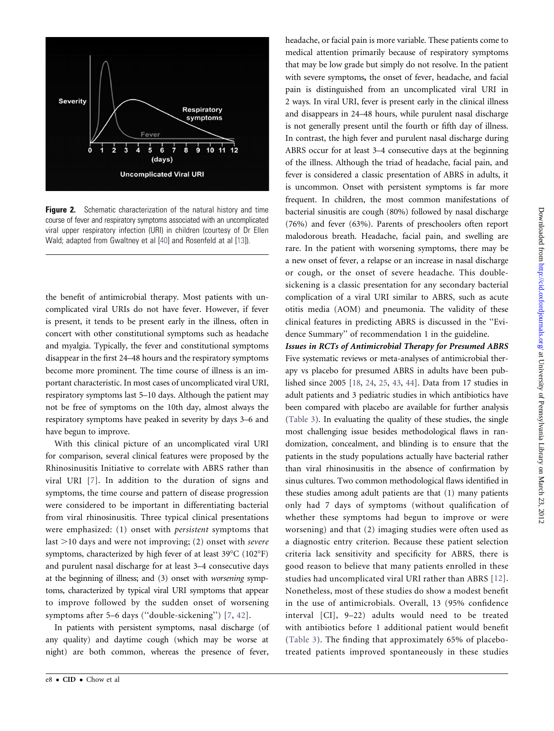<span id="page-7-0"></span>

**Figure 2.** Schematic characterization of the natural history and time course of fever and respiratory symptoms associated with an uncomplicated viral upper respiratory infection (URI) in children (courtesy of Dr Ellen Wald; adapted from Gwaltney et al [[40\]](#page-36-0) and Rosenfeld at al [\[13](#page-35-0)]).

the benefit of antimicrobial therapy. Most patients with uncomplicated viral URIs do not have fever. However, if fever is present, it tends to be present early in the illness, often in concert with other constitutional symptoms such as headache and myalgia. Typically, the fever and constitutional symptoms disappear in the first 24–48 hours and the respiratory symptoms become more prominent. The time course of illness is an important characteristic. In most cases of uncomplicated viral URI, respiratory symptoms last 5–10 days. Although the patient may not be free of symptoms on the 10th day, almost always the respiratory symptoms have peaked in severity by days 3–6 and have begun to improve.

With this clinical picture of an uncomplicated viral URI for comparison, several clinical features were proposed by the Rhinosinusitis Initiative to correlate with ABRS rather than viral URI [[7\]](#page-35-0). In addition to the duration of signs and symptoms, the time course and pattern of disease progression were considered to be important in differentiating bacterial from viral rhinosinusitis. Three typical clinical presentations were emphasized: (1) onset with persistent symptoms that last  $>$ 10 days and were not improving; (2) onset with severe symptoms, characterized by high fever of at least 39°C (102°F) and purulent nasal discharge for at least 3–4 consecutive days at the beginning of illness; and (3) onset with worsening symptoms, characterized by typical viral URI symptoms that appear to improve followed by the sudden onset of worsening symptoms after 5–6 days (''double-sickening'') [[7,](#page-35-0) [42](#page-36-0)].

In patients with persistent symptoms, nasal discharge (of any quality) and daytime cough (which may be worse at night) are both common, whereas the presence of fever,

headache, or facial pain is more variable. These patients come to medical attention primarily because of respiratory symptoms that may be low grade but simply do not resolve. In the patient with severe symptoms, the onset of fever, headache, and facial pain is distinguished from an uncomplicated viral URI in 2 ways. In viral URI, fever is present early in the clinical illness and disappears in 24–48 hours, while purulent nasal discharge is not generally present until the fourth or fifth day of illness. In contrast, the high fever and purulent nasal discharge during ABRS occur for at least 3–4 consecutive days at the beginning of the illness. Although the triad of headache, facial pain, and fever is considered a classic presentation of ABRS in adults, it is uncommon. Onset with persistent symptoms is far more frequent. In children, the most common manifestations of bacterial sinusitis are cough (80%) followed by nasal discharge (76%) and fever (63%). Parents of preschoolers often report malodorous breath. Headache, facial pain, and swelling are rare. In the patient with worsening symptoms, there may be a new onset of fever, a relapse or an increase in nasal discharge or cough, or the onset of severe headache. This doublesickening is a classic presentation for any secondary bacterial complication of a viral URI similar to ABRS, such as acute otitis media (AOM) and pneumonia. The validity of these clinical features in predicting ABRS is discussed in the ''Evidence Summary'' of recommendation 1 in the guideline.

Issues in RCTs of Antimicrobial Therapy for Presumed ABRS Five systematic reviews or meta-analyses of antimicrobial therapy vs placebo for presumed ABRS in adults have been published since 2005 [[18](#page-35-0), [24,](#page-35-0) [25](#page-35-0), [43,](#page-36-0) [44](#page-36-0)]. Data from 17 studies in adult patients and 3 pediatric studies in which antibiotics have been compared with placebo are available for further analysis [\(Table 3\)](#page-8-0). In evaluating the quality of these studies, the single most challenging issue besides methodological flaws in randomization, concealment, and blinding is to ensure that the patients in the study populations actually have bacterial rather than viral rhinosinusitis in the absence of confirmation by sinus cultures. Two common methodological flaws identified in these studies among adult patients are that (1) many patients only had 7 days of symptoms (without qualification of whether these symptoms had begun to improve or were worsening) and that (2) imaging studies were often used as a diagnostic entry criterion. Because these patient selection criteria lack sensitivity and specificity for ABRS, there is good reason to believe that many patients enrolled in these studies had uncomplicated viral URI rather than ABRS [[12](#page-35-0)]. Nonetheless, most of these studies do show a modest benefit in the use of antimicrobials. Overall, 13 (95% confidence interval [CI], 9–22) adults would need to be treated with antibiotics before 1 additional patient would benefit ([Table 3\)](#page-8-0). The finding that approximately 65% of placebotreated patients improved spontaneously in these studies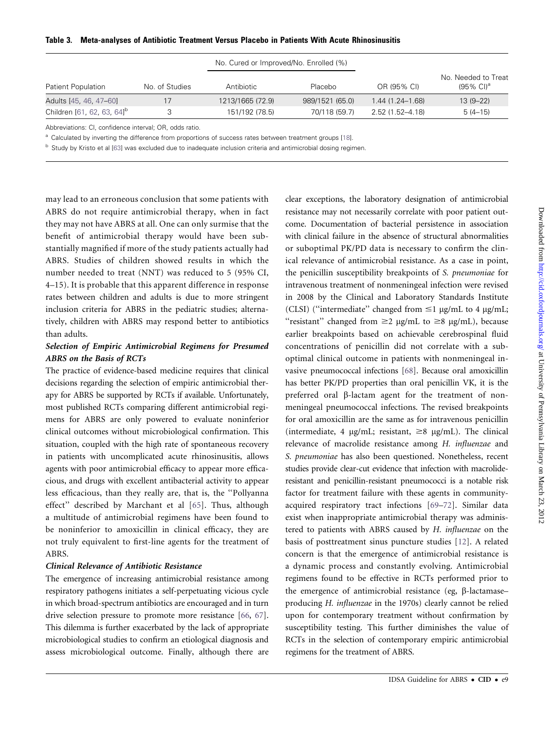<span id="page-8-0"></span>

|                                        |                | No. Cured or Improved/No. Enrolled (%) |                 |                     |                                              |
|----------------------------------------|----------------|----------------------------------------|-----------------|---------------------|----------------------------------------------|
| Patient Population                     | No. of Studies | Antibiotic                             | Placebo         | OR (95% CI)         | No. Needed to Treat<br>$(95\% \text{ Cl})^a$ |
| Adults [45, 46, 47-60]                 |                | 1213/1665 (72.9)                       | 989/1521 (65.0) | $1.44(1.24 - 1.68)$ | $13(9-22)$                                   |
| Children [61, 62, 63, 64] <sup>b</sup> |                | 151/192 (78.5)                         | 70/118 (59.7)   | 2.52 (1.52–4.18)    | $5(4-15)$                                    |

Abbreviations: CI, confidence interval; OR, odds ratio.

<sup>a</sup> Calculated by inverting the difference from proportions of success rates between treatment groups [\[18](#page-35-0)].

<sup>b</sup> Study by Kristo et al [[63\]](#page-36-0) was excluded due to inadequate inclusion criteria and antimicrobial dosing regimen.

may lead to an erroneous conclusion that some patients with ABRS do not require antimicrobial therapy, when in fact they may not have ABRS at all. One can only surmise that the benefit of antimicrobial therapy would have been substantially magnified if more of the study patients actually had ABRS. Studies of children showed results in which the number needed to treat (NNT) was reduced to 5 (95% CI, 4–15). It is probable that this apparent difference in response rates between children and adults is due to more stringent inclusion criteria for ABRS in the pediatric studies; alternatively, children with ABRS may respond better to antibiotics than adults.

# Selection of Empiric Antimicrobial Regimens for Presumed ABRS on the Basis of RCTs

The practice of evidence-based medicine requires that clinical decisions regarding the selection of empiric antimicrobial therapy for ABRS be supported by RCTs if available. Unfortunately, most published RCTs comparing different antimicrobial regimens for ABRS are only powered to evaluate noninferior clinical outcomes without microbiological confirmation. This situation, coupled with the high rate of spontaneous recovery in patients with uncomplicated acute rhinosinusitis, allows agents with poor antimicrobial efficacy to appear more efficacious, and drugs with excellent antibacterial activity to appear less efficacious, than they really are, that is, the ''Pollyanna effect'' described by Marchant et al [\[65\]](#page-36-0). Thus, although a multitude of antimicrobial regimens have been found to be noninferior to amoxicillin in clinical efficacy, they are not truly equivalent to first-line agents for the treatment of ABRS.

#### Clinical Relevance of Antibiotic Resistance

The emergence of increasing antimicrobial resistance among respiratory pathogens initiates a self-perpetuating vicious cycle in which broad-spectrum antibiotics are encouraged and in turn drive selection pressure to promote more resistance [\[66](#page-36-0), [67](#page-36-0)]. This dilemma is further exacerbated by the lack of appropriate microbiological studies to confirm an etiological diagnosis and assess microbiological outcome. Finally, although there are

clear exceptions, the laboratory designation of antimicrobial resistance may not necessarily correlate with poor patient outcome. Documentation of bacterial persistence in association with clinical failure in the absence of structural abnormalities or suboptimal PK/PD data is necessary to confirm the clinical relevance of antimicrobial resistance. As a case in point, the penicillin susceptibility breakpoints of S. pneumoniae for intravenous treatment of nonmeningeal infection were revised in 2008 by the Clinical and Laboratory Standards Institute (CLSI) ("intermediate" changed from  $\leq$ 1 µg/mL to 4 µg/mL; "resistant" changed from  $\geq$   $\mu$ g/mL to  $\geq$   $\mu$ g/mL), because earlier breakpoints based on achievable cerebrospinal fluid concentrations of penicillin did not correlate with a suboptimal clinical outcome in patients with nonmeningeal invasive pneumococcal infections [\[68\]](#page-36-0). Because oral amoxicillin has better PK/PD properties than oral penicillin VK, it is the preferred oral  $\beta$ -lactam agent for the treatment of nonmeningeal pneumococcal infections. The revised breakpoints for oral amoxicillin are the same as for intravenous penicillin (intermediate, 4  $\mu$ g/mL; resistant,  $\geq$ 8  $\mu$ g/mL). The clinical relevance of macrolide resistance among H. influenzae and S. pneumoniae has also been questioned. Nonetheless, recent studies provide clear-cut evidence that infection with macrolideresistant and penicillin-resistant pneumococci is a notable risk factor for treatment failure with these agents in communityacquired respiratory tract infections [\[69–72](#page-36-0)]. Similar data exist when inappropriate antimicrobial therapy was administered to patients with ABRS caused by H. influenzae on the basis of posttreatment sinus puncture studies [\[12](#page-35-0)]. A related concern is that the emergence of antimicrobial resistance is a dynamic process and constantly evolving. Antimicrobial regimens found to be effective in RCTs performed prior to the emergence of antimicrobial resistance (eg,  $\beta$ -lactamase– producing H. influenzae in the 1970s) clearly cannot be relied upon for contemporary treatment without confirmation by susceptibility testing. This further diminishes the value of RCTs in the selection of contemporary empiric antimicrobial

regimens for the treatment of ABRS.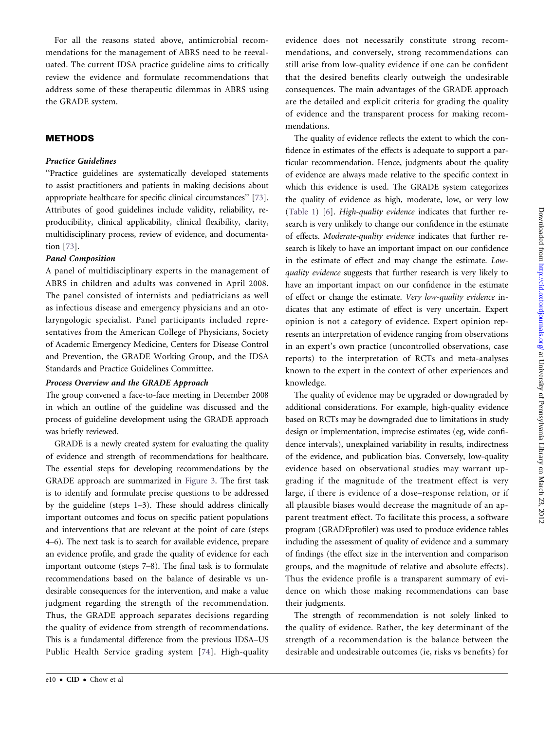For all the reasons stated above, antimicrobial recommendations for the management of ABRS need to be reevaluated. The current IDSA practice guideline aims to critically review the evidence and formulate recommendations that address some of these therapeutic dilemmas in ABRS using the GRADE system.

### METHODS

#### Practice Guidelines

''Practice guidelines are systematically developed statements to assist practitioners and patients in making decisions about appropriate healthcare for specific clinical circumstances'' [\[73](#page-36-0)]. Attributes of good guidelines include validity, reliability, reproducibility, clinical applicability, clinical flexibility, clarity, multidisciplinary process, review of evidence, and documentation [[73](#page-36-0)].

#### Panel Composition

A panel of multidisciplinary experts in the management of ABRS in children and adults was convened in April 2008. The panel consisted of internists and pediatricians as well as infectious disease and emergency physicians and an otolaryngologic specialist. Panel participants included representatives from the American College of Physicians, Society of Academic Emergency Medicine, Centers for Disease Control and Prevention, the GRADE Working Group, and the IDSA Standards and Practice Guidelines Committee.

#### Process Overview and the GRADE Approach

The group convened a face-to-face meeting in December 2008 in which an outline of the guideline was discussed and the process of guideline development using the GRADE approach was briefly reviewed.

GRADE is a newly created system for evaluating the quality of evidence and strength of recommendations for healthcare. The essential steps for developing recommendations by the GRADE approach are summarized in [Figure 3.](#page-10-0) The first task is to identify and formulate precise questions to be addressed by the guideline (steps 1–3). These should address clinically important outcomes and focus on specific patient populations and interventions that are relevant at the point of care (steps 4–6). The next task is to search for available evidence, prepare an evidence profile, and grade the quality of evidence for each important outcome (steps 7–8). The final task is to formulate recommendations based on the balance of desirable vs undesirable consequences for the intervention, and make a value judgment regarding the strength of the recommendation. Thus, the GRADE approach separates decisions regarding the quality of evidence from strength of recommendations. This is a fundamental difference from the previous IDSA–US Public Health Service grading system [[74\]](#page-36-0). High-quality evidence does not necessarily constitute strong recommendations, and conversely, strong recommendations can still arise from low-quality evidence if one can be confident that the desired benefits clearly outweigh the undesirable consequences. The main advantages of the GRADE approach are the detailed and explicit criteria for grading the quality of evidence and the transparent process for making recommendations.

The quality of evidence reflects the extent to which the confidence in estimates of the effects is adequate to support a particular recommendation. Hence, judgments about the quality of evidence are always made relative to the specific context in which this evidence is used. The GRADE system categorizes the quality of evidence as high, moderate, low, or very low [\(Table 1\)](#page-4-0) [\[6\]](#page-35-0). High-quality evidence indicates that further research is very unlikely to change our confidence in the estimate of effects. Moderate-quality evidence indicates that further research is likely to have an important impact on our confidence in the estimate of effect and may change the estimate. Lowquality evidence suggests that further research is very likely to have an important impact on our confidence in the estimate of effect or change the estimate. Very low-quality evidence indicates that any estimate of effect is very uncertain. Expert opinion is not a category of evidence. Expert opinion represents an interpretation of evidence ranging from observations in an expert's own practice (uncontrolled observations, case reports) to the interpretation of RCTs and meta-analyses known to the expert in the context of other experiences and knowledge.

The quality of evidence may be upgraded or downgraded by additional considerations. For example, high-quality evidence based on RCTs may be downgraded due to limitations in study design or implementation, imprecise estimates (eg, wide confidence intervals), unexplained variability in results, indirectness of the evidence, and publication bias. Conversely, low-quality evidence based on observational studies may warrant upgrading if the magnitude of the treatment effect is very large, if there is evidence of a dose–response relation, or if all plausible biases would decrease the magnitude of an apparent treatment effect. To facilitate this process, a software program (GRADEprofiler) was used to produce evidence tables including the assessment of quality of evidence and a summary of findings (the effect size in the intervention and comparison groups, and the magnitude of relative and absolute effects). Thus the evidence profile is a transparent summary of evidence on which those making recommendations can base their judgments.

The strength of recommendation is not solely linked to the quality of evidence. Rather, the key determinant of the strength of a recommendation is the balance between the desirable and undesirable outcomes (ie, risks vs benefits) for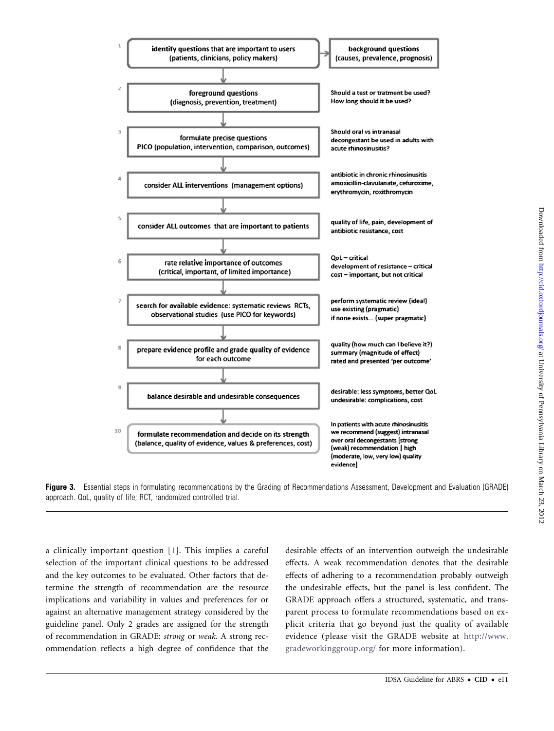<span id="page-10-0"></span>

Figure 3. Essential steps in formulating recommendations by the Grading of Recommendations Assessment, Development and Evaluation (GRADE) approach. QoL, quality of life; RCT, randomized controlled trial.

a clinically important question [[1](#page-35-0)]. This implies a careful selection of the important clinical questions to be addressed and the key outcomes to be evaluated. Other factors that determine the strength of recommendation are the resource implications and variability in values and preferences for or against an alternative management strategy considered by the guideline panel. Only 2 grades are assigned for the strength of recommendation in GRADE: strong or weak. A strong recommendation reflects a high degree of confidence that the

desirable effects of an intervention outweigh the undesirable effects. A weak recommendation denotes that the desirable effects of adhering to a recommendation probably outweigh the undesirable effects, but the panel is less confident. The GRADE approach offers a structured, systematic, and transparent process to formulate recommendations based on explicit criteria that go beyond just the quality of available evidence (please visit the GRADE website at [http://www.](http://www.gradeworkinggroup.org/) [gradeworkinggroup.org/](http://www.gradeworkinggroup.org/) for more information).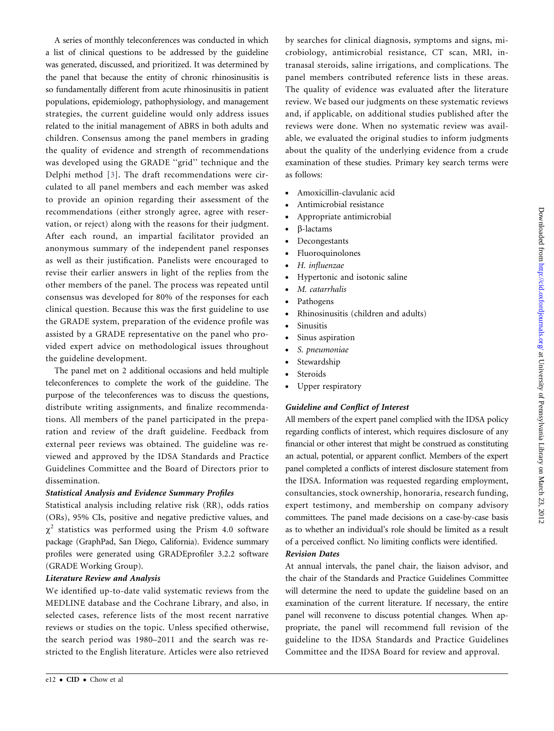A series of monthly teleconferences was conducted in which a list of clinical questions to be addressed by the guideline was generated, discussed, and prioritized. It was determined by the panel that because the entity of chronic rhinosinusitis is so fundamentally different from acute rhinosinusitis in patient populations, epidemiology, pathophysiology, and management strategies, the current guideline would only address issues related to the initial management of ABRS in both adults and children. Consensus among the panel members in grading the quality of evidence and strength of recommendations was developed using the GRADE ''grid'' technique and the Delphi method [\[3](#page-35-0)]. The draft recommendations were circulated to all panel members and each member was asked to provide an opinion regarding their assessment of the recommendations (either strongly agree, agree with reservation, or reject) along with the reasons for their judgment. After each round, an impartial facilitator provided an anonymous summary of the independent panel responses as well as their justification. Panelists were encouraged to revise their earlier answers in light of the replies from the other members of the panel. The process was repeated until consensus was developed for 80% of the responses for each clinical question. Because this was the first guideline to use the GRADE system, preparation of the evidence profile was assisted by a GRADE representative on the panel who provided expert advice on methodological issues throughout the guideline development.

The panel met on 2 additional occasions and held multiple teleconferences to complete the work of the guideline. The purpose of the teleconferences was to discuss the questions, distribute writing assignments, and finalize recommendations. All members of the panel participated in the preparation and review of the draft guideline. Feedback from external peer reviews was obtained. The guideline was reviewed and approved by the IDSA Standards and Practice Guidelines Committee and the Board of Directors prior to dissemination.

# Statistical Analysis and Evidence Summary Profiles

Statistical analysis including relative risk (RR), odds ratios (ORs), 95% CIs, positive and negative predictive values, and  $\chi^2$  statistics was performed using the Prism 4.0 software package (GraphPad, San Diego, California). Evidence summary profiles were generated using GRADEprofiler 3.2.2 software (GRADE Working Group).

### Literature Review and Analysis

We identified up-to-date valid systematic reviews from the MEDLINE database and the Cochrane Library, and also, in selected cases, reference lists of the most recent narrative reviews or studies on the topic. Unless specified otherwise, the search period was 1980–2011 and the search was restricted to the English literature. Articles were also retrieved by searches for clinical diagnosis, symptoms and signs, microbiology, antimicrobial resistance, CT scan, MRI, intranasal steroids, saline irrigations, and complications. The panel members contributed reference lists in these areas. The quality of evidence was evaluated after the literature review. We based our judgments on these systematic reviews and, if applicable, on additional studies published after the reviews were done. When no systematic review was available, we evaluated the original studies to inform judgments about the quality of the underlying evidence from a crude examination of these studies. Primary key search terms were as follows:

- Amoxicillin-clavulanic acid
- Antimicrobial resistance
- Appropriate antimicrobial
- $\beta$ -lactams
- Decongestants
- Fluoroquinolones
- $\bullet$  H. influenzae
- Hypertonic and isotonic saline
- M. catarrhalis
- Pathogens
- Rhinosinusitis (children and adults)
- Sinusitis
- Sinus aspiration
- S. pneumoniae
- Stewardship
- Steroids
- Upper respiratory

# Guideline and Conflict of Interest

All members of the expert panel complied with the IDSA policy regarding conflicts of interest, which requires disclosure of any financial or other interest that might be construed as constituting an actual, potential, or apparent conflict. Members of the expert panel completed a conflicts of interest disclosure statement from the IDSA. Information was requested regarding employment, consultancies, stock ownership, honoraria, research funding, expert testimony, and membership on company advisory committees. The panel made decisions on a case-by-case basis as to whether an individual's role should be limited as a result of a perceived conflict. No limiting conflicts were identified.

# Revision Dates

At annual intervals, the panel chair, the liaison advisor, and the chair of the Standards and Practice Guidelines Committee will determine the need to update the guideline based on an examination of the current literature. If necessary, the entire panel will reconvene to discuss potential changes. When appropriate, the panel will recommend full revision of the guideline to the IDSA Standards and Practice Guidelines Committee and the IDSA Board for review and approval.

Downloaded from <http://cid.oxfordjournals.org/> at University of Pennsylvania Library on March 23, 2012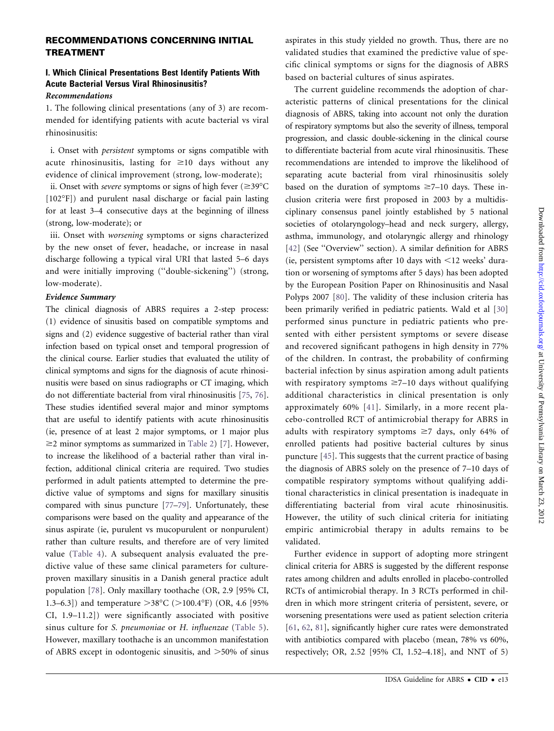# RECOMMENDATIONS CONCERNING INITIAL TREATMENT

# I. Which Clinical Presentations Best Identify Patients With Acute Bacterial Versus Viral Rhinosinusitis?

### Recommendations

1. The following clinical presentations (any of 3) are recommended for identifying patients with acute bacterial vs viral rhinosinusitis:

i. Onset with persistent symptoms or signs compatible with acute rhinosinusitis, lasting for  $\geq 10$  days without any evidence of clinical improvement (strong, low-moderate);

ii. Onset with *severe* symptoms or signs of high fever ( $\geq$ 39°C [102°F]) and purulent nasal discharge or facial pain lasting for at least 3–4 consecutive days at the beginning of illness (strong, low-moderate); or

iii. Onset with worsening symptoms or signs characterized by the new onset of fever, headache, or increase in nasal discharge following a typical viral URI that lasted 5–6 days and were initially improving (''double-sickening'') (strong, low-moderate).

### Evidence Summary

The clinical diagnosis of ABRS requires a 2-step process: (1) evidence of sinusitis based on compatible symptoms and signs and (2) evidence suggestive of bacterial rather than viral infection based on typical onset and temporal progression of the clinical course. Earlier studies that evaluated the utility of clinical symptoms and signs for the diagnosis of acute rhinosinusitis were based on sinus radiographs or CT imaging, which do not differentiate bacterial from viral rhinosinusitis [\[75](#page-37-0), [76](#page-37-0)]. These studies identified several major and minor symptoms that are useful to identify patients with acute rhinosinusitis (ie, presence of at least 2 major symptoms, or 1 major plus  $\geq$  2 minor symptoms as summarized in [Table 2](#page-6-0)) [\[7](#page-35-0)]. However, to increase the likelihood of a bacterial rather than viral infection, additional clinical criteria are required. Two studies performed in adult patients attempted to determine the predictive value of symptoms and signs for maxillary sinusitis compared with sinus puncture [\[77](#page-37-0)–[79\]](#page-37-0). Unfortunately, these comparisons were based on the quality and appearance of the sinus aspirate (ie, purulent vs mucopurulent or nonpurulent) rather than culture results, and therefore are of very limited value ([Table 4\)](#page-13-0). A subsequent analysis evaluated the predictive value of these same clinical parameters for cultureproven maxillary sinusitis in a Danish general practice adult population [[78\]](#page-37-0). Only maxillary toothache (OR, 2.9 [95% CI, 1.3–6.3]) and temperature  $>38^{\circ}$ C ( $>100.4^{\circ}$ F) (OR, 4.6 [95% CI, 1.9–11.2]) were significantly associated with positive sinus culture for S. pneumoniae or H. influenzae ([Table 5](#page-14-0)). However, maxillary toothache is an uncommon manifestation of ABRS except in odontogenic sinusitis, and  $>50\%$  of sinus

aspirates in this study yielded no growth. Thus, there are no validated studies that examined the predictive value of specific clinical symptoms or signs for the diagnosis of ABRS based on bacterial cultures of sinus aspirates.

The current guideline recommends the adoption of characteristic patterns of clinical presentations for the clinical diagnosis of ABRS, taking into account not only the duration of respiratory symptoms but also the severity of illness, temporal progression, and classic double-sickening in the clinical course to differentiate bacterial from acute viral rhinosinusitis. These recommendations are intended to improve the likelihood of separating acute bacterial from viral rhinosinusitis solely based on the duration of symptoms  $\geq 7-10$  days. These inclusion criteria were first proposed in 2003 by a multidisciplinary consensus panel jointly established by 5 national societies of otolaryngology–head and neck surgery, allergy, asthma, immunology, and otolaryngic allergy and rhinology [[42\]](#page-36-0) (See "Overview" section). A similar definition for ABRS (ie, persistent symptoms after 10 days with  $\leq$  12 weeks' duration or worsening of symptoms after 5 days) has been adopted by the European Position Paper on Rhinosinusitis and Nasal Polyps 2007 [\[80](#page-37-0)]. The validity of these inclusion criteria has been primarily verified in pediatric patients. Wald et al [\[30\]](#page-35-0) performed sinus puncture in pediatric patients who presented with either persistent symptoms or severe disease and recovered significant pathogens in high density in 77% of the children. In contrast, the probability of confirming bacterial infection by sinus aspiration among adult patients with respiratory symptoms  $\geq 7-10$  days without qualifying additional characteristics in clinical presentation is only approximately 60% [[41\]](#page-36-0). Similarly, in a more recent placebo-controlled RCT of antimicrobial therapy for ABRS in adults with respiratory symptoms  $\geq 7$  days, only 64% of enrolled patients had positive bacterial cultures by sinus puncture [[45\]](#page-36-0). This suggests that the current practice of basing the diagnosis of ABRS solely on the presence of 7–10 days of compatible respiratory symptoms without qualifying additional characteristics in clinical presentation is inadequate in differentiating bacterial from viral acute rhinosinusitis. However, the utility of such clinical criteria for initiating empiric antimicrobial therapy in adults remains to be validated.

Further evidence in support of adopting more stringent clinical criteria for ABRS is suggested by the different response rates among children and adults enrolled in placebo-controlled RCTs of antimicrobial therapy. In 3 RCTs performed in children in which more stringent criteria of persistent, severe, or worsening presentations were used as patient selection criteria [\[61,](#page-36-0) [62,](#page-36-0) [81](#page-37-0)], significantly higher cure rates were demonstrated with antibiotics compared with placebo (mean, 78% vs 60%, respectively; OR, 2.52 [95% CI, 1.52–4.18], and NNT of 5)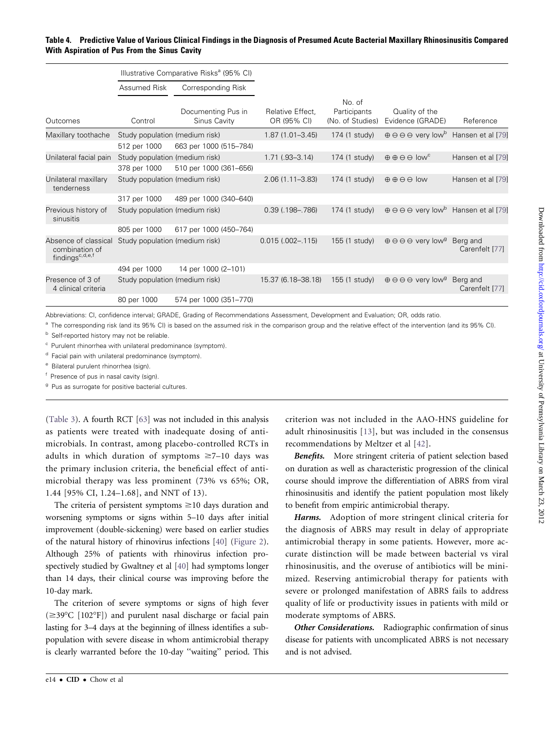#### <span id="page-13-0"></span>Table 4. Predictive Value of Various Clinical Findings in the Diagnosis of Presumed Acute Bacterial Maxillary Rhinosinusitis Compared With Aspiration of Pus From the Sinus Cavity

|                                                                       |                                | Illustrative Comparative Risks <sup>a</sup> (95% CI) |                                 |                                            |                                                                          |                            |
|-----------------------------------------------------------------------|--------------------------------|------------------------------------------------------|---------------------------------|--------------------------------------------|--------------------------------------------------------------------------|----------------------------|
|                                                                       | Assumed Risk                   | Corresponding Risk                                   |                                 |                                            |                                                                          |                            |
| Outcomes                                                              | Control                        | Documenting Pus in<br>Sinus Cavity                   | Relative Effect,<br>OR (95% CI) | No. of<br>Participants<br>(No. of Studies) | Quality of the<br>Evidence (GRADE)                                       | Reference                  |
| Maxillary toothache                                                   | Study population (medium risk) |                                                      | $1.87(1.01 - 3.45)$             | 174 (1 study)                              | $\oplus \ominus \ominus \ominus$ very low <sup>p</sup> Hansen et al [79] |                            |
|                                                                       | 512 per 1000                   | 663 per 1000 (515-784)                               |                                 |                                            |                                                                          |                            |
| Unilateral facial pain                                                | Study population (medium risk) |                                                      | $1.71(.93 - 3.14)$              | 174 (1 study)                              | $\oplus \oplus \ominus \ominus$ low <sup>c</sup>                         | Hansen et al [79]          |
|                                                                       | 378 per 1000                   | 510 per 1000 (361-656)                               |                                 |                                            |                                                                          |                            |
| Unilateral maxillary<br>tenderness                                    | Study population (medium risk) |                                                      | $2.06(1.11 - 3.83)$             | 174 (1 study)                              | $\oplus$ $\oplus$ $\ominus$ $\ominus$ low                                | Hansen et al [79]          |
|                                                                       | 317 per 1000                   | 489 per 1000 (340-640)                               |                                 |                                            |                                                                          |                            |
| Previous history of<br>sinusitis                                      | Study population (medium risk) |                                                      | $0.39$ (.198-.786)              | 174 (1 study)                              | $\oplus \ominus \ominus \ominus$ very low <sup>b</sup> Hansen et al [79] |                            |
|                                                                       | 805 per 1000                   | 617 per 1000 (450-764)                               |                                 |                                            |                                                                          |                            |
| Absence of classical<br>combination of<br>findings <sup>c,d,e,f</sup> | Study population (medium risk) |                                                      | $0.015(.002 - .115)$            | 155 (1 study)                              | $\oplus \ominus \ominus \ominus$ very low <sup>g</sup>                   | Berg and<br>Carenfelt [77] |
|                                                                       | 494 per 1000                   | 14 per 1000 (2-101)                                  |                                 |                                            |                                                                          |                            |
| Presence of 3 of<br>4 clinical criteria                               | Study population (medium risk) |                                                      | 15.37 (6.18-38.18)              | 155 (1 study)                              | $\oplus \ominus \ominus \ominus$ very low <sup>g</sup>                   | Berg and<br>Carenfelt [77] |
|                                                                       | 80 per 1000                    | 574 per 1000 (351-770)                               |                                 |                                            |                                                                          |                            |

Abbreviations: CI, confidence interval; GRADE, Grading of Recommendations Assessment, Development and Evaluation; OR, odds ratio.

a The corresponding risk (and its 95% CI) is based on the assumed risk in the comparison group and the relative effect of the intervention (and its 95% CI).

**b** Self-reported history may not be reliable

<sup>c</sup> Purulent rhinorrhea with unilateral predominance (symptom).

<sup>d</sup> Facial pain with unilateral predominance (symptom).

<sup>e</sup> Bilateral purulent rhinorrhea (sign).

<sup>f</sup> Presence of pus in nasal cavity (sign).

<sup>g</sup> Pus as surrogate for positive bacterial cultures.

[\(Table 3](#page-8-0)). A fourth RCT [\[63\]](#page-36-0) was not included in this analysis as patients were treated with inadequate dosing of antimicrobials. In contrast, among placebo-controlled RCTs in adults in which duration of symptoms  $\geq 7-10$  days was the primary inclusion criteria, the beneficial effect of antimicrobial therapy was less prominent (73% vs 65%; OR, 1.44 [95% CI, 1.24–1.68], and NNT of 13).

The criteria of persistent symptoms  $\geq$  10 days duration and worsening symptoms or signs within 5–10 days after initial improvement (double-sickening) were based on earlier studies of the natural history of rhinovirus infections [\[40](#page-36-0)] ([Figure 2](#page-7-0)). Although 25% of patients with rhinovirus infection prospectively studied by Gwaltney et al [\[40](#page-36-0)] had symptoms longer than 14 days, their clinical course was improving before the 10-day mark.

The criterion of severe symptoms or signs of high fever  $(\geq 39^{\circ}C$  [102°F]) and purulent nasal discharge or facial pain lasting for 3–4 days at the beginning of illness identifies a subpopulation with severe disease in whom antimicrobial therapy is clearly warranted before the 10-day ''waiting'' period. This

criterion was not included in the AAO-HNS guideline for adult rhinosinusitis [[13\]](#page-35-0), but was included in the consensus recommendations by Meltzer et al [[42](#page-36-0)].

Benefits. More stringent criteria of patient selection based on duration as well as characteristic progression of the clinical course should improve the differentiation of ABRS from viral rhinosinusitis and identify the patient population most likely to benefit from empiric antimicrobial therapy.

Harms. Adoption of more stringent clinical criteria for the diagnosis of ABRS may result in delay of appropriate antimicrobial therapy in some patients. However, more accurate distinction will be made between bacterial vs viral rhinosinusitis, and the overuse of antibiotics will be minimized. Reserving antimicrobial therapy for patients with severe or prolonged manifestation of ABRS fails to address quality of life or productivity issues in patients with mild or moderate symptoms of ABRS.

Other Considerations. Radiographic confirmation of sinus disease for patients with uncomplicated ABRS is not necessary and is not advised.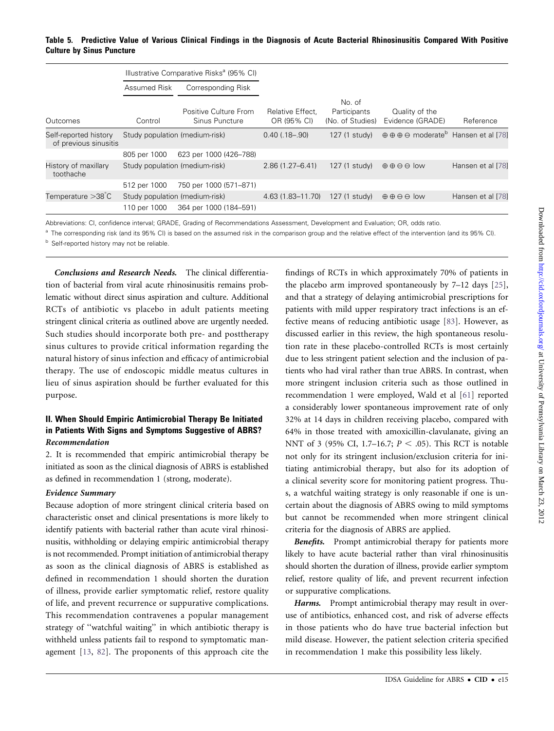<span id="page-14-0"></span>

|                                                |              | Illustrative Comparative Risks <sup>a</sup> (95% CI) |                                 |                                            |                                                                              |                   |
|------------------------------------------------|--------------|------------------------------------------------------|---------------------------------|--------------------------------------------|------------------------------------------------------------------------------|-------------------|
|                                                | Assumed Risk | Corresponding Risk                                   |                                 |                                            |                                                                              |                   |
| Outcomes                                       | Control      | Positive Culture From<br>Sinus Puncture              | Relative Effect.<br>OR (95% CI) | No. of<br>Participants<br>(No. of Studies) | Quality of the<br>Evidence (GRADE)                                           | Reference         |
| Self-reported history<br>of previous sinusitis |              | Study population (medium-risk)                       | $0.40$ (.18-.90)                | 127 (1 study)                              | $\oplus$ $\oplus$ $\oplus$ $\ominus$ moderate <sup>b</sup> Hansen et al [78] |                   |
|                                                | 805 per 1000 | 623 per 1000 (426-788)                               |                                 |                                            |                                                                              |                   |
| History of maxillary<br>toothache              |              | Study population (medium-risk)                       | $2.86(1.27 - 6.41)$             | 127 (1 study)                              | $\oplus$ $\oplus$ $\ominus$ $\ominus$ low                                    | Hansen et al [78] |
|                                                | 512 per 1000 | 750 per 1000 (571-871)                               |                                 |                                            |                                                                              |                   |
| Temperature $>38^{\circ}$ C                    |              | Study population (medium-risk)                       | 4.63 (1.83–11.70)               | 127 (1 study)                              | $\oplus$ $\oplus$ $\ominus$ $\ominus$ low                                    | Hansen et al [78] |
|                                                | 110 per 1000 | 364 per 1000 (184-591)                               |                                 |                                            |                                                                              |                   |

Abbreviations: CI, confidence interval; GRADE, Grading of Recommendations Assessment, Development and Evaluation; OR, odds ratio.

a The corresponding risk (and its 95% CI) is based on the assumed risk in the comparison group and the relative effect of the intervention (and its 95% CI).

b Self-reported history may not be reliable.

Conclusions and Research Needs. The clinical differentiation of bacterial from viral acute rhinosinusitis remains problematic without direct sinus aspiration and culture. Additional RCTs of antibiotic vs placebo in adult patients meeting stringent clinical criteria as outlined above are urgently needed. Such studies should incorporate both pre- and posttherapy sinus cultures to provide critical information regarding the natural history of sinus infection and efficacy of antimicrobial therapy. The use of endoscopic middle meatus cultures in lieu of sinus aspiration should be further evaluated for this purpose.

### II. When Should Empiric Antimicrobial Therapy Be Initiated in Patients With Signs and Symptoms Suggestive of ABRS? Recommendation

2. It is recommended that empiric antimicrobial therapy be initiated as soon as the clinical diagnosis of ABRS is established as defined in recommendation 1 (strong, moderate).

#### Evidence Summary

Because adoption of more stringent clinical criteria based on characteristic onset and clinical presentations is more likely to identify patients with bacterial rather than acute viral rhinosinusitis, withholding or delaying empiric antimicrobial therapy is not recommended. Prompt initiation of antimicrobial therapy as soon as the clinical diagnosis of ABRS is established as defined in recommendation 1 should shorten the duration of illness, provide earlier symptomatic relief, restore quality of life, and prevent recurrence or suppurative complications. This recommendation contravenes a popular management strategy of ''watchful waiting'' in which antibiotic therapy is withheld unless patients fail to respond to symptomatic management [[13,](#page-35-0) [82](#page-37-0)]. The proponents of this approach cite the

findings of RCTs in which approximately 70% of patients in the placebo arm improved spontaneously by 7–12 days [\[25](#page-35-0)], and that a strategy of delaying antimicrobial prescriptions for patients with mild upper respiratory tract infections is an effective means of reducing antibiotic usage [[83\]](#page-37-0). However, as discussed earlier in this review, the high spontaneous resolution rate in these placebo-controlled RCTs is most certainly due to less stringent patient selection and the inclusion of patients who had viral rather than true ABRS. In contrast, when more stringent inclusion criteria such as those outlined in recommendation 1 were employed, Wald et al [\[61](#page-36-0)] reported a considerably lower spontaneous improvement rate of only 32% at 14 days in children receiving placebo, compared with 64% in those treated with amoxicillin-clavulanate, giving an NNT of 3 (95% CI, 1.7-16.7;  $P < .05$ ). This RCT is notable not only for its stringent inclusion/exclusion criteria for initiating antimicrobial therapy, but also for its adoption of a clinical severity score for monitoring patient progress. Thus, a watchful waiting strategy is only reasonable if one is uncertain about the diagnosis of ABRS owing to mild symptoms but cannot be recommended when more stringent clinical criteria for the diagnosis of ABRS are applied.

Benefits. Prompt antimicrobial therapy for patients more likely to have acute bacterial rather than viral rhinosinusitis should shorten the duration of illness, provide earlier symptom relief, restore quality of life, and prevent recurrent infection or suppurative complications.

Harms. Prompt antimicrobial therapy may result in overuse of antibiotics, enhanced cost, and risk of adverse effects in those patients who do have true bacterial infection but mild disease. However, the patient selection criteria specified in recommendation 1 make this possibility less likely.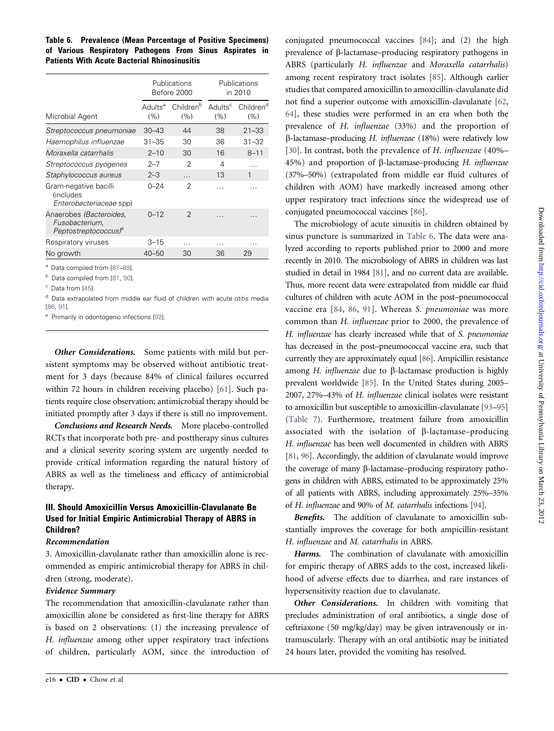<span id="page-15-0"></span>Table 6. Prevalence (Mean Percentage of Positive Specimens) of Various Respiratory Pathogens From Sinus Aspirates in Patients With Acute Bacterial Rhinosinusitis

|                                                                               |                            | Publications<br>Before 2000  |                            | Publications<br>in 2010      |
|-------------------------------------------------------------------------------|----------------------------|------------------------------|----------------------------|------------------------------|
| Microbial Agent                                                               | Adults <sup>a</sup><br>(%) | Children <sup>b</sup><br>(%) | Adults <sup>c</sup><br>(%) | Children <sup>d</sup><br>(%) |
| Streptococcus pneumoniae                                                      | $30 - 43$                  | 44                           | 38                         | $21 - 33$                    |
| Haemophilus influenzae                                                        | $31 - 35$                  | 30                           | 36                         | $31 - 32$                    |
| Moraxella catarrhalis                                                         | $2 - 10$                   | 30                           | 16                         | $8 - 11$                     |
| Streptococcus pyogenes                                                        | $2 - 7$                    | 2                            | 4                          |                              |
| Staphylococcus aureus                                                         | $2 - 3$                    | .                            | 13                         | 1                            |
| Gram-negative bacilli<br><i>lincludes</i><br>Enterobacteriaceae spp)          | $0 - 24$                   | 2                            | .                          |                              |
| Anaerobes (Bacteroides,<br>Fusobacterium,<br>Peptostreptococcus) <sup>e</sup> | $0 - 12$                   | $\mathcal{P}$                |                            |                              |
| Respiratory viruses                                                           | $3 - 15$                   |                              |                            |                              |
| No growth                                                                     | $40 - 50$                  | 30                           | 36                         | 29                           |

<sup>a</sup> Data compiled from [\[87](#page-37-0)-[89](#page-37-0)].

b Data compiled from [[81](#page-37-0), [90](#page-37-0)].

<sup>c</sup> Data from [\[45\]](#page-36-0).

<sup>d</sup> Data extrapolated from middle ear fluid of children with acute otitis media [[86,](#page-37-0) [91](#page-37-0)].

<sup>e</sup> Primarily in odontogenic infections [[92\]](#page-37-0).

Other Considerations. Some patients with mild but persistent symptoms may be observed without antibiotic treatment for 3 days (because 84% of clinical failures occurred within 72 hours in children receiving placebo) [[61](#page-36-0)]. Such patients require close observation; antimicrobial therapy should be initiated promptly after 3 days if there is still no improvement.

Conclusions and Research Needs. More placebo-controlled RCTs that incorporate both pre- and posttherapy sinus cultures and a clinical severity scoring system are urgently needed to provide critical information regarding the natural history of ABRS as well as the timeliness and efficacy of antimicrobial therapy.

# III. Should Amoxicillin Versus Amoxicillin-Clavulanate Be Used for Initial Empiric Antimicrobial Therapy of ABRS in Children?

#### Recommendation

3. Amoxicillin-clavulanate rather than amoxicillin alone is recommended as empiric antimicrobial therapy for ABRS in children (strong, moderate).

### Evidence Summary

The recommendation that amoxicillin-clavulanate rather than amoxicillin alone be considered as first-line therapy for ABRS is based on 2 observations: (1) the increasing prevalence of H. influenzae among other upper respiratory tract infections of children, particularly AOM, since the introduction of

conjugated pneumococcal vaccines [\[84](#page-37-0)]; and (2) the high prevalence of b-lactamase–producing respiratory pathogens in ABRS (particularly H. influenzae and Moraxella catarrhalis) among recent respiratory tract isolates [[85](#page-37-0)]. Although earlier studies that compared amoxicillin to amoxicillin-clavulanate did not find a superior outcome with amoxicillin-clavulanate [[62,](#page-36-0) [64\]](#page-36-0), these studies were performed in an era when both the prevalence of H. influenzae (33%) and the proportion of  $\beta$ -lactamase–producing H. influenzae (18%) were relatively low [\[30\]](#page-35-0). In contrast, both the prevalence of H. influenzae (40%– 45%) and proportion of  $\beta$ -lactamase–producing H. influenzae (37%–50%) (extrapolated from middle ear fluid cultures of children with AOM) have markedly increased among other upper respiratory tract infections since the widespread use of conjugated pneumococcal vaccines [[86](#page-37-0)].

The microbiology of acute sinusitis in children obtained by sinus puncture is summarized in Table 6. The data were analyzed according to reports published prior to 2000 and more recently in 2010. The microbiology of ABRS in children was last studied in detail in 1984 [\[81\]](#page-37-0), and no current data are available. Thus, more recent data were extrapolated from middle ear fluid cultures of children with acute AOM in the post–pneumococcal vaccine era [[84](#page-37-0), [86,](#page-37-0) [91](#page-37-0)]. Whereas S. pneumoniae was more common than H. influenzae prior to 2000, the prevalence of H. influenzae has clearly increased while that of S. pneumoniae has decreased in the post–pneumococcal vaccine era, such that currently they are approximately equal [[86](#page-37-0)]. Ampicillin resistance among H. influenzae due to  $\beta$ -lactamase production is highly prevalent worldwide [\[85](#page-37-0)]. In the United States during 2005– 2007, 27%–43% of H. influenzae clinical isolates were resistant to amoxicillin but susceptible to amoxicillin-clavulanate [\[93](#page-37-0)–[95\]](#page-37-0) [\(Table 7](#page-16-0)). Furthermore, treatment failure from amoxicillin associated with the isolation of  $\beta$ -lactamase–producing H. influenzae has been well documented in children with ABRS [\[81,](#page-37-0) [96](#page-37-0)]. Accordingly, the addition of clavulanate would improve the coverage of many  $\beta$ -lactamase–producing respiratory pathogens in children with ABRS, estimated to be approximately 25% of all patients with ABRS, including approximately 25%–35% of H. influenzae and 90% of M. catarrhalis infections [[94](#page-37-0)].

Benefits. The addition of clavulanate to amoxicillin substantially improves the coverage for both ampicillin-resistant H. influenzae and M. catarrhalis in ABRS.

Harms. The combination of clavulanate with amoxicillin for empiric therapy of ABRS adds to the cost, increased likelihood of adverse effects due to diarrhea, and rare instances of hypersensitivity reaction due to clavulanate.

Other Considerations. In children with vomiting that precludes administration of oral antibiotics, a single dose of ceftriaxone (50 mg/kg/day) may be given intravenously or intramuscularly. Therapy with an oral antibiotic may be initiated 24 hours later, provided the vomiting has resolved.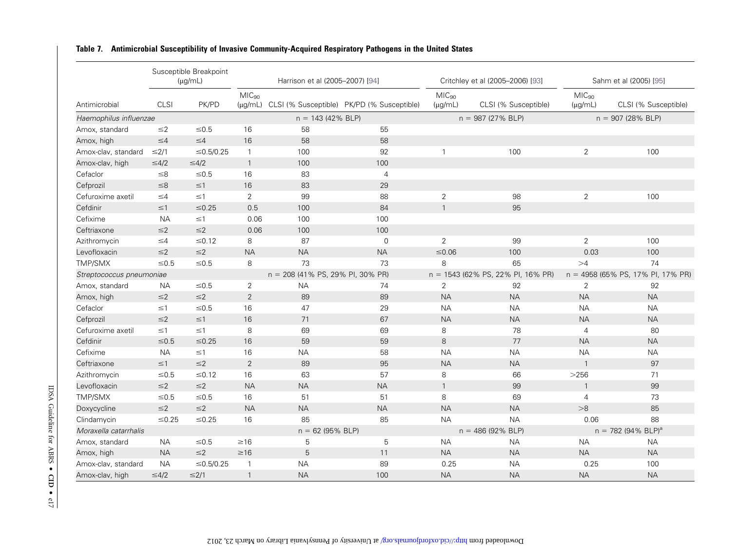|                          |             | Susceptible Breakpoint<br>$(\mu g/mL)$ |                   | Harrison et al (2005-2007) [94]  |                                                    |                                   | Critchley et al (2005-2006) [93]  |                                   | Sahm et al (2005) [95]            |
|--------------------------|-------------|----------------------------------------|-------------------|----------------------------------|----------------------------------------------------|-----------------------------------|-----------------------------------|-----------------------------------|-----------------------------------|
| Antimicrobial            | CLSI        | PK/PD                                  | MIC <sub>90</sub> |                                  | (µg/mL) CLSI (% Susceptible) PK/PD (% Susceptible) | MIC <sub>90</sub><br>$(\mu g/mL)$ | CLSI (% Susceptible)              | MIC <sub>90</sub><br>$(\mu g/mL)$ | CLSI (% Susceptible)              |
| Haemophilus influenzae   |             |                                        |                   | $n = 143(42\% \text{ BLP})$      |                                                    |                                   | $n = 987(27\% \text{ BLP})$       |                                   | $n = 907 (28\% BLP)$              |
| Amox, standard           | $\leq$ 2    | $≤0.5$                                 | 16                | 58                               | 55                                                 |                                   |                                   |                                   |                                   |
| Amox, high               | $\leq 4$    | $\leq 4$                               | 16                | 58                               | 58                                                 |                                   |                                   |                                   |                                   |
| Amox-clav, standard      | $\leq$ 2/1  | ≤0.5/0.25                              | $\mathbf{1}$      | 100                              | 92                                                 | $\mathbf{1}$                      | 100                               | $\overline{2}$                    | 100                               |
| Amox-clav, high          | $\leq 4/2$  | $\leq 4/2$                             | $\mathbf{1}$      | 100                              | 100                                                |                                   |                                   |                                   |                                   |
| Cefaclor                 | $\leq 8$    | $≤0.5$                                 | 16                | 83                               | $\overline{4}$                                     |                                   |                                   |                                   |                                   |
| Cefprozil                | $\leq 8$    | $\leq$ 1                               | 16                | 83                               | 29                                                 |                                   |                                   |                                   |                                   |
| Cefuroxime axetil        | $\leq 4$    | $\leq$ 1                               | $\overline{2}$    | 99                               | 88                                                 | $\overline{2}$                    | 98                                | $\overline{2}$                    | 100                               |
| Cefdinir                 | $\leq$ 1    | $≤0.25$                                | 0.5               | 100                              | 84                                                 | $\mathbf{1}$                      | 95                                |                                   |                                   |
| Cefixime                 | <b>NA</b>   | $\leq$ 1                               | 0.06              | 100                              | 100                                                |                                   |                                   |                                   |                                   |
| Ceftriaxone              | $\leq$ 2    | $\leq$ 2                               | 0.06              | 100                              | 100                                                |                                   |                                   |                                   |                                   |
| Azithromycin             | $\leq 4$    | $\leq 0.12$                            | 8                 | 87                               | $\mathbf 0$                                        | $\overline{2}$                    | 99                                | $\overline{2}$                    | 100                               |
| Levofloxacin             | $\leq$ 2    | $\leq$ 2                               | <b>NA</b>         | <b>NA</b>                        | <b>NA</b>                                          | $≤0.06$                           | 100                               | 0.03                              | 100                               |
| <b>TMP/SMX</b>           | $\leq 0.5$  | $\leq 0.5$                             | 8                 | 73                               | 73                                                 | 8                                 | 65                                | >4                                | 74                                |
| Streptococcus pneumoniae |             |                                        |                   | n = 208 (41% PS, 29% PI, 30% PR) |                                                    |                                   | n = 1543 (62% PS, 22% PI, 16% PR) |                                   | n = 4958 (65% PS, 17% PI, 17% PR) |
| Amox, standard           | NА          | $≤0.5$                                 | $\overline{2}$    | <b>NA</b>                        | 74                                                 | $\overline{2}$                    | 92                                | $\overline{2}$                    | 92                                |
| Amox, high               | $\leq$ 2    | $\leq$ 2                               | $\overline{2}$    | 89                               | 89                                                 | <b>NA</b>                         | <b>NA</b>                         | <b>NA</b>                         | <b>NA</b>                         |
| Cefaclor                 | $\leq$ 1    | $≤0.5$                                 | 16                | 47                               | 29                                                 | <b>NA</b>                         | <b>NA</b>                         | <b>NA</b>                         | <b>NA</b>                         |
| Cefprozil                | $\leq$ 2    | $\leq$ 1                               | 16                | 71                               | 67                                                 | <b>NA</b>                         | <b>NA</b>                         | <b>NA</b>                         | <b>NA</b>                         |
| Cefuroxime axetil        | $\leq$ 1    | $\leq$ 1                               | 8                 | 69                               | 69                                                 | 8                                 | 78                                | $\overline{4}$                    | 80                                |
| Cefdinir                 | $≤0.5$      | $≤0.25$                                | 16                | 59                               | 59                                                 | 8                                 | 77                                | <b>NA</b>                         | <b>NA</b>                         |
| Cefixime                 | <b>NA</b>   | $\leq$ 1                               | 16                | <b>NA</b>                        | 58                                                 | <b>NA</b>                         | <b>NA</b>                         | <b>NA</b>                         | <b>NA</b>                         |
| Ceftriaxone              | $\leq$ 1    | $\leq$ 2                               | $\overline{2}$    | 89                               | 95                                                 | <b>NA</b>                         | <b>NA</b>                         | $\mathbf{1}$                      | 97                                |
| Azithromycin             | $≤0.5$      | ≤0.12                                  | 16                | 63                               | 57                                                 | 8                                 | 66                                | >256                              | 71                                |
| Levofloxacin             | $\leq$ 2    | $\leq$ 2                               | <b>NA</b>         | <b>NA</b>                        | <b>NA</b>                                          | $\mathbf{1}$                      | 99                                | $\mathbf{1}$                      | 99                                |
| TMP/SMX                  | ${\leq}0.5$ | $≤0.5$                                 | 16                | 51                               | 51                                                 | 8                                 | 69                                | $\overline{4}$                    | 73                                |
| Doxycycline              | $\leq$ 2    | $\leq$ 2                               | <b>NA</b>         | <b>NA</b>                        | <b>NA</b>                                          | <b>NA</b>                         | <b>NA</b>                         | >8                                | 85                                |
| Clindamycin              | $≤0.25$     | $≤0.25$                                | 16                | 85                               | 85                                                 | <b>NA</b>                         | <b>NA</b>                         | 0.06                              | 88                                |
| Moraxella catarrhalis    |             |                                        |                   | $n = 62 (95\% BLP)$              |                                                    |                                   | $n = 486 (92\% BLP)$              |                                   | $n = 782 (94\% BLP)^a$            |
| Amox, standard           | <b>NA</b>   | $≤0.5$                                 | $\geq 16$         | 5                                | 5                                                  | <b>NA</b>                         | <b>NA</b>                         | <b>NA</b>                         | <b>NA</b>                         |
| Amox, high               | <b>NA</b>   | $\leq$ 2                               | $\geq 16$         | 5                                | 11                                                 | <b>NA</b>                         | <b>NA</b>                         | <b>NA</b>                         | <b>NA</b>                         |
| Amox-clav, standard      | <b>NA</b>   | ≤0.5/0.25                              | $\mathbf{1}$      | <b>NA</b>                        | 89                                                 | 0.25                              | <b>NA</b>                         | 0.25                              | 100                               |
| Amox-clav, high          | $\leq 4/2$  | $\leq$ 2/1                             | $\overline{1}$    | <b>NA</b>                        | 100                                                | <b>NA</b>                         | <b>NA</b>                         | <b>NA</b>                         | <b>NA</b>                         |

# <span id="page-16-0"></span>Table 7. Antimicrobial Susceptibility of Invasive Community-Acquired Respiratory Pathogens in the United States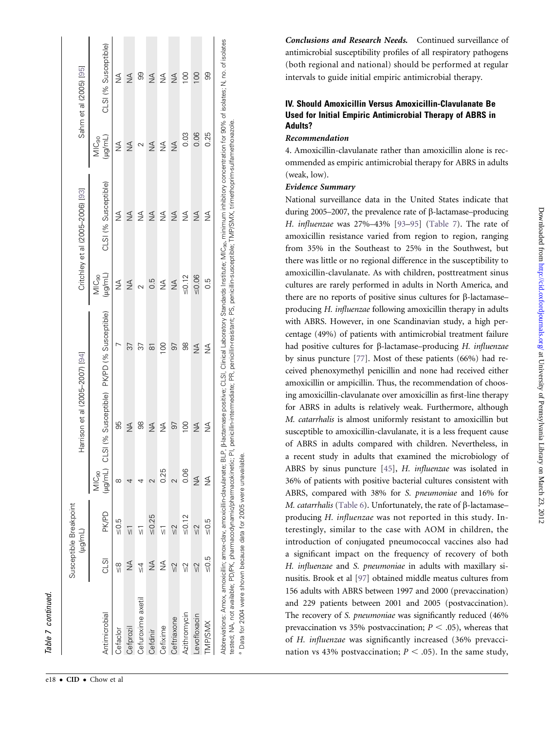|                   | Susceptible Breakpoint<br>(µg/mL) |                      |                   | larrison et al (2005-2007) [94]                    |                                  | Critchley et al (2005-2006) [93] |                              | Sahm et al (2005) [95] |
|-------------------|-----------------------------------|----------------------|-------------------|----------------------------------------------------|----------------------------------|----------------------------------|------------------------------|------------------------|
| Antimicrobial     | CLSI                              | <b>PK/PD</b>         | MIC <sub>90</sub> | (µg/mL) CLSI (% Susceptible) PK/PD (% Susceptible) | MIC <sub>90</sub><br>(µg/mL)     | CLSI (% Susceptible)             | (µg/mL)<br>MIC <sub>90</sub> | CLSI (% Susceptible)   |
| Cefaclor          | $\frac{8}{10}$                    | 9:0≥                 | ∞                 | $\overline{a}$<br>95                               | $\mathbb{E}$                     | $\frac{1}{2}$                    | $\frac{4}{2}$                | ≸                      |
| Cefprozil         | $\frac{1}{2}$                     |                      |                   | 37<br>$\frac{1}{2}$                                | $\frac{4}{2}$                    | $\frac{4}{2}$                    | ₹                            | $\frac{1}{2}$          |
| Cefuroxime axetil | $\frac{4}{5}$                     |                      |                   | 57<br>88                                           | $\sim$                           | $\frac{4}{2}$                    | $\sim$                       | 8                      |
| Cefdinir          | ₹                                 | $\leq 0.25$          |                   | $\overline{8}$<br>$\frac{1}{2}$                    | $0.5$                            | $\frac{4}{2}$                    | $\frac{1}{2}$                | $\frac{4}{2}$          |
| Cefixime          | ≸                                 |                      | 0.25              | $\overline{0}$<br>$\lessgtr$                       | $\stackrel{\triangleleft}{\geq}$ | $\frac{4}{2}$                    | $\lessgtr$                   | $\lessgtr$             |
| Ceftriaxone       | $\frac{2}{\sqrt{2}}$              | 2                    |                   | 97<br>$\sqrt{6}$                                   | $\sum_{i=1}^{n}$                 | $\frac{4}{2}$                    | $\frac{1}{2}$                | $\frac{1}{2}$          |
| Azithromycin      | $\frac{2}{\sqrt{2}}$              | $\leq 0.12$          | 0.06              | 98<br>100                                          | $\leq 0.12$                      | $\frac{4}{2}$                    | 0.03                         | 100                    |
| evofloxacin       | $\frac{2}{\sqrt{2}}$              | $\frac{2}{\sqrt{2}}$ | $\frac{1}{2}$     | $\frac{4}{2}$<br>$\frac{1}{2}$                     | $\leq 0.06$                      | $\frac{4}{2}$                    | 0.06                         | 100                    |
| <b>TMP/SMX</b>    | $\leq 0.5$                        | 9.0≥                 | ≸                 | ≸<br>≸                                             | $0.\overline{5}$                 | $\frac{4}{2}$                    | 0.25                         | 99                     |

Abbreviations: Amox, amoxidilin; amoxidilin-dary amoxidilin-davulanate; BLP, B-lactamase positive; CLSI, Clinical Laboratory Standards Institute; M/IC<sub>80</sub>, minimum inhibitory concentration for 90% of isolates; N, no. of is Abbreviations: Amox.cillin; amoxicillin; amoxicillin-clavulanate; BLP, p-lactamase positive; CLSI, Clinical Laboratory Standards Institute; MIC<sub>90</sub>, minimum inhibitory concentration for 90% of isolates; N, no. of isolates tested; NA, not available; PD/PK, pharmacodynamic/pharmacokinetic; PI, penicillin-intermediate; PR, penicillin-resistant; PS, penicillin-susceptible; TMP/SMX, trimethoprim-sulfamethoxazole. tested; NA, not available; PD/PK, pharmacodynamic/pharmacokinetic; PI, penicillin-intermediate; PR, penicillin-esistant; PS, penicillin-susceptible; TMP/SMX, trimethoprim-sulfamethoxazole Data for 2004 were shown because data for 2005 were unavailable. for 2005 were unavailable <sup>a</sup> Data for 2004 were shown because data

Conclusions and Research Needs. Continued surveillance of antimicrobial susceptibility profiles of all respiratory pathogens (both regional and national) should be performed at regular intervals to guide initial empiric antimicrobial therapy.

# IV. Should Amoxicillin Versus Amoxicillin-Clavulanate Be Used for Initial Empiric Antimicrobial Therapy of ABRS in Adults?

# Recommendation

4. Amoxicillin-clavulanate rather than amoxicillin alone is recommended as empiric antimicrobial therapy for ABRS in adults (weak, low).

# Evidence Summary

National surveillance data in the United States indicate that during 2005–2007, the prevalence rate of b-lactamase–producing H. influenzae was 27%–43% [\[93](#page-37-0) –[95\]](#page-37-0) [\(Table 7\)](#page-16-0). The rate of amoxicillin resistance varied from region to region, ranging from 35% in the Southeast to 25% in the Southwest, but there was little or no regional difference in the susceptibility to amoxicillin-clavulanate. As with children, posttreatment sinus cultures are rarely performed in adults in North America, and there are no reports of positive sinus cultures for  $\beta$ -lactamaseproducing H. influenzae following amoxicillin therapy in adults with ABRS. However, in one Scandinavian study, a high percentage (49%) of patients with antimicrobial treatment failure had positive cultures for β-lactamase–producing H. influenzae by sinus puncture [\[77](#page-37-0)]. Most of these patients (66%) had received phenoxymethyl penicillin and none had received either amoxicillin or ampicillin. Thus, the recommendation of choosing amoxicillin-clavulanate over amoxicillin as first-line therapy for ABRS in adults is relatively weak. Furthermore, although M. catarrhalis is almost uniformly resistant to amoxicillin but susceptible to amoxicillin-clavulanate, it is a less frequent cause of ABRS in adults compared with children. Nevertheless, in a recent study in adults that examined the microbiology of ABRS by sinus puncture [[45](#page-36-0)], H. influenzae was isolated in 36% of patients with positive bacterial cultures consistent with ABRS, compared with 38% for S. pneumoniae and 16% for M. catarrhalis ([Table 6](#page-15-0)). Unfortunately, the rate of  $\beta$ -lactamase– producing H. influenzae was not reported in this study. Interestingly, similar to the case with AOM in children, the introduction of conjugated pneumococcal vaccines also had a significant impact on the frequency of recovery of both H. influenzae and S. pneumoniae in adults with maxillary sinusitis. Brook et al [\[97\]](#page-37-0) obtained middle meatus cultures from 156 adults with ABRS between 1997 and 2000 (prevaccination) and 229 patients between 2001 and 2005 (postvaccination). The recovery of S. pneumoniae was significantly reduced (46% prevaccination vs 35% postvaccination;  $P < .05$ ), whereas that of H. influenzae was significantly increased (36% prevaccination vs 43% postvaccination;  $P < .05$ ). In the same study,

e18 • CID • Chow et al

Table 7 continued.

able 7 continued.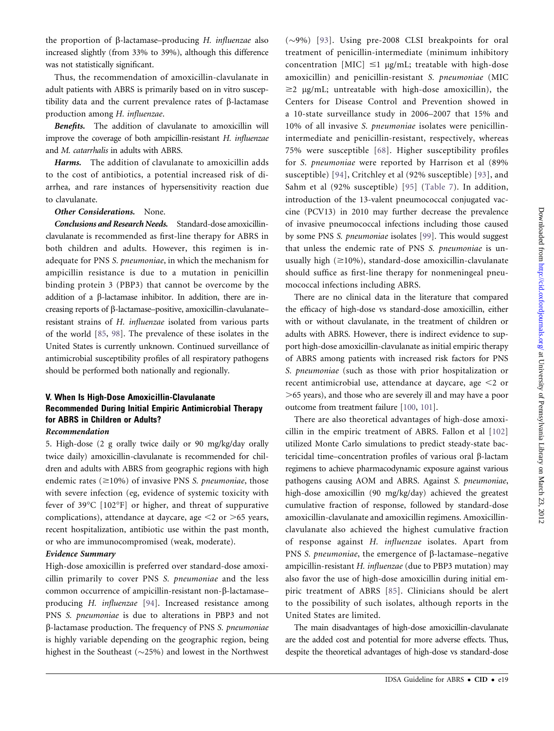the proportion of  $\beta$ -lactamase–producing H. influenzae also increased slightly (from 33% to 39%), although this difference was not statistically significant.

Thus, the recommendation of amoxicillin-clavulanate in adult patients with ABRS is primarily based on in vitro susceptibility data and the current prevalence rates of  $\beta$ -lactamase production among H. influenzae.

Benefits. The addition of clavulanate to amoxicillin will improve the coverage of both ampicillin-resistant H. influenzae and M. catarrhalis in adults with ABRS.

Harms. The addition of clavulanate to amoxicillin adds to the cost of antibiotics, a potential increased risk of diarrhea, and rare instances of hypersensitivity reaction due to clavulanate.

#### Other Considerations. None.

Conclusions and Research Needs. Standard-dose amoxicillinclavulanate is recommended as first-line therapy for ABRS in both children and adults. However, this regimen is inadequate for PNS S. pneumoniae, in which the mechanism for ampicillin resistance is due to a mutation in penicillin binding protein 3 (PBP3) that cannot be overcome by the addition of a  $\beta$ -lactamase inhibitor. In addition, there are increasing reports of b-lactamase–positive, amoxicillin-clavulanate– resistant strains of H. influenzae isolated from various parts of the world [[85,](#page-37-0) [98\]](#page-37-0). The prevalence of these isolates in the United States is currently unknown. Continued surveillance of antimicrobial susceptibility profiles of all respiratory pathogens should be performed both nationally and regionally.

# V. When Is High-Dose Amoxicillin-Clavulanate Recommended During Initial Empiric Antimicrobial Therapy for ABRS in Children or Adults?

#### Recommendation

5. High-dose (2 g orally twice daily or 90 mg/kg/day orally twice daily) amoxicillin-clavulanate is recommended for children and adults with ABRS from geographic regions with high endemic rates  $(\geq 10\%)$  of invasive PNS S. pneumoniae, those with severe infection (eg, evidence of systemic toxicity with fever of 39°C [102°F] or higher, and threat of suppurative complications), attendance at daycare, age  $\leq$  2 or  $\geq$  65 years, recent hospitalization, antibiotic use within the past month, or who are immunocompromised (weak, moderate).

### Evidence Summary

High-dose amoxicillin is preferred over standard-dose amoxicillin primarily to cover PNS S. pneumoniae and the less common occurrence of ampicillin-resistant non-b-lactamase– producing H. influenzae [[94\]](#page-37-0). Increased resistance among PNS S. pneumoniae is due to alterations in PBP3 and not b-lactamase production. The frequency of PNS S. pneumoniae is highly variable depending on the geographic region, being highest in the Southeast  $(\sim 25\%)$  and lowest in the Northwest

 $(\sim 9\%)$  [[93](#page-37-0)]. Using pre-2008 CLSI breakpoints for oral treatment of penicillin-intermediate (minimum inhibitory concentration [MIC]  $\leq$ 1 µg/mL; treatable with high-dose amoxicillin) and penicillin-resistant S. pneumoniae (MIC  $\geq$   $2 \mu$ g/mL; untreatable with high-dose amoxicillin), the Centers for Disease Control and Prevention showed in a 10-state surveillance study in 2006–2007 that 15% and 10% of all invasive S. pneumoniae isolates were penicillinintermediate and penicillin-resistant, respectively, whereas 75% were susceptible [[68](#page-36-0)]. Higher susceptibility profiles for S. pneumoniae were reported by Harrison et al (89% susceptible) [\[94\]](#page-37-0), Critchley et al (92% susceptible) [\[93\]](#page-37-0), and Sahm et al (92% susceptible) [[95](#page-37-0)] ([Table 7](#page-16-0)). In addition, introduction of the 13-valent pneumococcal conjugated vaccine (PCV13) in 2010 may further decrease the prevalence of invasive pneumococcal infections including those caused by some PNS S. pneumoniae isolates [\[99](#page-37-0)]. This would suggest that unless the endemic rate of PNS S. pneumoniae is unusually high  $(\geq 10\%)$ , standard-dose amoxicillin-clavulanate should suffice as first-line therapy for nonmeningeal pneumococcal infections including ABRS.

There are no clinical data in the literature that compared the efficacy of high-dose vs standard-dose amoxicillin, either with or without clavulanate, in the treatment of children or adults with ABRS. However, there is indirect evidence to support high-dose amoxicillin-clavulanate as initial empiric therapy of ABRS among patients with increased risk factors for PNS S. pneumoniae (such as those with prior hospitalization or recent antimicrobial use, attendance at daycare, age  $\leq$  or .65 years), and those who are severely ill and may have a poor outcome from treatment failure [\[100,](#page-37-0) [101\]](#page-37-0).

There are also theoretical advantages of high-dose amoxicillin in the empiric treatment of ABRS. Fallon et al [[102\]](#page-37-0) utilized Monte Carlo simulations to predict steady-state bactericidal time–concentration profiles of various oral  $\beta$ -lactam regimens to achieve pharmacodynamic exposure against various pathogens causing AOM and ABRS. Against S. pneumoniae, high-dose amoxicillin (90 mg/kg/day) achieved the greatest cumulative fraction of response, followed by standard-dose amoxicillin-clavulanate and amoxicillin regimens. Amoxicillinclavulanate also achieved the highest cumulative fraction of response against H. influenzae isolates. Apart from PNS S. pneumoniae, the emergence of  $\beta$ -lactamase–negative ampicillin-resistant H. influenzae (due to PBP3 mutation) may also favor the use of high-dose amoxicillin during initial empiric treatment of ABRS [[85\]](#page-37-0). Clinicians should be alert to the possibility of such isolates, although reports in the United States are limited.

The main disadvantages of high-dose amoxicillin-clavulanate are the added cost and potential for more adverse effects. Thus, despite the theoretical advantages of high-dose vs standard-dose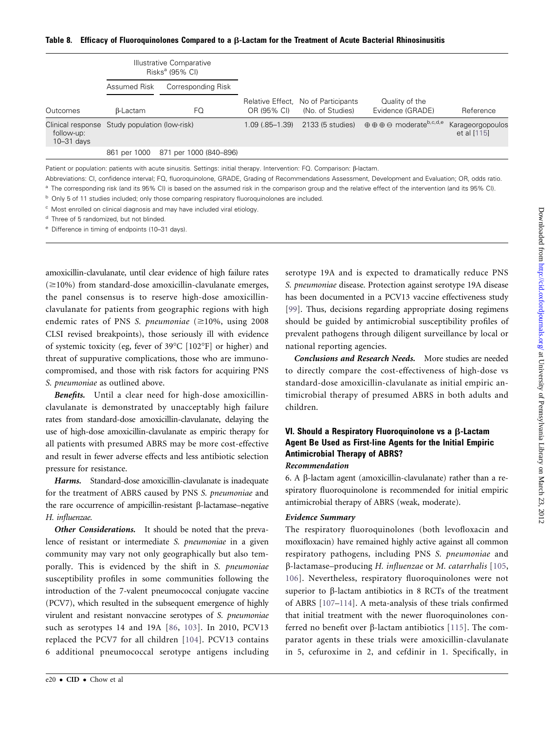<span id="page-19-0"></span>

|                            |                                               | Illustrative Comparative<br>Risks <sup>a</sup> (95% CI) |                 |                                                         |                                                                            |                                 |
|----------------------------|-----------------------------------------------|---------------------------------------------------------|-----------------|---------------------------------------------------------|----------------------------------------------------------------------------|---------------------------------|
|                            | Assumed Risk                                  | Corresponding Risk                                      |                 |                                                         |                                                                            |                                 |
| Outcomes                   | B-Lactam                                      | FQ                                                      | OR (95% CI)     | Relative Effect. No of Participants<br>(No. of Studies) | Quality of the<br>Evidence (GRADE)                                         | Reference                       |
| follow-up:<br>$10-31$ days | Clinical response Study population (low-risk) |                                                         | 1.09 (.85–1.39) |                                                         | 2133 (5 studies) $\oplus \oplus \oplus \oplus$ moderate <sup>b,c,d,e</sup> | Karageorgopoulos<br>et al [115] |
|                            |                                               | 861 per 1000 871 per 1000 (840–896)                     |                 |                                                         |                                                                            |                                 |

Patient or population: patients with acute sinusitis. Settings: initial therapy. Intervention: FQ. Comparison: B-lactam.

Abbreviations: CI, confidence interval; FQ, fluoroquinolone, GRADE, Grading of Recommendations Assessment, Development and Evaluation; OR, odds ratio.

<sup>a</sup> The corresponding risk (and its 95% CI) is based on the assumed risk in the comparison group and the relative effect of the intervention (and its 95% CI).

<sup>b</sup> Only 5 of 11 studies included; only those comparing respiratory fluoroquinolones are included.

<sup>c</sup> Most enrolled on clinical diagnosis and may have included viral etiology.

<sup>d</sup> Three of 5 randomized, but not blinded.

<sup>e</sup> Difference in timing of endpoints (10–31 days).

amoxicillin-clavulanate, until clear evidence of high failure rates  $(\geq 10\%)$  from standard-dose amoxicillin-clavulanate emerges, the panel consensus is to reserve high-dose amoxicillinclavulanate for patients from geographic regions with high endemic rates of PNS S. pneumoniae  $(\geq 10\%$ , using 2008 CLSI revised breakpoints), those seriously ill with evidence of systemic toxicity (eg, fever of 39°C [102°F] or higher) and threat of suppurative complications, those who are immunocompromised, and those with risk factors for acquiring PNS S. pneumoniae as outlined above.

Benefits. Until a clear need for high-dose amoxicillinclavulanate is demonstrated by unacceptably high failure rates from standard-dose amoxicillin-clavulanate, delaying the use of high-dose amoxicillin-clavulanate as empiric therapy for all patients with presumed ABRS may be more cost-effective and result in fewer adverse effects and less antibiotic selection pressure for resistance.

Harms. Standard-dose amoxicillin-clavulanate is inadequate for the treatment of ABRS caused by PNS S. pneumoniae and the rare occurrence of ampicillin-resistant  $\beta$ -lactamase–negative H. influenzae.

Other Considerations. It should be noted that the prevalence of resistant or intermediate S. pneumoniae in a given community may vary not only geographically but also temporally. This is evidenced by the shift in S. pneumoniae susceptibility profiles in some communities following the introduction of the 7-valent pneumococcal conjugate vaccine (PCV7), which resulted in the subsequent emergence of highly virulent and resistant nonvaccine serotypes of S. pneumoniae such as serotypes 14 and 19A [[86,](#page-37-0) [103](#page-37-0)]. In 2010, PCV13 replaced the PCV7 for all children [[104\]](#page-37-0). PCV13 contains 6 additional pneumococcal serotype antigens including

serotype 19A and is expected to dramatically reduce PNS S. pneumoniae disease. Protection against serotype 19A disease has been documented in a PCV13 vaccine effectiveness study [\[99\]](#page-37-0). Thus, decisions regarding appropriate dosing regimens should be guided by antimicrobial susceptibility profiles of prevalent pathogens through diligent surveillance by local or national reporting agencies.

Conclusions and Research Needs. More studies are needed to directly compare the cost-effectiveness of high-dose vs standard-dose amoxicillin-clavulanate as initial empiric antimicrobial therapy of presumed ABRS in both adults and children.

# VI. Should a Respiratory Fluoroquinolone vs a  $\beta$ -Lactam Agent Be Used as First-line Agents for the Initial Empiric Antimicrobial Therapy of ABRS?

Recommendation

6. A  $\beta$ -lactam agent (amoxicillin-clavulanate) rather than a respiratory fluoroquinolone is recommended for initial empiric antimicrobial therapy of ABRS (weak, moderate).

#### Evidence Summary

The respiratory fluoroquinolones (both levofloxacin and moxifloxacin) have remained highly active against all common respiratory pathogens, including PNS S. pneumoniae and b-lactamase–producing H. influenzae or M. catarrhalis [[105,](#page-37-0) [106](#page-37-0)]. Nevertheless, respiratory fluoroquinolones were not superior to  $\beta$ -lactam antibiotics in 8 RCTs of the treatment of ABRS [[107](#page-37-0)–[114\]](#page-37-0). A meta-analysis of these trials confirmed that initial treatment with the newer fluoroquinolones conferred no benefit over  $\beta$ -lactam antibiotics [[115](#page-37-0)]. The comparator agents in these trials were amoxicillin-clavulanate in 5, cefuroxime in 2, and cefdinir in 1. Specifically, in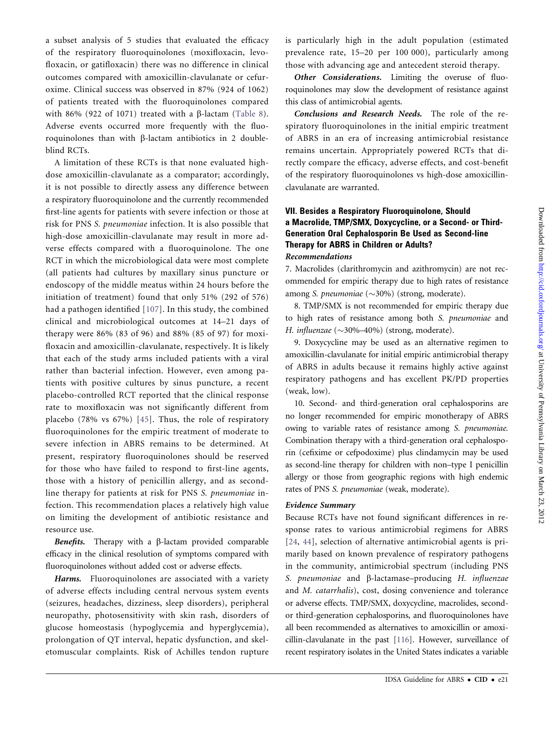a subset analysis of 5 studies that evaluated the efficacy of the respiratory fluoroquinolones (moxifloxacin, levofloxacin, or gatifloxacin) there was no difference in clinical outcomes compared with amoxicillin-clavulanate or cefuroxime. Clinical success was observed in 87% (924 of 1062) of patients treated with the fluoroquinolones compared with 86% (922 of 1071) treated with a  $\beta$ -lactam ([Table 8](#page-19-0)). Adverse events occurred more frequently with the fluoroquinolones than with  $\beta$ -lactam antibiotics in 2 doubleblind RCTs.

A limitation of these RCTs is that none evaluated highdose amoxicillin-clavulanate as a comparator; accordingly, it is not possible to directly assess any difference between a respiratory fluoroquinolone and the currently recommended first-line agents for patients with severe infection or those at risk for PNS S. pneumoniae infection. It is also possible that high-dose amoxicillin-clavulanate may result in more adverse effects compared with a fluoroquinolone. The one RCT in which the microbiological data were most complete (all patients had cultures by maxillary sinus puncture or endoscopy of the middle meatus within 24 hours before the initiation of treatment) found that only 51% (292 of 576) had a pathogen identified [\[107\]](#page-37-0). In this study, the combined clinical and microbiological outcomes at 14–21 days of therapy were 86% (83 of 96) and 88% (85 of 97) for moxifloxacin and amoxicillin-clavulanate, respectively. It is likely that each of the study arms included patients with a viral rather than bacterial infection. However, even among patients with positive cultures by sinus puncture, a recent placebo-controlled RCT reported that the clinical response rate to moxifloxacin was not significantly different from placebo (78% vs 67%) [\[45\]](#page-36-0). Thus, the role of respiratory fluoroquinolones for the empiric treatment of moderate to severe infection in ABRS remains to be determined. At present, respiratory fluoroquinolones should be reserved for those who have failed to respond to first-line agents, those with a history of penicillin allergy, and as secondline therapy for patients at risk for PNS S. pneumoniae infection. This recommendation places a relatively high value on limiting the development of antibiotic resistance and resource use.

Benefits. Therapy with a  $\beta$ -lactam provided comparable efficacy in the clinical resolution of symptoms compared with fluoroquinolones without added cost or adverse effects.

Harms. Fluoroquinolones are associated with a variety of adverse effects including central nervous system events (seizures, headaches, dizziness, sleep disorders), peripheral neuropathy, photosensitivity with skin rash, disorders of glucose homeostasis (hypoglycemia and hyperglycemia), prolongation of QT interval, hepatic dysfunction, and skeletomuscular complaints. Risk of Achilles tendon rupture

is particularly high in the adult population (estimated prevalence rate, 15–20 per 100 000), particularly among those with advancing age and antecedent steroid therapy.

Other Considerations. Limiting the overuse of fluoroquinolones may slow the development of resistance against this class of antimicrobial agents.

Conclusions and Research Needs. The role of the respiratory fluoroquinolones in the initial empiric treatment of ABRS in an era of increasing antimicrobial resistance remains uncertain. Appropriately powered RCTs that directly compare the efficacy, adverse effects, and cost-benefit of the respiratory fluoroquinolones vs high-dose amoxicillinclavulanate are warranted.

# VII. Besides a Respiratory Fluoroquinolone, Should a Macrolide, TMP/SMX, Doxycycline, or a Second- or Third-Generation Oral Cephalosporin Be Used as Second-line Therapy for ABRS in Children or Adults? Recommendations

7. Macrolides (clarithromycin and azithromycin) are not recommended for empiric therapy due to high rates of resistance among S. pneumoniae  $(\sim 30\%)$  (strong, moderate).

8. TMP/SMX is not recommended for empiric therapy due to high rates of resistance among both S. pneumoniae and H. influenzae  $(\sim 30\% - 40\%)$  (strong, moderate).

9. Doxycycline may be used as an alternative regimen to amoxicillin-clavulanate for initial empiric antimicrobial therapy of ABRS in adults because it remains highly active against respiratory pathogens and has excellent PK/PD properties (weak, low).

10. Second- and third-generation oral cephalosporins are no longer recommended for empiric monotherapy of ABRS owing to variable rates of resistance among S. pneumoniae. Combination therapy with a third-generation oral cephalosporin (cefixime or cefpodoxime) plus clindamycin may be used as second-line therapy for children with non–type I penicillin allergy or those from geographic regions with high endemic rates of PNS S. pneumoniae (weak, moderate).

#### Evidence Summary

Because RCTs have not found significant differences in response rates to various antimicrobial regimens for ABRS [[24,](#page-35-0) [44\]](#page-36-0), selection of alternative antimicrobial agents is primarily based on known prevalence of respiratory pathogens in the community, antimicrobial spectrum (including PNS S. pneumoniae and b-lactamase–producing H. influenzae and M. catarrhalis), cost, dosing convenience and tolerance or adverse effects. TMP/SMX, doxycycline, macrolides, secondor third-generation cephalosporins, and fluoroquinolones have all been recommended as alternatives to amoxicillin or amoxicillin-clavulanate in the past [\[116\]](#page-38-0). However, surveillance of recent respiratory isolates in the United States indicates a variable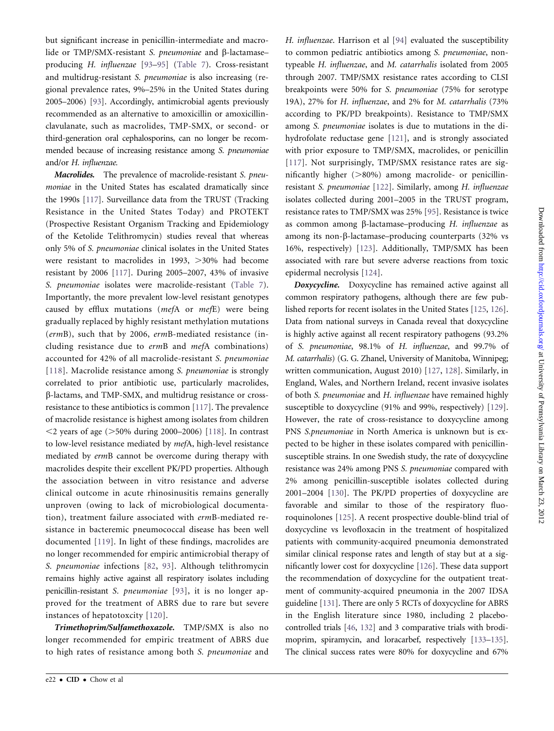but significant increase in penicillin-intermediate and macrolide or TMP/SMX-resistant S. pneumoniae and  $\beta$ -lactamaseproducing H. influenzae [[93–95\]](#page-37-0) ([Table 7](#page-16-0)). Cross-resistant and multidrug-resistant S. pneumoniae is also increasing (regional prevalence rates, 9%–25% in the United States during 2005–2006) [[93\]](#page-37-0). Accordingly, antimicrobial agents previously recommended as an alternative to amoxicillin or amoxicillinclavulanate, such as macrolides, TMP-SMX, or second- or third-generation oral cephalosporins, can no longer be recommended because of increasing resistance among S. pneumoniae and/or H. influenzae.

Macrolides. The prevalence of macrolide-resistant S. pneumoniae in the United States has escalated dramatically since the 1990s [\[117](#page-38-0)]. Surveillance data from the TRUST (Tracking Resistance in the United States Today) and PROTEKT (Prospective Resistant Organism Tracking and Epidemiology of the Ketolide Telithromycin) studies reveal that whereas only 5% of S. pneumoniae clinical isolates in the United States were resistant to macrolides in 1993,  $>30\%$  had become resistant by 2006 [\[117\]](#page-38-0). During 2005–2007, 43% of invasive S. pneumoniae isolates were macrolide-resistant [\(Table 7](#page-16-0)). Importantly, the more prevalent low-level resistant genotypes caused by efflux mutations (mefA or mefE) were being gradually replaced by highly resistant methylation mutations (ermB), such that by 2006, ermB-mediated resistance (including resistance due to ermB and mefA combinations) accounted for 42% of all macrolide-resistant S. pneumoniae [[118\]](#page-38-0). Macrolide resistance among S. pneumoniae is strongly correlated to prior antibiotic use, particularly macrolides, b-lactams, and TMP-SMX, and multidrug resistance or crossresistance to these antibiotics is common [\[117](#page-38-0)]. The prevalence of macrolide resistance is highest among isolates from children  $<$ 2 years of age ( $>$ 50% during 2000–2006) [\[118](#page-38-0)]. In contrast to low-level resistance mediated by mefA, high-level resistance mediated by ermB cannot be overcome during therapy with macrolides despite their excellent PK/PD properties. Although the association between in vitro resistance and adverse clinical outcome in acute rhinosinusitis remains generally unproven (owing to lack of microbiological documentation), treatment failure associated with ermB-mediated resistance in bacteremic pneumococcal disease has been well documented [\[119](#page-38-0)]. In light of these findings, macrolides are no longer recommended for empiric antimicrobial therapy of S. pneumoniae infections [[82](#page-37-0), [93](#page-37-0)]. Although telithromycin remains highly active against all respiratory isolates including penicillin-resistant S. pneumoniae [[93\]](#page-37-0), it is no longer approved for the treatment of ABRS due to rare but severe instances of hepatotoxcity [[120](#page-38-0)].

Trimethoprim/Sulfamethoxazole. TMP/SMX is also no longer recommended for empiric treatment of ABRS due to high rates of resistance among both S. pneumoniae and H. influenzae. Harrison et al [\[94](#page-37-0)] evaluated the susceptibility to common pediatric antibiotics among S. pneumoniae, nontypeable H. influenzae, and M. catarrhalis isolated from 2005 through 2007. TMP/SMX resistance rates according to CLSI breakpoints were 50% for S. pneumoniae (75% for serotype 19A), 27% for H. influenzae, and 2% for M. catarrhalis (73% according to PK/PD breakpoints). Resistance to TMP/SMX among S. pneumoniae isolates is due to mutations in the dihydrofolate reductase gene [\[121\]](#page-38-0), and is strongly associated with prior exposure to TMP/SMX, macrolides, or penicillin [[117](#page-38-0)]. Not surprisingly, TMP/SMX resistance rates are significantly higher  $(>80%)$  among macrolide- or penicillinresistant S. pneumoniae [\[122\]](#page-38-0). Similarly, among H. influenzae isolates collected during 2001–2005 in the TRUST program, resistance rates to TMP/SMX was 25% [\[95](#page-37-0)]. Resistance is twice as common among b-lactamase–producing H. influenzae as among its non- $\beta$ -lactamase–producing counterparts (32% vs 16%, respectively) [[123](#page-38-0)]. Additionally, TMP/SMX has been associated with rare but severe adverse reactions from toxic epidermal necrolysis [[124\]](#page-38-0).

Doxycycline. Doxycycline has remained active against all common respiratory pathogens, although there are few published reports for recent isolates in the United States [[125](#page-38-0), [126](#page-38-0)]. Data from national surveys in Canada reveal that doxycycline is highly active against all recent respiratory pathogens (93.2% of S. pneumoniae, 98.1% of H. influenzae, and 99.7% of M. catarrhalis) (G. G. Zhanel, University of Manitoba, Winnipeg; written communication, August 2010) [\[127](#page-38-0), [128](#page-38-0)]. Similarly, in England, Wales, and Northern Ireland, recent invasive isolates of both S. pneumoniae and H. influenzae have remained highly susceptible to doxycycline (91% and 99%, respectively) [[129](#page-38-0)]. However, the rate of cross-resistance to doxycycline among PNS S.pneumoniae in North America is unknown but is expected to be higher in these isolates compared with penicillinsusceptible strains. In one Swedish study, the rate of doxycycline resistance was 24% among PNS S. pneumoniae compared with 2% among penicillin-susceptible isolates collected during 2001–2004 [[130\]](#page-38-0). The PK/PD properties of doxycycline are favorable and similar to those of the respiratory fluoroquinolones [[125](#page-38-0)]. A recent prospective double-blind trial of doxycycline vs levofloxacin in the treatment of hospitalized patients with community-acquired pneumonia demonstrated similar clinical response rates and length of stay but at a significantly lower cost for doxycycline [[126\]](#page-38-0). These data support the recommendation of doxycycline for the outpatient treatment of community-acquired pneumonia in the 2007 IDSA guideline [\[131](#page-38-0)]. There are only 5 RCTs of doxycycline for ABRS in the English literature since 1980, including 2 placebocontrolled trials [\[46,](#page-36-0) [132\]](#page-38-0) and 3 comparative trials with brodimoprim, spiramycin, and loracarbef, respectively [\[133–135](#page-38-0)]. The clinical success rates were 80% for doxycycline and 67%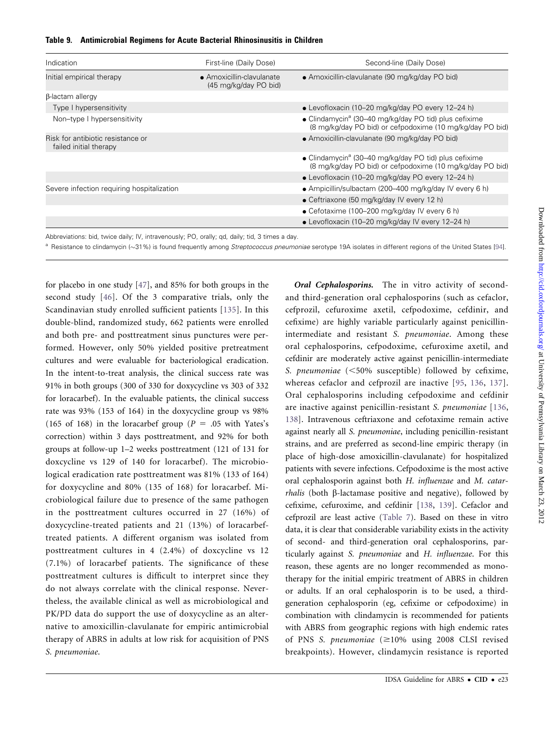<span id="page-22-0"></span>

|  | Table 9. Antimicrobial Regimens for Acute Bacterial Rhinosinusitis in Children |  |  |  |  |  |  |
|--|--------------------------------------------------------------------------------|--|--|--|--|--|--|
|--|--------------------------------------------------------------------------------|--|--|--|--|--|--|

| Indication                                                  | First-line (Daily Dose)                                    | Second-line (Daily Dose)                                                                                                       |
|-------------------------------------------------------------|------------------------------------------------------------|--------------------------------------------------------------------------------------------------------------------------------|
| Initial empirical therapy                                   | $\bullet$ Amoxicillin-clavulanate<br>(45 mg/kg/day PO bid) | • Amoxicillin-clavulanate (90 mg/kg/day PO bid)                                                                                |
| β-lactam allergy                                            |                                                            |                                                                                                                                |
| Type I hypersensitivity                                     |                                                            | • Levofloxacin (10-20 mg/kg/day PO every 12-24 h)                                                                              |
| Non-type I hypersensitivity                                 |                                                            | • Clindamycin <sup>a</sup> (30–40 mg/kg/day PO tid) plus cefixime<br>(8 mg/kg/day PO bid) or cefpodoxime (10 mg/kg/day PO bid) |
| Risk for antibiotic resistance or<br>failed initial therapy |                                                            | • Amoxicillin-clavulanate (90 mg/kg/day PO bid)                                                                                |
|                                                             |                                                            | • Clindamycin <sup>a</sup> (30–40 mg/kg/day PO tid) plus cefixime<br>(8 mg/kg/day PO bid) or cefpodoxime (10 mg/kg/day PO bid) |
|                                                             |                                                            | • Levofloxacin (10-20 mg/kg/day PO every 12-24 h)                                                                              |
| Severe infection requiring hospitalization                  |                                                            | • Ampicillin/sulbactam (200–400 mg/kg/day IV every 6 h)                                                                        |
|                                                             |                                                            | • Ceftriaxone (50 mg/kg/day IV every 12 h)                                                                                     |
|                                                             |                                                            | • Cefotaxime (100–200 mg/kg/day IV every 6 h)                                                                                  |
|                                                             |                                                            | • Levofloxacin (10–20 mg/kg/day IV every 12–24 h)                                                                              |

Abbreviations: bid, twice daily; IV, intravenously; PO, orally; qd, daily; tid, 3 times a day.

<sup>a</sup> Resistance to clindamycin (~31%) is found frequently among Streptococcus pneumoniae serotype 19A isolates in different regions of the United States [\[94\]](#page-37-0).

for placebo in one study [\[47](#page-36-0)], and 85% for both groups in the second study [[46](#page-36-0)]. Of the 3 comparative trials, only the Scandinavian study enrolled sufficient patients [\[135](#page-38-0)]. In this double-blind, randomized study, 662 patients were enrolled and both pre- and posttreatment sinus punctures were performed. However, only 50% yielded positive pretreatment cultures and were evaluable for bacteriological eradication. In the intent-to-treat analysis, the clinical success rate was 91% in both groups (300 of 330 for doxycycline vs 303 of 332 for loracarbef). In the evaluable patients, the clinical success rate was 93% (153 of 164) in the doxycycline group vs 98% (165 of 168) in the loracarbef group ( $P = .05$  with Yates's correction) within 3 days posttreatment, and 92% for both groups at follow-up 1–2 weeks posttreatment (121 of 131 for doxcycline vs 129 of 140 for loracarbef). The microbiological eradication rate posttreatment was 81% (133 of 164) for doxycycline and 80% (135 of 168) for loracarbef. Microbiological failure due to presence of the same pathogen in the posttreatment cultures occurred in 27 (16%) of doxycycline-treated patients and 21 (13%) of loracarbeftreated patients. A different organism was isolated from posttreatment cultures in 4 (2.4%) of doxcycline vs 12 (7.1%) of loracarbef patients. The significance of these posttreatment cultures is difficult to interpret since they do not always correlate with the clinical response. Nevertheless, the available clinical as well as microbiological and PK/PD data do support the use of doxycycline as an alternative to amoxicillin-clavulanate for empiric antimicrobial therapy of ABRS in adults at low risk for acquisition of PNS S. pneumoniae.

Oral Cephalosporins. The in vitro activity of secondand third-generation oral cephalosporins (such as cefaclor, cefprozil, cefuroxime axetil, cefpodoxime, cefdinir, and cefixime) are highly variable particularly against penicillinintermediate and resistant S. pneumoniae. Among these oral cephalosporins, cefpodoxime, cefuroxime axetil, and cefdinir are moderately active against penicillin-intermediate S. pneumoniae  $(<50\%$  susceptible) followed by cefixime, whereas cefaclor and cefprozil are inactive [\[95,](#page-37-0) [136,](#page-38-0) [137](#page-38-0)]. Oral cephalosporins including cefpodoxime and cefdinir are inactive against penicillin-resistant S. pneumoniae [[136,](#page-38-0) [138\]](#page-38-0). Intravenous ceftriaxone and cefotaxime remain active against nearly all S. pneumoniae, including penicillin-resistant strains, and are preferred as second-line empiric therapy (in place of high-dose amoxicillin-clavulanate) for hospitalized patients with severe infections. Cefpodoxime is the most active oral cephalosporin against both H. influenzae and M. catar $rhalis$  (both  $\beta$ -lactamase positive and negative), followed by cefixime, cefuroxime, and cefdinir [\[138,](#page-38-0) [139](#page-38-0)]. Cefaclor and cefprozil are least active [\(Table 7](#page-16-0)). Based on these in vitro data, it is clear that considerable variability exists in the activity of second- and third-generation oral cephalosporins, particularly against S. pneumoniae and H. influenzae. For this reason, these agents are no longer recommended as monotherapy for the initial empiric treatment of ABRS in children or adults. If an oral cephalosporin is to be used, a thirdgeneration cephalosporin (eg, cefixime or cefpodoxime) in combination with clindamycin is recommended for patients with ABRS from geographic regions with high endemic rates of PNS S. pneumoniae  $(\geq 10\%$  using 2008 CLSI revised breakpoints). However, clindamycin resistance is reported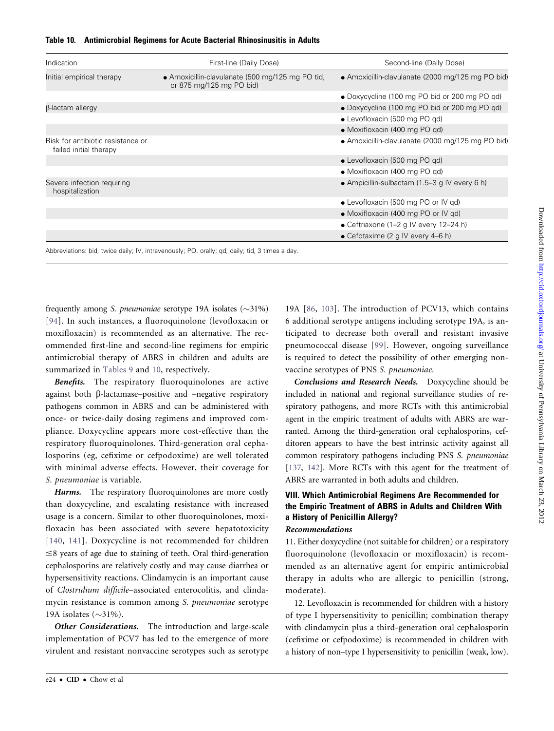<span id="page-23-0"></span>

| Indication                                                  | First-line (Daily Dose)                                                                        | Second-line (Daily Dose)                          |
|-------------------------------------------------------------|------------------------------------------------------------------------------------------------|---------------------------------------------------|
| Initial empirical therapy                                   | · Amoxicillin-clavulanate (500 mg/125 mg PO tid,<br>or 875 mg/125 mg PO bid)                   | • Amoxicillin-clavulanate (2000 mg/125 mg PO bid) |
|                                                             |                                                                                                | • Doxycycline (100 mg PO bid or 200 mg PO gd)     |
| β-lactam allergy                                            |                                                                                                | • Doxycycline (100 mg PO bid or 200 mg PO qd)     |
|                                                             |                                                                                                | • Levofloxacin (500 mg PO qd)                     |
|                                                             |                                                                                                | • Moxifloxacin (400 mg PO gd)                     |
| Risk for antibiotic resistance or<br>failed initial therapy |                                                                                                | • Amoxicillin-clavulanate (2000 mg/125 mg PO bid) |
|                                                             |                                                                                                | • Levofloxacin (500 mg PO qd)                     |
|                                                             |                                                                                                | • Moxifloxacin (400 mg PO qd)                     |
| Severe infection requiring<br>hospitalization               |                                                                                                | • Ampicillin-sulbactam (1.5–3 g IV every 6 h)     |
|                                                             |                                                                                                | • Levofloxacin (500 mg PO or IV gd)               |
|                                                             |                                                                                                | • Moxifloxacin (400 mg PO or IV gd)               |
|                                                             |                                                                                                | • Ceftriaxone (1–2 g IV every 12–24 h)            |
|                                                             |                                                                                                | • Cefotaxime (2 g IV every 4-6 h)                 |
|                                                             | Abbreviations: bid, twice daily; IV, intravenously; PO, orally; qd, daily; tid, 3 times a day. |                                                   |

frequently among S. pneumoniae serotype 19A isolates  $(\sim 31\%)$ [[94](#page-37-0)]. In such instances, a fluoroquinolone (levofloxacin or moxifloxacin) is recommended as an alternative. The recommended first-line and second-line regimens for empiric antimicrobial therapy of ABRS in children and adults are summarized in Tables 9 and [10](#page-22-0), respectively.

Benefits. The respiratory fluoroquinolones are active against both  $\beta$ -lactamase–positive and –negative respiratory pathogens common in ABRS and can be administered with once- or twice-daily dosing regimens and improved compliance. Doxycycline appears more cost-effective than the respiratory fluoroquinolones. Third-generation oral cephalosporins (eg, cefixime or cefpodoxime) are well tolerated with minimal adverse effects. However, their coverage for S. pneumoniae is variable.

Harms. The respiratory fluoroquinolones are more costly than doxycycline, and escalating resistance with increased usage is a concern. Similar to other fluoroquinolones, moxifloxacin has been associated with severe hepatotoxicity [[140,](#page-38-0) [141\]](#page-38-0). Doxycycline is not recommended for children  $\leq$ 8 years of age due to staining of teeth. Oral third-generation cephalosporins are relatively costly and may cause diarrhea or hypersensitivity reactions. Clindamycin is an important cause of Clostridium difficile–associated enterocolitis, and clindamycin resistance is common among S. pneumoniae serotype 19A isolates  $(\sim 31\%)$ .

Other Considerations. The introduction and large-scale implementation of PCV7 has led to the emergence of more virulent and resistant nonvaccine serotypes such as serotype

19A [[86](#page-37-0), [103](#page-37-0)]. The introduction of PCV13, which contains 6 additional serotype antigens including serotype 19A, is anticipated to decrease both overall and resistant invasive pneumococcal disease [[99\]](#page-37-0). However, ongoing surveillance is required to detect the possibility of other emerging nonvaccine serotypes of PNS S. pneumoniae.

Conclusions and Research Needs. Doxycycline should be included in national and regional surveillance studies of respiratory pathogens, and more RCTs with this antimicrobial agent in the empiric treatment of adults with ABRS are warranted. Among the third-generation oral cephalosporins, cefditoren appears to have the best intrinsic activity against all common respiratory pathogens including PNS S. pneumoniae [\[137,](#page-38-0) [142\]](#page-38-0). More RCTs with this agent for the treatment of ABRS are warranted in both adults and children.

# VIII. Which Antimicrobial Regimens Are Recommended for the Empiric Treatment of ABRS in Adults and Children With a History of Penicillin Allergy?

# Recommendations

11. Either doxycycline (not suitable for children) or a respiratory fluoroquinolone (levofloxacin or moxifloxacin) is recommended as an alternative agent for empiric antimicrobial therapy in adults who are allergic to penicillin (strong, moderate).

12. Levofloxacin is recommended for children with a history of type I hypersensitivity to penicillin; combination therapy with clindamycin plus a third-generation oral cephalosporin (cefixime or cefpodoxime) is recommended in children with a history of non–type I hypersensitivity to penicillin (weak, low).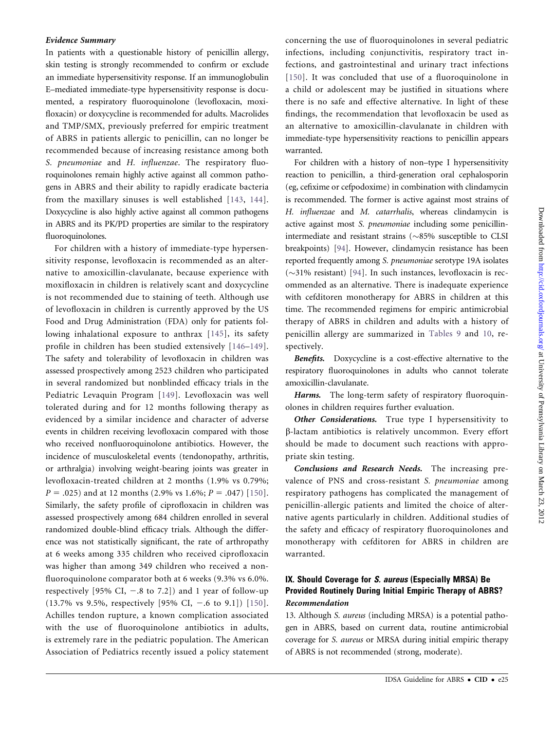### Evidence Summary

In patients with a questionable history of penicillin allergy, skin testing is strongly recommended to confirm or exclude an immediate hypersensitivity response. If an immunoglobulin E–mediated immediate-type hypersensitivity response is documented, a respiratory fluoroquinolone (levofloxacin, moxifloxacin) or doxycycline is recommended for adults. Macrolides and TMP/SMX, previously preferred for empiric treatment of ABRS in patients allergic to penicillin, can no longer be recommended because of increasing resistance among both S. pneumoniae and H. influenzae. The respiratory fluoroquinolones remain highly active against all common pathogens in ABRS and their ability to rapidly eradicate bacteria from the maxillary sinuses is well established [[143,](#page-38-0) [144](#page-38-0)]. Doxycycline is also highly active against all common pathogens in ABRS and its PK/PD properties are similar to the respiratory fluoroquinolones.

For children with a history of immediate-type hypersensitivity response, levofloxacin is recommended as an alternative to amoxicillin-clavulanate, because experience with moxifloxacin in children is relatively scant and doxycycline is not recommended due to staining of teeth. Although use of levofloxacin in children is currently approved by the US Food and Drug Administration (FDA) only for patients following inhalational exposure to anthrax [[145](#page-38-0)], its safety profile in children has been studied extensively [[146–149](#page-38-0)]. The safety and tolerability of levofloxacin in children was assessed prospectively among 2523 children who participated in several randomized but nonblinded efficacy trials in the Pediatric Levaquin Program [\[149](#page-38-0)]. Levofloxacin was well tolerated during and for 12 months following therapy as evidenced by a similar incidence and character of adverse events in children receiving levofloxacin compared with those who received nonfluoroquinolone antibiotics. However, the incidence of musculoskeletal events (tendonopathy, arthritis, or arthralgia) involving weight-bearing joints was greater in levofloxacin-treated children at 2 months (1.9% vs 0.79%;  $P = .025$ ) and at 12 months (2.9% vs 1.6%;  $P = .047$ ) [[150](#page-38-0)]. Similarly, the safety profile of ciprofloxacin in children was assessed prospectively among 684 children enrolled in several randomized double-blind efficacy trials. Although the difference was not statistically significant, the rate of arthropathy at 6 weeks among 335 children who received ciprofloxacin was higher than among 349 children who received a nonfluoroquinolone comparator both at 6 weeks (9.3% vs 6.0%. respectively [95% CI,  $-.8$  to 7.2]) and 1 year of follow-up (13.7% vs 9.5%, respectively [95% CI,  $-.6$  to 9.1]) [[150](#page-38-0)]. Achilles tendon rupture, a known complication associated with the use of fluoroquinolone antibiotics in adults, is extremely rare in the pediatric population. The American Association of Pediatrics recently issued a policy statement

concerning the use of fluoroquinolones in several pediatric infections, including conjunctivitis, respiratory tract infections, and gastrointestinal and urinary tract infections [[150\]](#page-38-0). It was concluded that use of a fluoroquinolone in a child or adolescent may be justified in situations where there is no safe and effective alternative. In light of these findings, the recommendation that levofloxacin be used as an alternative to amoxicillin-clavulanate in children with immediate-type hypersensitivity reactions to penicillin appears warranted.

For children with a history of non–type I hypersensitivity reaction to penicillin, a third-generation oral cephalosporin (eg, cefixime or cefpodoxime) in combination with clindamycin is recommended. The former is active against most strains of H. influenzae and M. catarrhalis, whereas clindamycin is active against most S. pneumoniae including some penicillinintermediate and resistant strains  $(\sim 85\%$  susceptible to CLSI breakpoints) [\[94](#page-37-0)]. However, clindamycin resistance has been reported frequently among S. pneumoniae serotype 19A isolates  $(\sim$ 31% resistant) [\[94\]](#page-37-0). In such instances, levofloxacin is recommended as an alternative. There is inadequate experience with cefditoren monotherapy for ABRS in children at this time. The recommended regimens for empiric antimicrobial therapy of ABRS in children and adults with a history of penicillin allergy are summarized in [Tables 9](#page-23-0) and [10](#page-22-0), respectively.

Benefits. Doxycycline is a cost-effective alternative to the respiratory fluoroquinolones in adults who cannot tolerate amoxicillin-clavulanate.

Harms. The long-term safety of respiratory fluoroquinolones in children requires further evaluation.

Other Considerations. True type I hypersensitivity to b-lactam antibiotics is relatively uncommon. Every effort should be made to document such reactions with appropriate skin testing.

Conclusions and Research Needs. The increasing prevalence of PNS and cross-resistant S. pneumoniae among respiratory pathogens has complicated the management of penicillin-allergic patients and limited the choice of alternative agents particularly in children. Additional studies of the safety and efficacy of respiratory fluoroquinolones and monotherapy with cefditoren for ABRS in children are warranted.

# IX. Should Coverage for S. aureus (Especially MRSA) Be Provided Routinely During Initial Empiric Therapy of ABRS? Recommendation

13. Although S. aureus (including MRSA) is a potential pathogen in ABRS, based on current data, routine antimicrobial coverage for S. aureus or MRSA during initial empiric therapy of ABRS is not recommended (strong, moderate).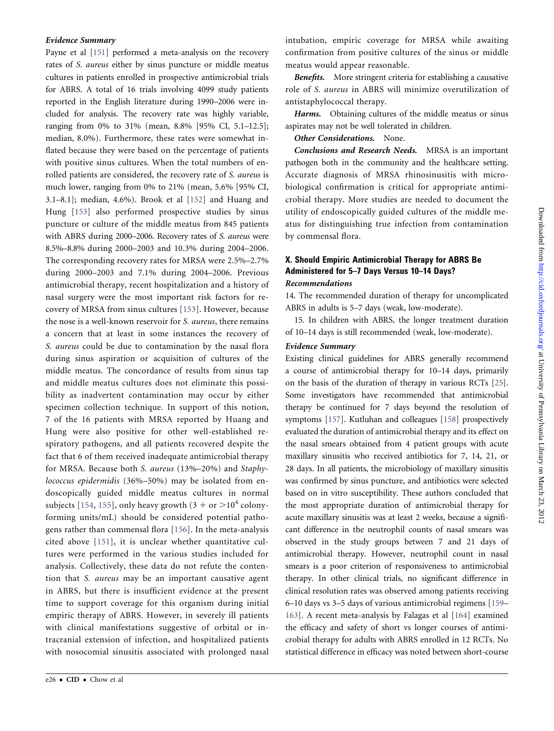#### Evidence Summary

Payne et al [[151](#page-38-0)] performed a meta-analysis on the recovery rates of S. aureus either by sinus puncture or middle meatus cultures in patients enrolled in prospective antimicrobial trials for ABRS. A total of 16 trials involving 4099 study patients reported in the English literature during 1990–2006 were included for analysis. The recovery rate was highly variable, ranging from 0% to 31% (mean, 8.8% [95% CI, 5.1–12.5]; median, 8.0%). Furthermore, these rates were somewhat inflated because they were based on the percentage of patients with positive sinus cultures. When the total numbers of enrolled patients are considered, the recovery rate of S. aureus is much lower, ranging from 0% to 21% (mean, 5.6% [95% CI, 3.1–8.1]; median, 4.6%). Brook et al [[152](#page-38-0)] and Huang and Hung [\[153\]](#page-38-0) also performed prospective studies by sinus puncture or culture of the middle meatus from 845 patients with ABRS during 2000–2006. Recovery rates of S. aureus were 8.5%–8.8% during 2000–2003 and 10.3% during 2004–2006. The corresponding recovery rates for MRSA were 2.5%–2.7% during 2000–2003 and 7.1% during 2004–2006. Previous antimicrobial therapy, recent hospitalization and a history of nasal surgery were the most important risk factors for recovery of MRSA from sinus cultures [\[153](#page-38-0)]. However, because the nose is a well-known reservoir for S. aureus, there remains a concern that at least in some instances the recovery of S. aureus could be due to contamination by the nasal flora during sinus aspiration or acquisition of cultures of the middle meatus. The concordance of results from sinus tap and middle meatus cultures does not eliminate this possibility as inadvertent contamination may occur by either specimen collection technique. In support of this notion, 7 of the 16 patients with MRSA reported by Huang and Hung were also positive for other well-established respiratory pathogens, and all patients recovered despite the fact that 6 of them received inadequate antimicrobial therapy for MRSA. Because both S. aureus (13%–20%) and Staphylococcus epidermidis (36%–50%) may be isolated from endoscopically guided middle meatus cultures in normal subjects [\[154](#page-39-0), [155](#page-39-0)], only heavy growth  $(3 + or >10<sup>4</sup>$  colonyforming units/mL) should be considered potential pathogens rather than commensal flora [[156\]](#page-39-0). In the meta-analysis cited above [[151](#page-38-0)], it is unclear whether quantitative cultures were performed in the various studies included for analysis. Collectively, these data do not refute the contention that S. aureus may be an important causative agent in ABRS, but there is insufficient evidence at the present time to support coverage for this organism during initial empiric therapy of ABRS. However, in severely ill patients with clinical manifestations suggestive of orbital or intracranial extension of infection, and hospitalized patients with nosocomial sinusitis associated with prolonged nasal

intubation, empiric coverage for MRSA while awaiting confirmation from positive cultures of the sinus or middle meatus would appear reasonable.

Benefits. More stringent criteria for establishing a causative role of S. aureus in ABRS will minimize overutilization of antistaphylococcal therapy.

Harms. Obtaining cultures of the middle meatus or sinus aspirates may not be well tolerated in children.

#### Other Considerations. None.

Conclusions and Research Needs. MRSA is an important pathogen both in the community and the healthcare setting. Accurate diagnosis of MRSA rhinosinusitis with microbiological confirmation is critical for appropriate antimicrobial therapy. More studies are needed to document the utility of endoscopically guided cultures of the middle meatus for distinguishing true infection from contamination by commensal flora.

### X. Should Empiric Antimicrobial Therapy for ABRS Be Administered for 5–7 Days Versus 10–14 Days? Recommendations

14. The recommended duration of therapy for uncomplicated ABRS in adults is 5–7 days (weak, low-moderate).

15. In children with ABRS, the longer treatment duration of 10–14 days is still recommended (weak, low-moderate).

# Evidence Summary

Existing clinical guidelines for ABRS generally recommend a course of antimicrobial therapy for 10–14 days, primarily on the basis of the duration of therapy in various RCTs [\[25](#page-35-0)]. Some investigators have recommended that antimicrobial therapy be continued for 7 days beyond the resolution of symptoms [[157](#page-39-0)]. Kutluhan and colleagues [[158\]](#page-39-0) prospectively evaluated the duration of antimicrobial therapy and its effect on the nasal smears obtained from 4 patient groups with acute maxillary sinusitis who received antibiotics for 7, 14, 21, or 28 days. In all patients, the microbiology of maxillary sinusitis was confirmed by sinus puncture, and antibiotics were selected based on in vitro susceptibility. These authors concluded that the most appropriate duration of antimicrobial therapy for acute maxillary sinusitis was at least 2 weeks, because a significant difference in the neutrophil counts of nasal smears was observed in the study groups between 7 and 21 days of antimicrobial therapy. However, neutrophil count in nasal smears is a poor criterion of responsiveness to antimicrobial therapy. In other clinical trials, no significant difference in clinical resolution rates was observed among patients receiving 6–10 days vs 3–5 days of various antimicrobial regimens [[159](#page-39-0)– [163\]](#page-39-0). A recent meta-analysis by Falagas et al [\[164](#page-39-0)] examined the efficacy and safety of short vs longer courses of antimicrobial therapy for adults with ABRS enrolled in 12 RCTs. No statistical difference in efficacy was noted between short-course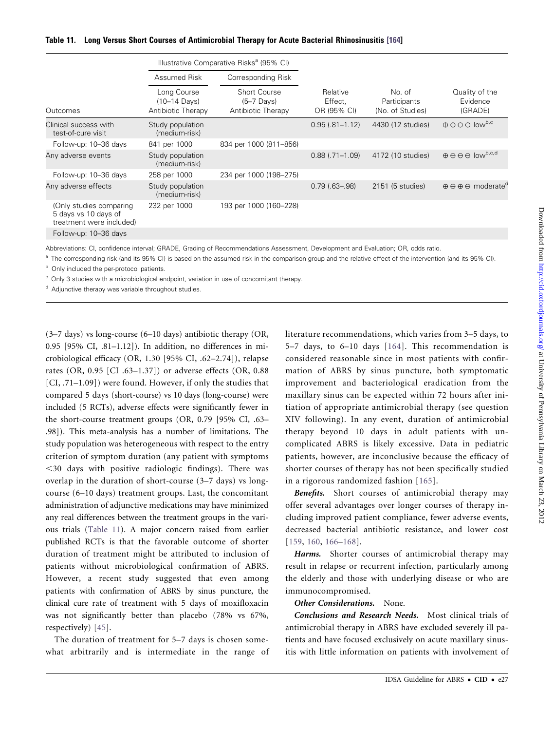|                                                                             | Illustrative Comparative Risks <sup>a</sup> (95% CI)         |                                                           |                                    |                                            |                                                                 |
|-----------------------------------------------------------------------------|--------------------------------------------------------------|-----------------------------------------------------------|------------------------------------|--------------------------------------------|-----------------------------------------------------------------|
|                                                                             | Assumed Risk                                                 | Corresponding Risk                                        |                                    |                                            |                                                                 |
| Outcomes                                                                    | Long Course<br>$(10-14 \text{ Davis})$<br>Antibiotic Therapy | <b>Short Course</b><br>$(5-7$ Days)<br>Antibiotic Therapy | Relative<br>Effect,<br>OR (95% CI) | No. of<br>Participants<br>(No. of Studies) | Quality of the<br>Evidence<br>(GRADE)                           |
| Clinical success with<br>test-of-cure visit                                 | Study population<br>(medium-risk)                            |                                                           | $0.95(.81 - 1.12)$                 | 4430 (12 studies)                          | $\oplus$ $\oplus$ $\ominus$ $\ominus$ $\text{low}^{\text{b,c}}$ |
| Follow-up: 10-36 days                                                       | 841 per 1000                                                 | 834 per 1000 (811-856)                                    |                                    |                                            |                                                                 |
| Any adverse events                                                          | Study population<br>(medium-risk)                            |                                                           | $0.88$ $(.71 - 1.09)$              | 4172 (10 studies)                          | $\oplus$ $\oplus$ $\ominus$ $\ominus$ low <sup>b,c,d</sup>      |
| Follow-up: 10-36 days                                                       | 258 per 1000                                                 | 234 per 1000 (198-275)                                    |                                    |                                            |                                                                 |
| Any adverse effects                                                         | Study population<br>(medium-risk)                            |                                                           | $0.79(.63-.98)$                    | 2151 (5 studies)                           | $\oplus$ $\oplus$ $\oplus$ $\oplus$ moderate <sup>d</sup>       |
| (Only studies comparing<br>5 days vs 10 days of<br>treatment were included) | 232 per 1000                                                 | 193 per 1000 (160-228)                                    |                                    |                                            |                                                                 |
| Follow-up: 10-36 days                                                       |                                                              |                                                           |                                    |                                            |                                                                 |

Abbreviations: CI, confidence interval; GRADE, Grading of Recommendations Assessment, Development and Evaluation; OR, odds ratio.

a The corresponding risk (and its 95% CI) is based on the assumed risk in the comparison group and the relative effect of the intervention (and its 95% CI). **b** Only included the per-protocol patients.

 $\degree$  Only 3 studies with a microbiological endpoint, variation in use of concomitant therapy.

<sup>d</sup> Adjunctive therapy was variable throughout studies.

 $(3-7$  days) vs long-course  $(6-10$  days) antibiotic therapy  $(OR,$ 0.95 [95% CI, .81–1.12]). In addition, no differences in microbiological efficacy (OR, 1.30 [95% CI, .62–2.74]), relapse rates (OR, 0.95 [CI .63–1.37]) or adverse effects (OR, 0.88 [CI, .71–1.09]) were found. However, if only the studies that compared 5 days (short-course) vs 10 days (long-course) were included (5 RCTs), adverse effects were significantly fewer in the short-course treatment groups (OR, 0.79 [95% CI, .63– .98]). This meta-analysis has a number of limitations. The study population was heterogeneous with respect to the entry criterion of symptom duration (any patient with symptoms ,30 days with positive radiologic findings). There was overlap in the duration of short-course (3–7 days) vs longcourse (6–10 days) treatment groups. Last, the concomitant administration of adjunctive medications may have minimized any real differences between the treatment groups in the various trials (Table 11). A major concern raised from earlier published RCTs is that the favorable outcome of shorter duration of treatment might be attributed to inclusion of patients without microbiological confirmation of ABRS. However, a recent study suggested that even among patients with confirmation of ABRS by sinus puncture, the clinical cure rate of treatment with 5 days of moxifloxacin was not significantly better than placebo (78% vs 67%, respectively) [\[45](#page-36-0)].

The duration of treatment for 5–7 days is chosen somewhat arbitrarily and is intermediate in the range of literature recommendations, which varies from 3–5 days, to 5–7 days, to 6–10 days [[164](#page-39-0)]. This recommendation is considered reasonable since in most patients with confirmation of ABRS by sinus puncture, both symptomatic improvement and bacteriological eradication from the maxillary sinus can be expected within 72 hours after initiation of appropriate antimicrobial therapy (see question XIV following). In any event, duration of antimicrobial therapy beyond 10 days in adult patients with uncomplicated ABRS is likely excessive. Data in pediatric patients, however, are inconclusive because the efficacy of shorter courses of therapy has not been specifically studied in a rigorous randomized fashion [\[165\]](#page-39-0).

Benefits. Short courses of antimicrobial therapy may offer several advantages over longer courses of therapy including improved patient compliance, fewer adverse events, decreased bacterial antibiotic resistance, and lower cost [[159,](#page-39-0) [160](#page-39-0), [166–168\]](#page-39-0).

Harms. Shorter courses of antimicrobial therapy may result in relapse or recurrent infection, particularly among the elderly and those with underlying disease or who are immunocompromised.

### Other Considerations. None.

Conclusions and Research Needs. Most clinical trials of antimicrobial therapy in ABRS have excluded severely ill patients and have focused exclusively on acute maxillary sinusitis with little information on patients with involvement of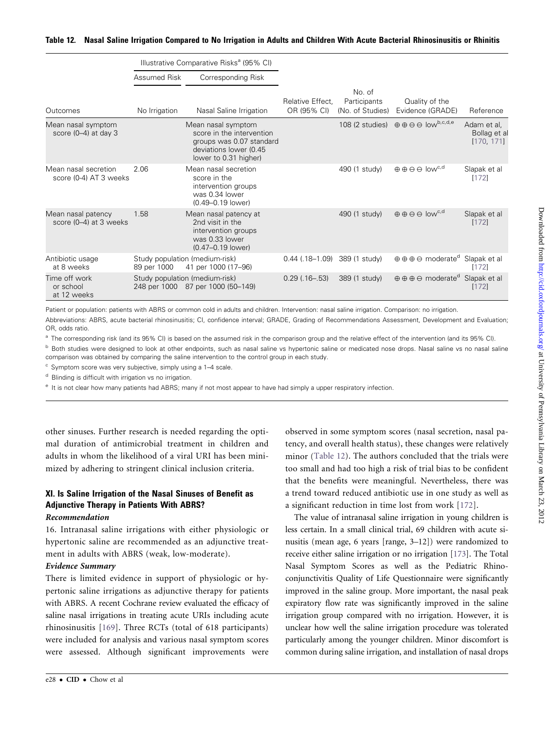|                                                | Illustrative Comparative Risks <sup>a</sup> (95% CI) |                                                                                                                                |                                 |                                            |                                                                                  |                                           |
|------------------------------------------------|------------------------------------------------------|--------------------------------------------------------------------------------------------------------------------------------|---------------------------------|--------------------------------------------|----------------------------------------------------------------------------------|-------------------------------------------|
|                                                | Assumed Risk                                         | Corresponding Risk                                                                                                             |                                 |                                            |                                                                                  |                                           |
| Outcomes                                       | No Irrigation                                        | Nasal Saline Irrigation                                                                                                        | Relative Effect,<br>OR (95% CI) | No. of<br>Participants<br>(No. of Studies) | Quality of the<br>Evidence (GRADE)                                               | Reference                                 |
| Mean nasal symptom<br>score $(0-4)$ at day 3   |                                                      | Mean nasal symptom<br>score in the intervention<br>groups was 0.07 standard<br>deviations lower (0.45<br>lower to 0.31 higher) |                                 | 108 (2 studies)                            | $\oplus$ $\oplus$ $\ominus$ $\ominus$ low <sup>b,c,d,e</sup>                     | Adam et al.<br>Bollag et al<br>[170, 171] |
| Mean nasal secretion<br>score (0-4) AT 3 weeks | 2.06                                                 | Mean nasal secretion<br>score in the<br>intervention groups<br>was 0.34 lower<br>(0.49-0.19 lower)                             |                                 | 490 (1 study)                              | $\oplus$ $\oplus$ $\ominus$ $\oplus$ low <sup>c,d</sup>                          | Slapak et al<br>[172]                     |
| Mean nasal patency<br>score (0-4) at 3 weeks   | 1.58                                                 | Mean nasal patency at<br>2nd visit in the<br>intervention groups<br>was 0.33 lower<br>$(0.47 - 0.19$ lower)                    |                                 | 490 (1 study)                              | $\oplus$ $\oplus$ $\ominus$ $\ominus$ $\text{low}^{\scriptscriptstyle \rm c, d}$ | Slapak et al<br>[172]                     |
| Antibiotic usage<br>at 8 weeks                 | 89 per 1000                                          | Study population (medium-risk)<br>41 per 1000 (17-96)                                                                          | $0.44$ (.18-1.09)               | 389 (1 study)                              | $\oplus$ $\oplus$ $\oplus$ $\oplus$ moderate <sup>d</sup> Slapak et al           | [172]                                     |
| Time off work<br>or school<br>at 12 weeks      |                                                      | Study population (medium-risk)<br>248 per 1000 87 per 1000 (50-149)                                                            | $0.29$ (.16 - .53)              | 389 (1 study)                              | $\oplus$ $\oplus$ $\oplus$ $\oplus$ moderate <sup>d</sup> Slapak et al           | [172]                                     |

Patient or population: patients with ABRS or common cold in adults and children. Intervention: nasal saline irrigation. Comparison: no irrigation.

Abbreviations: ABRS, acute bacterial rhinosinusitis; CI, confidence interval; GRADE, Grading of Recommendations Assessment, Development and Evaluation; OR, odds ratio.

a The corresponding risk (and its 95% CI) is based on the assumed risk in the comparison group and the relative effect of the intervention (and its 95% CI). <sup>b</sup> Both studies were designed to look at other endpoints, such as nasal saline vs hypertonic saline or medicated nose drops. Nasal saline vs no nasal saline comparison was obtained by comparing the saline intervention to the control group in each study.

<sup>c</sup> Symptom score was very subjective, simply using a 1–4 scale.

<sup>d</sup> Blinding is difficult with irrigation vs no irrigation.

<sup>e</sup> It is not clear how many patients had ABRS; many if not most appear to have had simply a upper respiratory infection.

other sinuses. Further research is needed regarding the optimal duration of antimicrobial treatment in children and adults in whom the likelihood of a viral URI has been minimized by adhering to stringent clinical inclusion criteria.

# XI. Is Saline Irrigation of the Nasal Sinuses of Benefit as Adjunctive Therapy in Patients With ABRS?

### Recommendation

16. Intranasal saline irrigations with either physiologic or hypertonic saline are recommended as an adjunctive treatment in adults with ABRS (weak, low-moderate).

#### Evidence Summary

There is limited evidence in support of physiologic or hypertonic saline irrigations as adjunctive therapy for patients with ABRS. A recent Cochrane review evaluated the efficacy of saline nasal irrigations in treating acute URIs including acute rhinosinusitis [\[169](#page-39-0)]. Three RCTs (total of 618 participants) were included for analysis and various nasal symptom scores were assessed. Although significant improvements were

observed in some symptom scores (nasal secretion, nasal patency, and overall health status), these changes were relatively minor (Table 12). The authors concluded that the trials were too small and had too high a risk of trial bias to be confident that the benefits were meaningful. Nevertheless, there was a trend toward reduced antibiotic use in one study as well as a significant reduction in time lost from work [\[172](#page-39-0)].

The value of intranasal saline irrigation in young children is less certain. In a small clinical trial, 69 children with acute sinusitis (mean age, 6 years [range, 3–12]) were randomized to receive either saline irrigation or no irrigation [\[173](#page-39-0)]. The Total Nasal Symptom Scores as well as the Pediatric Rhinoconjunctivitis Quality of Life Questionnaire were significantly improved in the saline group. More important, the nasal peak expiratory flow rate was significantly improved in the saline irrigation group compared with no irrigation. However, it is unclear how well the saline irrigation procedure was tolerated particularly among the younger children. Minor discomfort is common during saline irrigation, and installation of nasal drops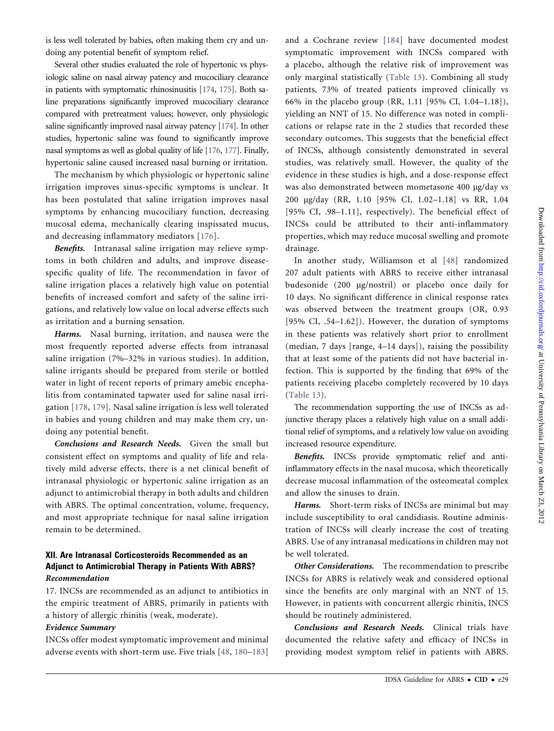is less well tolerated by babies, often making them cry and undoing any potential benefit of symptom relief.

Several other studies evaluated the role of hypertonic vs physiologic saline on nasal airway patency and mucociliary clearance in patients with symptomatic rhinosinusitis [\[174,](#page-39-0) [175](#page-39-0)]. Both saline preparations significantly improved mucociliary clearance compared with pretreatment values; however, only physiologic saline significantly improved nasal airway patency [\[174](#page-39-0)]. In other studies, hypertonic saline was found to significantly improve nasal symptoms as well as global quality of life [\[176](#page-39-0), [177\]](#page-39-0). Finally, hypertonic saline caused increased nasal burning or irritation.

The mechanism by which physiologic or hypertonic saline irrigation improves sinus-specific symptoms is unclear. It has been postulated that saline irrigation improves nasal symptoms by enhancing mucociliary function, decreasing mucosal edema, mechanically clearing inspissated mucus, and decreasing inflammatory mediators [[176\]](#page-39-0).

Benefits. Intranasal saline irrigation may relieve symptoms in both children and adults, and improve diseasespecific quality of life. The recommendation in favor of saline irrigation places a relatively high value on potential benefits of increased comfort and safety of the saline irrigations, and relatively low value on local adverse effects such as irritation and a burning sensation.

Harms. Nasal burning, irritation, and nausea were the most frequently reported adverse effects from intranasal saline irrigation (7%–32% in various studies). In addition, saline irrigants should be prepared from sterile or bottled water in light of recent reports of primary amebic encephalitis from contaminated tapwater used for saline nasal irrigation [[178](#page-39-0), [179\]](#page-39-0). Nasal saline irrigation is less well tolerated in babies and young children and may make them cry, undoing any potential benefit.

Conclusions and Research Needs. Given the small but consistent effect on symptoms and quality of life and relatively mild adverse effects, there is a net clinical benefit of intranasal physiologic or hypertonic saline irrigation as an adjunct to antimicrobial therapy in both adults and children with ABRS. The optimal concentration, volume, frequency, and most appropriate technique for nasal saline irrigation remain to be determined.

# XII. Are Intranasal Corticosteroids Recommended as an Adjunct to Antimicrobial Therapy in Patients With ABRS? Recommendation

17. INCSs are recommended as an adjunct to antibiotics in the empiric treatment of ABRS, primarily in patients with a history of allergic rhinitis (weak, moderate).

### Evidence Summary

INCSs offer modest symptomatic improvement and minimal adverse events with short-term use. Five trials [[48](#page-36-0), [180–183](#page-39-0)]

and a Cochrane review [\[184](#page-39-0)] have documented modest symptomatic improvement with INCSs compared with a placebo, although the relative risk of improvement was only marginal statistically [\(Table 13](#page-29-0)). Combining all study patients, 73% of treated patients improved clinically vs 66% in the placebo group (RR, 1.11 [95% CI, 1.04–1.18]), yielding an NNT of 15. No difference was noted in complications or relapse rate in the 2 studies that recorded these secondary outcomes. This suggests that the beneficial effect of INCSs, although consistently demonstrated in several studies, was relatively small. However, the quality of the evidence in these studies is high, and a dose-response effect was also demonstrated between mometasone 400 µg/day vs 200 lg/day (RR, 1.10 [95% CI, 1.02–1.18] vs RR, 1.04 [95% CI, .98–1.11], respectively). The beneficial effect of INCSs could be attributed to their anti-inflammatory properties, which may reduce mucosal swelling and promote drainage.

In another study, Williamson et al [\[48\]](#page-36-0) randomized 207 adult patients with ABRS to receive either intranasal budesonide (200 µg/nostril) or placebo once daily for 10 days. No significant difference in clinical response rates was observed between the treatment groups (OR, 0.93 [95% CI, .54–1.62]). However, the duration of symptoms in these patients was relatively short prior to enrollment (median, 7 days [range, 4–14 days]), raising the possibility that at least some of the patients did not have bacterial infection. This is supported by the finding that 69% of the patients receiving placebo completely recovered by 10 days ([Table 13\)](#page-29-0).

The recommendation supporting the use of INCSs as adjunctive therapy places a relatively high value on a small additional relief of symptoms, and a relatively low value on avoiding increased resource expenditure.

Benefits. INCSs provide symptomatic relief and antiinflammatory effects in the nasal mucosa, which theoretically decrease mucosal inflammation of the osteomeatal complex and allow the sinuses to drain.

Harms. Short-term risks of INCSs are minimal but may include susceptibility to oral candidiasis. Routine administration of INCSs will clearly increase the cost of treating ABRS. Use of any intranasal medications in children may not be well tolerated.

Other Considerations. The recommendation to prescribe INCSs for ABRS is relatively weak and considered optional since the benefits are only marginal with an NNT of 15. However, in patients with concurrent allergic rhinitis, INCS should be routinely administered.

Conclusions and Research Needs. Clinical trials have documented the relative safety and efficacy of INCSs in providing modest symptom relief in patients with ABRS.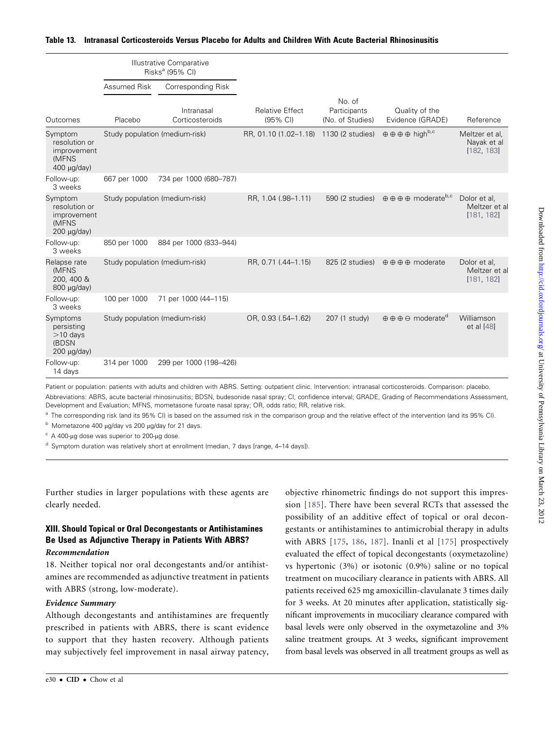<span id="page-29-0"></span>

|                                                                            | Illustrative Comparative<br>Risks <sup>ª</sup> (95% CI) |                               |                                        |                                            |                                                         |                                             |
|----------------------------------------------------------------------------|---------------------------------------------------------|-------------------------------|----------------------------------------|--------------------------------------------|---------------------------------------------------------|---------------------------------------------|
|                                                                            | Assumed Risk                                            | Corresponding Risk            |                                        |                                            |                                                         |                                             |
| Outcomes                                                                   | Placebo                                                 | Intranasal<br>Corticosteroids | <b>Relative Effect</b><br>(95% CI)     | No. of<br>Participants<br>(No. of Studies) | Quality of the<br>Evidence (GRADE)                      | Reference                                   |
| Symptom<br>resolution or<br>improvement<br>(MFNS<br>$400 \mu g/day$        | Study population (medium-risk)                          |                               | RR, 01.10 (1.02-1.18) 1130 (2 studies) |                                            | $\oplus$ $\oplus$ $\oplus$ $\oplus$ high <sup>b,c</sup> | Meltzer et al,<br>Nayak et al<br>[182, 183] |
| Follow-up:<br>3 weeks                                                      | 667 per 1000                                            | 734 per 1000 (680-787)        |                                        |                                            |                                                         |                                             |
| Symptom<br>resolution or<br>improvement<br><b>IMFNS</b><br>$200 \mu g/day$ | Study population (medium-risk)                          |                               | RR, 1.04 (.98-1.11)                    | 590 (2 studies)                            | $\oplus$ $\oplus$ $\oplus$ moderate <sup>b,c</sup>      | Dolor et al.<br>Meltzer et al<br>[181, 182] |
| Follow-up:<br>3 weeks                                                      | 850 per 1000                                            | 884 per 1000 (833-944)        |                                        |                                            |                                                         |                                             |
| Relapse rate<br><b>IMFNS</b><br>200, 400 &<br>800 μg/day)                  | Study population (medium-risk)                          |                               | RR, 0.71 (.44–1.15)                    | 825 (2 studies)                            | $\oplus$ $\oplus$ $\oplus$ moderate                     | Dolor et al,<br>Meltzer et al<br>[181, 182] |
| Follow-up:<br>3 weeks                                                      | 100 per 1000                                            | 71 per 1000 (44-115)          |                                        |                                            |                                                         |                                             |
| Symptoms<br>persisting<br>$>10$ days<br>(BDSN<br>$200 \mu g/day$           | Study population (medium-risk)                          |                               | OR, 0.93 (.54-1.62)                    | 207 (1 study)                              | $\oplus \oplus \oplus \oplus$ moderate <sup>d</sup>     | Williamson<br>et al [48]                    |
| Follow-up:<br>14 days                                                      | 314 per 1000                                            | 299 per 1000 (198-426)        |                                        |                                            |                                                         |                                             |

Patient or population: patients with adults and children with ABRS. Setting: outpatient clinic. Intervention: intranasal corticosteroids. Comparison: placebo. Abbreviations: ABRS, acute bacterial rhinosinusitis; BDSN, budesonide nasal spray; CI, confidence interval; GRADE, Grading of Recommendations Assessment, Development and Evaluation; MFNS, mometasone furoate nasal spray; OR, odds ratio; RR, relative risk.

a The corresponding risk (and its 95% CI) is based on the assumed risk in the comparison group and the relative effect of the intervention (and its 95% CI).

 $<sup>b</sup>$  Mometazone 400 µg/day vs 200 µg/day for 21 days.</sup>

 $\degree$  A 400-µg dose was superior to 200-µg dose.

<sup>d</sup> Symptom duration was relatively short at enrollment (median, 7 days [range, 4-14 days]).

Further studies in larger populations with these agents are clearly needed.

### XIII. Should Topical or Oral Decongestants or Antihistamines Be Used as Adjunctive Therapy in Patients With ABRS? Recommendation

18. Neither topical nor oral decongestants and/or antihistamines are recommended as adjunctive treatment in patients with ABRS (strong, low-moderate).

# Evidence Summary

Although decongestants and antihistamines are frequently prescribed in patients with ABRS, there is scant evidence to support that they hasten recovery. Although patients may subjectively feel improvement in nasal airway patency,

objective rhinometric findings do not support this impression [[185\]](#page-39-0). There have been several RCTs that assessed the possibility of an additive effect of topical or oral decongestants or antihistamines to antimicrobial therapy in adults with ABRS [[175,](#page-39-0) [186,](#page-39-0) [187\]](#page-39-0). Inanli et al [[175](#page-39-0)] prospectively evaluated the effect of topical decongestants (oxymetazoline) vs hypertonic (3%) or isotonic (0.9%) saline or no topical treatment on mucociliary clearance in patients with ABRS. All patients received 625 mg amoxicillin-clavulanate 3 times daily for 3 weeks. At 20 minutes after application, statistically significant improvements in mucociliary clearance compared with basal levels were only observed in the oxymetazoline and 3% saline treatment groups. At 3 weeks, significant improvement from basal levels was observed in all treatment groups as well as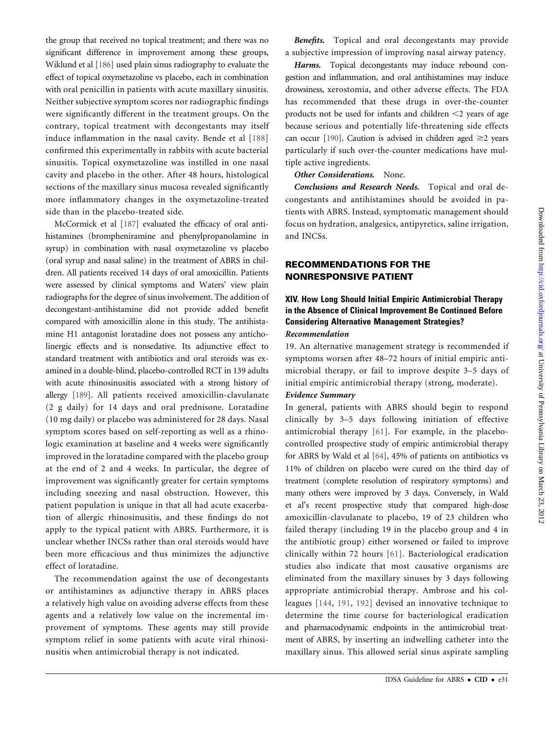the group that received no topical treatment; and there was no significant difference in improvement among these groups, Wiklund et al [\[186\]](#page-39-0) used plain sinus radiography to evaluate the effect of topical oxymetazoline vs placebo, each in combination with oral penicillin in patients with acute maxillary sinusitis. Neither subjective symptom scores nor radiographic findings were significantly different in the treatment groups. On the contrary, topical treatment with decongestants may itself induce inflammation in the nasal cavity. Bende et al [\[188](#page-39-0)] confirmed this experimentally in rabbits with acute bacterial sinusitis. Topical oxymetazoline was instilled in one nasal cavity and placebo in the other. After 48 hours, histological sections of the maxillary sinus mucosa revealed significantly more inflammatory changes in the oxymetazoline-treated side than in the placebo-treated side.

McCormick et al [\[187\]](#page-39-0) evaluated the efficacy of oral antihistamines (brompheniramine and phenylpropanolamine in syrup) in combination with nasal oxymetazoline vs placebo (oral syrup and nasal saline) in the treatment of ABRS in children. All patients received 14 days of oral amoxicillin. Patients were assessed by clinical symptoms and Waters' view plain radiographs for the degree of sinus involvement. The addition of decongestant-antihistamine did not provide added benefit compared with amoxicillin alone in this study. The antihistamine H1 antagonist loratadine does not possess any anticholinergic effects and is nonsedative. Its adjunctive effect to standard treatment with antibiotics and oral steroids was examined in a double-blind, placebo-controlled RCT in 139 adults with acute rhinosinusitis associated with a strong history of allergy [\[189\]](#page-39-0). All patients received amoxicillin-clavulanate (2 g daily) for 14 days and oral prednisone. Loratadine (10 mg daily) or placebo was administered for 28 days. Nasal symptom scores based on self-reporting as well as a rhinologic examination at baseline and 4 weeks were significantly improved in the loratadine compared with the placebo group at the end of 2 and 4 weeks. In particular, the degree of improvement was significantly greater for certain symptoms including sneezing and nasal obstruction. However, this patient population is unique in that all had acute exacerbation of allergic rhinosinusitis, and these findings do not apply to the typical patient with ABRS. Furthermore, it is unclear whether INCSs rather than oral steroids would have been more efficacious and thus minimizes the adjunctive effect of loratadine.

The recommendation against the use of decongestants or antihistamines as adjunctive therapy in ABRS places a relatively high value on avoiding adverse effects from these agents and a relatively low value on the incremental improvement of symptoms. These agents may still provide symptom relief in some patients with acute viral rhinosinusitis when antimicrobial therapy is not indicated.

Benefits. Topical and oral decongestants may provide a subjective impression of improving nasal airway patency.

Harms. Topical decongestants may induce rebound congestion and inflammation, and oral antihistamines may induce drowsiness, xerostomia, and other adverse effects. The FDA has recommended that these drugs in over-the-counter products not be used for infants and children  $\leq$  years of age because serious and potentially life-threatening side effects can occur [\[190\]](#page-39-0). Caution is advised in children aged  $\geq$  years particularly if such over-the-counter medications have multiple active ingredients.

#### Other Considerations. None.

Conclusions and Research Needs. Topical and oral decongestants and antihistamines should be avoided in patients with ABRS. Instead, symptomatic management should focus on hydration, analgesics, antipyretics, saline irrigation, and INCSs.

# RECOMMENDATIONS FOR THE NONRESPONSIVE PATIENT

# XIV. How Long Should Initial Empiric Antimicrobial Therapy in the Absence of Clinical Improvement Be Continued Before Considering Alternative Management Strategies?

### Recommendation

19. An alternative management strategy is recommended if symptoms worsen after 48–72 hours of initial empiric antimicrobial therapy, or fail to improve despite 3–5 days of initial empiric antimicrobial therapy (strong, moderate). Evidence Summary

In general, patients with ABRS should begin to respond clinically by 3–5 days following initiation of effective antimicrobial therapy [[61](#page-36-0)]. For example, in the placebocontrolled prospective study of empiric antimicrobial therapy for ABRS by Wald et al [\[64](#page-36-0)], 45% of patients on antibiotics vs 11% of children on placebo were cured on the third day of treatment (complete resolution of respiratory symptoms) and many others were improved by 3 days. Conversely, in Wald et al's recent prospective study that compared high-dose amoxicillin-clavulanate to placebo, 19 of 23 children who failed therapy (including 19 in the placebo group and 4 in the antibiotic group) either worsened or failed to improve clinically within 72 hours [\[61\]](#page-36-0). Bacteriological eradication studies also indicate that most causative organisms are eliminated from the maxillary sinuses by 3 days following appropriate antimicrobial therapy. Ambrose and his colleagues [[144,](#page-38-0) [191,](#page-39-0) [192\]](#page-39-0) devised an innovative technique to determine the time course for bacteriological eradication and pharmacodynamic endpoints in the antimicrobial treatment of ABRS, by inserting an indwelling catheter into the maxillary sinus. This allowed serial sinus aspirate sampling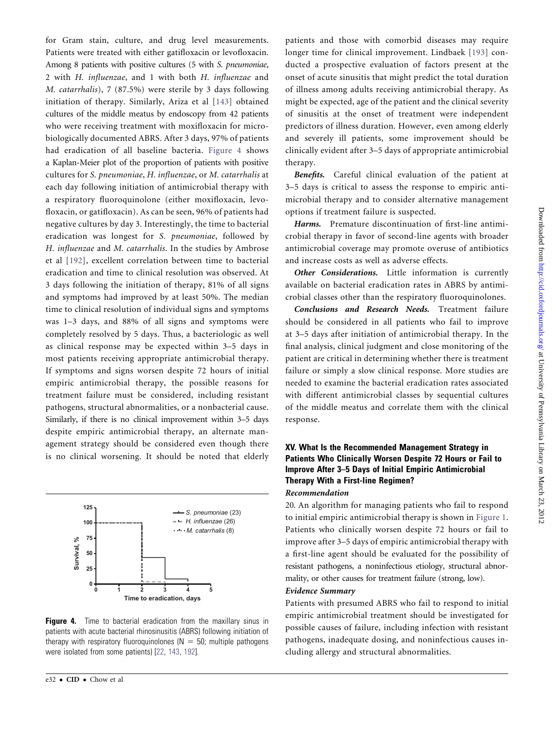for Gram stain, culture, and drug level measurements. Patients were treated with either gatifloxacin or levofloxacin. Among 8 patients with positive cultures (5 with S. pneumoniae, 2 with H. influenzae, and 1 with both H. influenzae and M. catarrhalis), 7 (87.5%) were sterile by 3 days following initiation of therapy. Similarly, Ariza et al [\[143\]](#page-38-0) obtained cultures of the middle meatus by endoscopy from 42 patients who were receiving treatment with moxifloxacin for microbiologically documented ABRS. After 3 days, 97% of patients had eradication of all baseline bacteria. Figure 4 shows a Kaplan-Meier plot of the proportion of patients with positive cultures for S. pneumoniae, H. influenzae, or M. catarrhalis at each day following initiation of antimicrobial therapy with a respiratory fluoroquinolone (either moxifloxacin, levofloxacin, or gatifloxacin). As can be seen, 96% of patients had negative cultures by day 3. Interestingly, the time to bacterial eradication was longest for S. pneumoniae, followed by H. influenzae and M. catarrhalis. In the studies by Ambrose et al [\[192](#page-39-0)], excellent correlation between time to bacterial eradication and time to clinical resolution was observed. At 3 days following the initiation of therapy, 81% of all signs and symptoms had improved by at least 50%. The median time to clinical resolution of individual signs and symptoms was 1–3 days, and 88% of all signs and symptoms were completely resolved by 5 days. Thus, a bacteriologic as well as clinical response may be expected within 3–5 days in most patients receiving appropriate antimicrobial therapy. If symptoms and signs worsen despite 72 hours of initial empiric antimicrobial therapy, the possible reasons for treatment failure must be considered, including resistant pathogens, structural abnormalities, or a nonbacterial cause. Similarly, if there is no clinical improvement within 3–5 days despite empiric antimicrobial therapy, an alternate management strategy should be considered even though there is no clinical worsening. It should be noted that elderly



**Figure 4.** Time to bacterial eradication from the maxillary sinus in patients with acute bacterial rhinosinusitis (ABRS) following initiation of therapy with respiratory fluoroquinolones ( $N = 50$ ; multiple pathogens were isolated from some patients) [[22,](#page-35-0) [143,](#page-38-0) [192](#page-39-0)].

patients and those with comorbid diseases may require longer time for clinical improvement. Lindbaek [[193](#page-40-0)] conducted a prospective evaluation of factors present at the onset of acute sinusitis that might predict the total duration of illness among adults receiving antimicrobial therapy. As might be expected, age of the patient and the clinical severity of sinusitis at the onset of treatment were independent predictors of illness duration. However, even among elderly and severely ill patients, some improvement should be clinically evident after 3–5 days of appropriate antimicrobial therapy.

Benefits. Careful clinical evaluation of the patient at 3–5 days is critical to assess the response to empiric antimicrobial therapy and to consider alternative management options if treatment failure is suspected.

Harms. Premature discontinuation of first-line antimicrobial therapy in favor of second-line agents with broader antimicrobial coverage may promote overuse of antibiotics and increase costs as well as adverse effects.

Other Considerations. Little information is currently available on bacterial eradication rates in ABRS by antimicrobial classes other than the respiratory fluoroquinolones.

Conclusions and Research Needs. Treatment failure should be considered in all patients who fail to improve at 3–5 days after initiation of antimicrobial therapy. In the final analysis, clinical judgment and close monitoring of the patient are critical in determining whether there is treatment failure or simply a slow clinical response. More studies are needed to examine the bacterial eradication rates associated with different antimicrobial classes by sequential cultures of the middle meatus and correlate them with the clinical response.

# XV. What Is the Recommended Management Strategy in Patients Who Clinically Worsen Despite 72 Hours or Fail to Improve After 3–5 Days of Initial Empiric Antimicrobial Therapy With a First-line Regimen?

# Recommendation

20. An algorithm for managing patients who fail to respond to initial empiric antimicrobial therapy is shown in [Figure 1.](#page-1-0) Patients who clinically worsen despite 72 hours or fail to improve after 3–5 days of empiric antimicrobial therapy with a first-line agent should be evaluated for the possibility of resistant pathogens, a noninfectious etiology, structural abnormality, or other causes for treatment failure (strong, low).

### Evidence Summary

Patients with presumed ABRS who fail to respond to initial empiric antimicrobial treatment should be investigated for possible causes of failure, including infection with resistant pathogens, inadequate dosing, and noninfectious causes including allergy and structural abnormalities.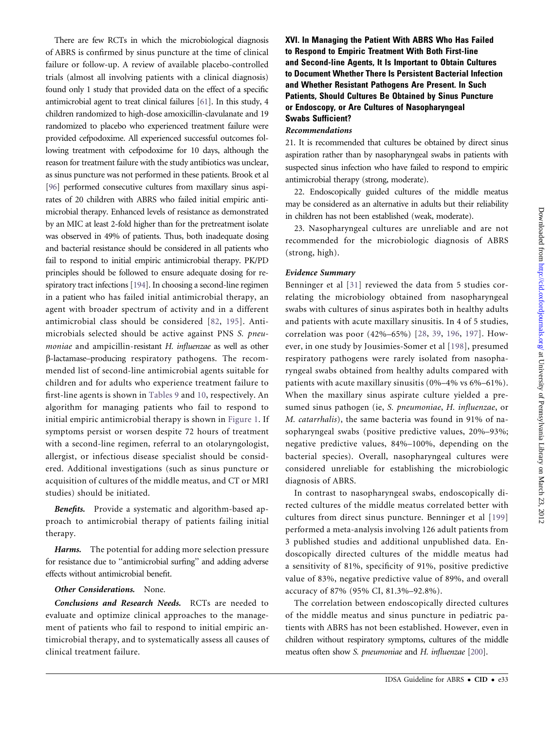There are few RCTs in which the microbiological diagnosis of ABRS is confirmed by sinus puncture at the time of clinical failure or follow-up. A review of available placebo-controlled trials (almost all involving patients with a clinical diagnosis) found only 1 study that provided data on the effect of a specific antimicrobial agent to treat clinical failures [\[61](#page-36-0)]. In this study, 4 children randomized to high-dose amoxicillin-clavulanate and 19 randomized to placebo who experienced treatment failure were provided cefpodoxime. All experienced successful outcomes following treatment with cefpodoxime for 10 days, although the reason for treatment failure with the study antibiotics was unclear, as sinus puncture was not performed in these patients. Brook et al [\[96](#page-37-0)] performed consecutive cultures from maxillary sinus aspirates of 20 children with ABRS who failed initial empiric antimicrobial therapy. Enhanced levels of resistance as demonstrated by an MIC at least 2-fold higher than for the pretreatment isolate was observed in 49% of patients. Thus, both inadequate dosing and bacterial resistance should be considered in all patients who fail to respond to initial empiric antimicrobial therapy. PK/PD principles should be followed to ensure adequate dosing for respiratory tract infections [\[194\]](#page-40-0). In choosing a second-line regimen in a patient who has failed initial antimicrobial therapy, an agent with broader spectrum of activity and in a different antimicrobial class should be considered [[82](#page-37-0), [195](#page-40-0)]. Antimicrobials selected should be active against PNS S. pneumoniae and ampicillin-resistant H. influenzae as well as other b-lactamase–producing respiratory pathogens. The recommended list of second-line antimicrobial agents suitable for children and for adults who experience treatment failure to first-line agents is shown in [Tables 9](#page-23-0) and [10,](#page-22-0) respectively. An algorithm for managing patients who fail to respond to initial empiric antimicrobial therapy is shown in [Figure 1](#page-1-0). If symptoms persist or worsen despite 72 hours of treatment with a second-line regimen, referral to an otolaryngologist, allergist, or infectious disease specialist should be considered. Additional investigations (such as sinus puncture or acquisition of cultures of the middle meatus, and CT or MRI studies) should be initiated.

Benefits. Provide a systematic and algorithm-based approach to antimicrobial therapy of patients failing initial therapy.

Harms. The potential for adding more selection pressure for resistance due to ''antimicrobial surfing'' and adding adverse effects without antimicrobial benefit.

#### **Other Considerations.** None.

Conclusions and Research Needs. RCTs are needed to evaluate and optimize clinical approaches to the management of patients who fail to respond to initial empiric antimicrobial therapy, and to systematically assess all causes of clinical treatment failure.

# XVI. In Managing the Patient With ABRS Who Has Failed to Respond to Empiric Treatment With Both First-line and Second-line Agents, It Is Important to Obtain Cultures to Document Whether There Is Persistent Bacterial Infection and Whether Resistant Pathogens Are Present. In Such Patients, Should Cultures Be Obtained by Sinus Puncture or Endoscopy, or Are Cultures of Nasopharyngeal Swabs Sufficient?

# Recommendations

21. It is recommended that cultures be obtained by direct sinus aspiration rather than by nasopharyngeal swabs in patients with suspected sinus infection who have failed to respond to empiric antimicrobial therapy (strong, moderate).

22. Endoscopically guided cultures of the middle meatus may be considered as an alternative in adults but their reliability in children has not been established (weak, moderate).

23. Nasopharyngeal cultures are unreliable and are not recommended for the microbiologic diagnosis of ABRS (strong, high).

#### Evidence Summary

Benninger et al [[31](#page-35-0)] reviewed the data from 5 studies correlating the microbiology obtained from nasopharyngeal swabs with cultures of sinus aspirates both in healthy adults and patients with acute maxillary sinusitis. In 4 of 5 studies, correlation was poor (42%–65%) [\[28,](#page-35-0) [39,](#page-36-0) [196,](#page-40-0) [197\]](#page-40-0). However, in one study by Jousimies-Somer et al [\[198\]](#page-40-0), presumed respiratory pathogens were rarely isolated from nasopharyngeal swabs obtained from healthy adults compared with patients with acute maxillary sinusitis (0%–4% vs 6%–61%). When the maxillary sinus aspirate culture yielded a presumed sinus pathogen (ie, S. pneumoniae, H. influenzae, or M. catarrhalis), the same bacteria was found in 91% of nasopharyngeal swabs (positive predictive values, 20%–93%; negative predictive values, 84%–100%, depending on the bacterial species). Overall, nasopharyngeal cultures were considered unreliable for establishing the microbiologic diagnosis of ABRS.

In contrast to nasopharyngeal swabs, endoscopically directed cultures of the middle meatus correlated better with cultures from direct sinus puncture. Benninger et al [\[199\]](#page-40-0) performed a meta-analysis involving 126 adult patients from 3 published studies and additional unpublished data. Endoscopically directed cultures of the middle meatus had a sensitivity of 81%, specificity of 91%, positive predictive value of 83%, negative predictive value of 89%, and overall accuracy of 87% (95% CI, 81.3%–92.8%).

The correlation between endoscopically directed cultures of the middle meatus and sinus puncture in pediatric patients with ABRS has not been established. However, even in children without respiratory symptoms, cultures of the middle meatus often show S. pneumoniae and H. influenzae [[200\]](#page-40-0).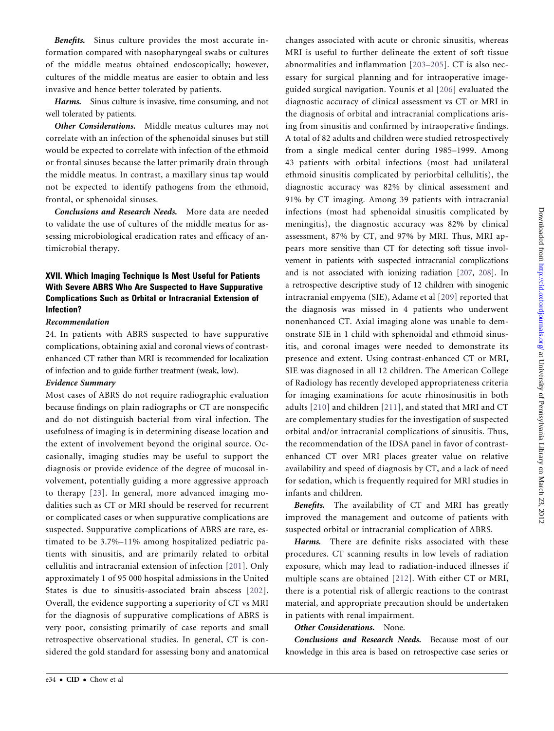Benefits. Sinus culture provides the most accurate information compared with nasopharyngeal swabs or cultures of the middle meatus obtained endoscopically; however, cultures of the middle meatus are easier to obtain and less invasive and hence better tolerated by patients.

Harms. Sinus culture is invasive, time consuming, and not well tolerated by patients.

Other Considerations. Middle meatus cultures may not correlate with an infection of the sphenoidal sinuses but still would be expected to correlate with infection of the ethmoid or frontal sinuses because the latter primarily drain through the middle meatus. In contrast, a maxillary sinus tap would not be expected to identify pathogens from the ethmoid, frontal, or sphenoidal sinuses.

Conclusions and Research Needs. More data are needed to validate the use of cultures of the middle meatus for assessing microbiological eradication rates and efficacy of antimicrobial therapy.

# XVII. Which Imaging Technique Is Most Useful for Patients With Severe ABRS Who Are Suspected to Have Suppurative Complications Such as Orbital or Intracranial Extension of Infection?

#### Recommendation

24. In patients with ABRS suspected to have suppurative complications, obtaining axial and coronal views of contrastenhanced CT rather than MRI is recommended for localization of infection and to guide further treatment (weak, low).

#### Evidence Summary

Most cases of ABRS do not require radiographic evaluation because findings on plain radiographs or CT are nonspecific and do not distinguish bacterial from viral infection. The usefulness of imaging is in determining disease location and the extent of involvement beyond the original source. Occasionally, imaging studies may be useful to support the diagnosis or provide evidence of the degree of mucosal involvement, potentially guiding a more aggressive approach to therapy [[23](#page-35-0)]. In general, more advanced imaging modalities such as CT or MRI should be reserved for recurrent or complicated cases or when suppurative complications are suspected. Suppurative complications of ABRS are rare, estimated to be 3.7%–11% among hospitalized pediatric patients with sinusitis, and are primarily related to orbital cellulitis and intracranial extension of infection [[201\]](#page-40-0). Only approximately 1 of 95 000 hospital admissions in the United States is due to sinusitis-associated brain abscess [[202](#page-40-0)]. Overall, the evidence supporting a superiority of CT vs MRI for the diagnosis of suppurative complications of ABRS is very poor, consisting primarily of case reports and small retrospective observational studies. In general, CT is considered the gold standard for assessing bony and anatomical

changes associated with acute or chronic sinusitis, whereas MRI is useful to further delineate the extent of soft tissue abnormalities and inflammation [[203–205\]](#page-40-0). CT is also necessary for surgical planning and for intraoperative imageguided surgical navigation. Younis et al [\[206\]](#page-40-0) evaluated the diagnostic accuracy of clinical assessment vs CT or MRI in the diagnosis of orbital and intracranial complications arising from sinusitis and confirmed by intraoperative findings. A total of 82 adults and children were studied retrospectively from a single medical center during 1985–1999. Among 43 patients with orbital infections (most had unilateral ethmoid sinusitis complicated by periorbital cellulitis), the diagnostic accuracy was 82% by clinical assessment and 91% by CT imaging. Among 39 patients with intracranial infections (most had sphenoidal sinusitis complicated by meningitis), the diagnostic accuracy was 82% by clinical assessment, 87% by CT, and 97% by MRI. Thus, MRI appears more sensitive than CT for detecting soft tissue involvement in patients with suspected intracranial complications and is not associated with ionizing radiation [\[207](#page-40-0), [208\]](#page-40-0). In a retrospective descriptive study of 12 children with sinogenic intracranial empyema (SIE), Adame et al [[209](#page-40-0)] reported that the diagnosis was missed in 4 patients who underwent nonenhanced CT. Axial imaging alone was unable to demonstrate SIE in 1 child with sphenoidal and ethmoid sinusitis, and coronal images were needed to demonstrate its presence and extent. Using contrast-enhanced CT or MRI, SIE was diagnosed in all 12 children. The American College of Radiology has recently developed appropriateness criteria for imaging examinations for acute rhinosinusitis in both adults [[210](#page-40-0)] and children [[211](#page-40-0)], and stated that MRI and CT are complementary studies for the investigation of suspected orbital and/or intracranial complications of sinusitis. Thus, the recommendation of the IDSA panel in favor of contrastenhanced CT over MRI places greater value on relative availability and speed of diagnosis by CT, and a lack of need for sedation, which is frequently required for MRI studies in infants and children.

Benefits. The availability of CT and MRI has greatly improved the management and outcome of patients with suspected orbital or intracranial complication of ABRS.

Harms. There are definite risks associated with these procedures. CT scanning results in low levels of radiation exposure, which may lead to radiation-induced illnesses if multiple scans are obtained [[212](#page-40-0)]. With either CT or MRI, there is a potential risk of allergic reactions to the contrast material, and appropriate precaution should be undertaken in patients with renal impairment.

#### Other Considerations. None.

Conclusions and Research Needs. Because most of our knowledge in this area is based on retrospective case series or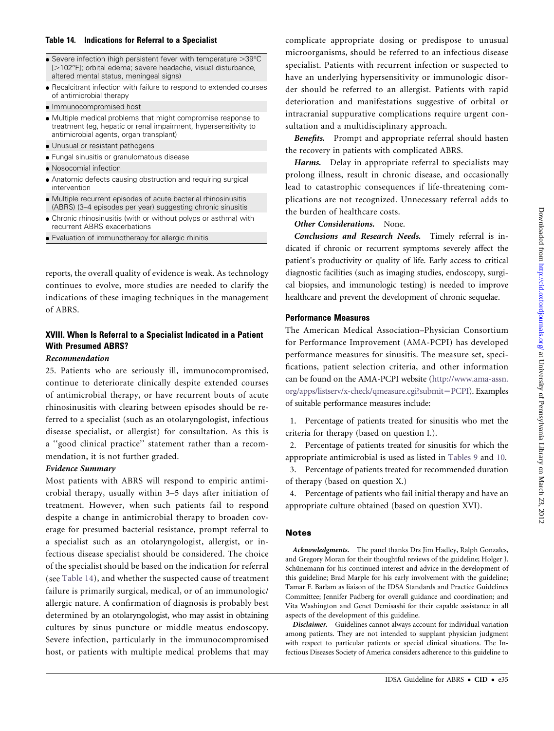- $\bullet$  Severe infection (high persistent fever with temperature  $>$ 39°C [>102°F]; orbital edema; severe headache, visual disturbance, altered mental status, meningeal signs)
- Recalcitrant infection with failure to respond to extended courses of antimicrobial therapy
- $\bullet$  Immunocompromised host
- $\bullet$  Multiple medical problems that might compromise response to treatment (eg, hepatic or renal impairment, hypersensitivity to antimicrobial agents, organ transplant)
- · Unusual or resistant pathogens
- **•** Fungal sinusitis or granulomatous disease
- Nosocomial infection
- Anatomic defects causing obstruction and requiring surgical intervention
- Multiple recurrent episodes of acute bacterial rhinosinusitis (ABRS) (3–4 episodes per year) suggesting chronic sinusitis
- Chronic rhinosinusitis (with or without polyps or asthma) with recurrent ABRS exacerbations
- **Evaluation of immunotherapy for allergic rhinitis**

reports, the overall quality of evidence is weak. As technology continues to evolve, more studies are needed to clarify the indications of these imaging techniques in the management of ABRS.

# XVIII. When Is Referral to a Specialist Indicated in a Patient With Presumed ABRS?

### Recommendation

25. Patients who are seriously ill, immunocompromised, continue to deteriorate clinically despite extended courses of antimicrobial therapy, or have recurrent bouts of acute rhinosinusitis with clearing between episodes should be referred to a specialist (such as an otolaryngologist, infectious disease specialist, or allergist) for consultation. As this is a ''good clinical practice'' statement rather than a recommendation, it is not further graded.

#### Evidence Summary

Most patients with ABRS will respond to empiric antimicrobial therapy, usually within 3–5 days after initiation of treatment. However, when such patients fail to respond despite a change in antimicrobial therapy to broaden coverage for presumed bacterial resistance, prompt referral to a specialist such as an otolaryngologist, allergist, or infectious disease specialist should be considered. The choice of the specialist should be based on the indication for referral (see Table 14), and whether the suspected cause of treatment failure is primarily surgical, medical, or of an immunologic/ allergic nature. A confirmation of diagnosis is probably best determined by an otolaryngologist, who may assist in obtaining cultures by sinus puncture or middle meatus endoscopy. Severe infection, particularly in the immunocompromised host, or patients with multiple medical problems that may

complicate appropriate dosing or predispose to unusual microorganisms, should be referred to an infectious disease specialist. Patients with recurrent infection or suspected to have an underlying hypersensitivity or immunologic disorder should be referred to an allergist. Patients with rapid deterioration and manifestations suggestive of orbital or intracranial suppurative complications require urgent consultation and a multidisciplinary approach.

Benefits. Prompt and appropriate referral should hasten the recovery in patients with complicated ABRS.

Harms. Delay in appropriate referral to specialists may prolong illness, result in chronic disease, and occasionally lead to catastrophic consequences if life-threatening complications are not recognized. Unnecessary referral adds to the burden of healthcare costs.

**Other Considerations.** None.

Conclusions and Research Needs. Timely referral is indicated if chronic or recurrent symptoms severely affect the patient's productivity or quality of life. Early access to critical diagnostic facilities (such as imaging studies, endoscopy, surgical biopsies, and immunologic testing) is needed to improve healthcare and prevent the development of chronic sequelae.

### Performance Measures

The American Medical Association–Physician Consortium for Performance Improvement (AMA-PCPI) has developed performance measures for sinusitis. The measure set, specifications, patient selection criteria, and other information can be found on the AMA-PCPI website [\(http://www.ama-assn.](http://www.ama-assn.org/apps/listserv/x-check/qmeasure.cgi?submit=PCPI) [org/apps/listserv/x-check/qmeasure.cgi?submit](http://www.ama-assn.org/apps/listserv/x-check/qmeasure.cgi?submit=PCPI)=[PCPI\)](http://www.ama-assn.org/apps/listserv/x-check/qmeasure.cgi?submit=PCPI). Examples of suitable performance measures include:

1. Percentage of patients treated for sinusitis who met the criteria for therapy (based on question I.).

2. Percentage of patients treated for sinusitis for which the appropriate antimicrobial is used as listed in [Tables 9](#page-23-0) and [10](#page-22-0).

3. Percentage of patients treated for recommended duration of therapy (based on question X.)

4. Percentage of patients who fail initial therapy and have an appropriate culture obtained (based on question XVI).

#### **Notes**

Acknowledgments. The panel thanks Drs Jim Hadley, Ralph Gonzales, and Gregory Moran for their thoughtful reviews of the guideline; Holger J. Schünemann for his continued interest and advice in the development of this guideline; Brad Marple for his early involvement with the guideline; Tamar F. Barlam as liaison of the IDSA Standards and Practice Guidelines Committee; Jennifer Padberg for overall guidance and coordination; and Vita Washington and Genet Demisashi for their capable assistance in all aspects of the development of this guideline.

Disclaimer. Guidelines cannot always account for individual variation among patients. They are not intended to supplant physician judgment with respect to particular patients or special clinical situations. The Infectious Diseases Society of America considers adherence to this guideline to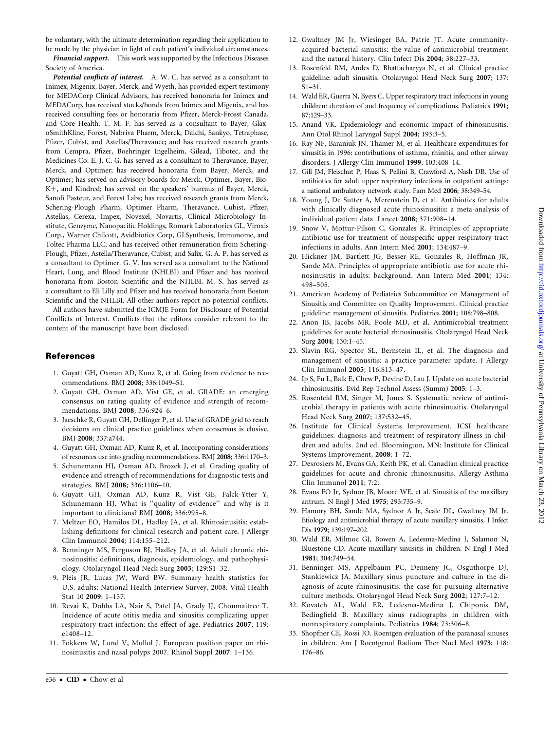<span id="page-35-0"></span>be voluntary, with the ultimate determination regarding their application to be made by the physician in light of each patient's individual circumstances.

Financial support. This work was supported by the Infectious Diseases Society of America.

Potential conflicts of interest. A. W. C. has served as a consultant to Inimex, Migenix, Bayer, Merck, and Wyeth, has provided expert testimony for MEDACorp Clinical Advisors, has received honoraria for Inimex and MEDACorp, has received stocks/bonds from Inimex and Migenix, and has received consulting fees or honoraria from Pfizer, Merck-Frosst Canada, and Core Health. T. M. F. has served as a consultant to Bayer, GlaxoSmithKline, Forest, Nabriva Pharm, Merck, Daichi, Sankyo, Tetraphase, Pfizer, Cubist, and Astellas/Theravance; and has received research grants from Cempra, Pfizer, Boehringer Ingelheim, Gilead, Tibotec, and the Medicines Co. E. J. C. G. has served as a consultant to Theravance, Bayer, Merck, and Optimer; has received honoraria from Bayer, Merck, and Optimer; has served on advisory boards for Merck, Optimer, Bayer, Bio-K+, and Kindred; has served on the speakers' bureaus of Bayer, Merck, Sanofi Pasteur, and Forest Labs; has received research grants from Merck, Schering-Plough Pharm, Optimer Pharm, Theravance, Cubist, Pfizer, Astellas, Cerexa, Impex, Novexel, Novartis, Clinical Microbiology Institute, Genzyme, Nanopacific Holdings, Romark Laboratories GL, Viroxis Corp., Warner Chilcott, Avidbiotics Corp, GLSynthesis, Immunome, and Toltec Pharma LLC; and has received other remuneration from Schering-Plough, Pfizer, Astella/Theravance, Cubist, and Salix. G. A. P. has served as a consultant to Optimer. G. V. has served as a consultant to the National Heart, Lung, and Blood Institute (NHLBI) and Pfizer and has received honoraria from Boston Scientific and the NHLBI. M. S. has served as a consultant to Eli Lilly and Pfizer and has received honoraria from Boston Scientific and the NHLBI. All other authors report no potential conflicts.

All authors have submitted the ICMJE Form for Disclosure of Potential Conflicts of Interest. Conflicts that the editors consider relevant to the content of the manuscript have been disclosed.

#### References

- 1. Guyatt GH, Oxman AD, Kunz R, et al. Going from evidence to recommendations. BMJ 2008; 336:1049–51.
- 2. Guyatt GH, Oxman AD, Vist GE, et al. GRADE: an emerging consensus on rating quality of evidence and strength of recommendations. BMJ 2008; 336:924–6.
- 3. Jaeschke R, Guyatt GH, Dellinger P, et al. Use of GRADE grid to reach decisions on clinical practice guidelines when consensus is elusive. BMJ 2008; 337:a744.
- 4. Guyatt GH, Oxman AD, Kunz R, et al. Incorporating considerations of resources use into grading recommendations. BMJ 2008; 336:1170–3.
- 5. Schunemann HJ, Oxman AD, Brozek J, et al. Grading quality of evidence and strength of recommendations for diagnostic tests and strategies. BMJ 2008; 336:1106–10.
- 6. Guyatt GH, Oxman AD, Kunz R, Vist GE, Falck-Ytter Y, Schunemann HJ. What is ''quality of evidence'' and why is it important to clinicians? BMJ 2008; 336:995–8.
- 7. Meltzer EO, Hamilos DL, Hadley JA, et al. Rhinosinusitis: establishing definitions for clinical research and patient care. J Allergy Clin Immunol 2004; 114:155–212.
- 8. Benninger MS, Ferguson BJ, Hadley JA, et al. Adult chronic rhinosinusitis: definitions, diagnosis, epidemiology, and pathophysiology. Otolaryngol Head Neck Surg 2003; 129:S1–32.
- 9. Pleis JR, Lucas JW, Ward BW. Summary health statistics for U.S. adults: National Health Interview Survey, 2008. Vital Health Stat 10 2009: 1–157.
- 10. Revai K, Dobbs LA, Nair S, Patel JA, Grady JJ, Chonmaitree T. Incidence of acute otitis media and sinusitis complicating upper respiratory tract infection: the effect of age. Pediatrics 2007; 119: e1408–12.
- 11. Fokkens W, Lund V, Mullol J. European position paper on rhinosinusitis and nasal polyps 2007. Rhinol Suppl 2007: 1–136.
- 12. Gwaltney JM Jr, Wiesinger BA, Patrie JT. Acute communityacquired bacterial sinusitis: the value of antimicrobial treatment and the natural history. Clin Infect Dis 2004; 38:227–33.
- 13. Rosenfeld RM, Andes D, Bhattacharyya N, et al. Clinical practice guideline: adult sinusitis. Otolaryngol Head Neck Surg 2007; 137: S1–31.
- 14. Wald ER, Guerra N, Byers C. Upper respiratory tract infections in young children: duration of and frequency of complications. Pediatrics 1991; 87:129–33.
- 15. Anand VK. Epidemiology and economic impact of rhinosinusitis. Ann Otol Rhinol Laryngol Suppl 2004; 193:3–5.
- 16. Ray NF, Baraniuk JN, Thamer M, et al. Healthcare expenditures for sinusitis in 1996: contributions of asthma, rhinitis, and other airway disorders. J Allergy Clin Immunol 1999; 103:408–14.
- 17. Gill JM, Fleischut P, Haas S, Pellini B, Crawford A, Nash DB. Use of antibiotics for adult upper respiratory infections in outpatient settings: a national ambulatory network study. Fam Med 2006; 38:349–54.
- 18. Young J, De Sutter A, Merenstein D, et al. Antibiotics for adults with clinically diagnosed acute rhinosinusitis: a meta-analysis of individual patient data. Lancet 2008; 371:908–14.
- 19. Snow V, Mottur-Pilson C, Gonzales R. Principles of appropriate antibiotic use for treatment of nonspecific upper respiratory tract infections in adults. Ann Intern Med 2001; 134:487–9.
- 20. Hickner JM, Bartlett JG, Besser RE, Gonzales R, Hoffman JR, Sande MA. Principles of appropriate antibiotic use for acute rhinosinusitis in adults: background. Ann Intern Med 2001; 134: 498–505.
- 21. American Academy of Pediatrics Subcommittee on Management of Sinusitis and Committee on Quality Improvement. Clinical practice guideline: management of sinusitis. Pediatrics 2001; 108:798–808.
- 22. Anon JB, Jacobs MR, Poole MD, et al. Antimicrobial treatment guidelines for acute bacterial rhinosinusitis. Otolaryngol Head Neck Surg 2004; 130:1–45.
- 23. Slavin RG, Spector SL, Bernstein IL, et al. The diagnosis and management of sinusitis: a practice parameter update. J Allergy Clin Immunol 2005; 116:S13–47.
- 24. Ip S, Fu L, Balk E, Chew P, Devine D, Lau J. Update on acute bacterial rhinosinusitis. Evid Rep Technol Assess (Summ) 2005: 1–3.
- 25. Rosenfeld RM, Singer M, Jones S. Systematic review of antimicrobial therapy in patients with acute rhinosinusitis. Otolaryngol Head Neck Surg 2007; 137:S32–45.
- 26. Institute for Clinical Systems Improvement. ICSI healthcare guidelines: diagnosis and treatment of respiratory illness in children and adults. 2nd ed. Bloomington, MN: Institute for Clinical Systems Improvement, 2008: 1–72.
- 27. Desrosiers M, Evans GA, Keith PK, et al. Canadian clinical practice guidelines for acute and chronic rhinosinusitis. Allergy Asthma Clin Immunol 2011; 7:2.
- 28. Evans FO Jr, Sydnor JB, Moore WE, et al. Sinusitis of the maxillary antrum. N Engl J Med 1975; 293:735–9.
- 29. Hamory BH, Sande MA, Sydnor A Jr, Seale DL, Gwaltney JM Jr. Etiology and antimicrobial therapy of acute maxillary sinusitis. J Infect Dis 1979; 139:197–202.
- 30. Wald ER, Milmoe GJ, Bowen A, Ledesma-Medina J, Salamon N, Bluestone CD. Acute maxillary sinusitis in children. N Engl J Med 1981; 304:749–54.
- 31. Benninger MS, Appelbaum PC, Denneny JC, Osguthorpe DJ, Stankiewicz JA. Maxillary sinus puncture and culture in the diagnosis of acute rhinosinusitis: the case for pursuing alternative culture methods. Otolaryngol Head Neck Surg 2002; 127:7–12.
- 32. Kovatch AL, Wald ER, Ledesma-Medina J, Chiponis DM, Bedingfield B. Maxillary sinus radiographs in children with nonrespiratory complaints. Pediatrics 1984; 73:306–8.
- 33. Shopfner CE, Rossi JO. Roentgen evaluation of the paranasal sinuses in children. Am J Roentgenol Radium Ther Nucl Med 1973; 118: 176–86.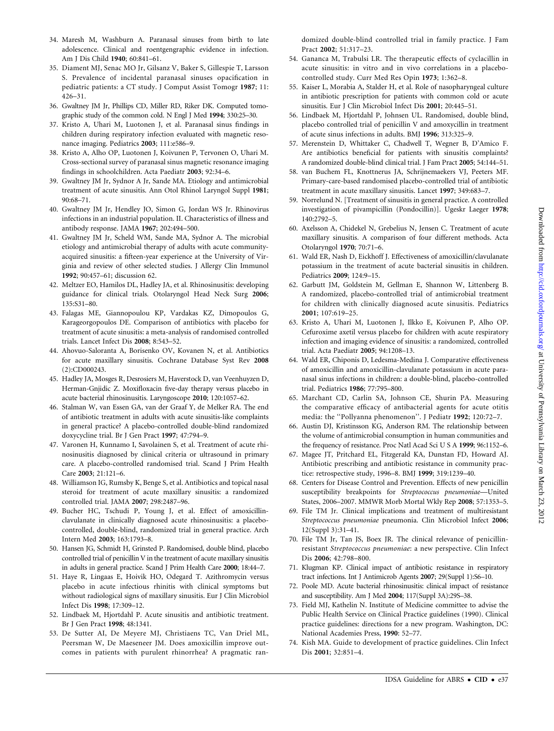- <span id="page-36-0"></span>34. Maresh M, Washburn A. Paranasal sinuses from birth to late adolescence. Clinical and roentgengraphic evidence in infection. Am J Dis Child 1940; 60:841–61.
- 35. Diament MJ, Senac MO Jr, Gilsanz V, Baker S, Gillespie T, Larsson S. Prevalence of incidental paranasal sinuses opacification in pediatric patients: a CT study. J Comput Assist Tomogr 1987; 11: 426–31.
- 36. Gwaltney JM Jr, Phillips CD, Miller RD, Riker DK. Computed tomographic study of the common cold. N Engl J Med 1994; 330:25–30.
- 37. Kristo A, Uhari M, Luotonen J, et al. Paranasal sinus findings in children during respiratory infection evaluated with magnetic resonance imaging. Pediatrics 2003; 111:e586–9.
- 38. Kristo A, Alho OP, Luotonen J, Koivunen P, Tervonen O, Uhari M. Cross-sectional survey of paranasal sinus magnetic resonance imaging findings in schoolchildren. Acta Paediatr 2003; 92:34–6.
- 39. Gwaltney JM Jr, Sydnor A Jr, Sande MA. Etiology and antimicrobial treatment of acute sinusitis. Ann Otol Rhinol Laryngol Suppl 1981; 90:68–71.
- 40. Gwaltney JM Jr, Hendley JO, Simon G, Jordan WS Jr. Rhinovirus infections in an industrial population. II. Characteristics of illness and antibody response. JAMA 1967; 202:494–500.
- 41. Gwaltney JM Jr, Scheld WM, Sande MA, Sydnor A. The microbial etiology and antimicrobial therapy of adults with acute communityacquired sinusitis: a fifteen-year experience at the University of Virginia and review of other selected studies. J Allergy Clin Immunol 1992; 90:457–61; discussion 62.
- 42. Meltzer EO, Hamilos DL, Hadley JA, et al. Rhinosinusitis: developing guidance for clinical trials. Otolaryngol Head Neck Surg 2006; 135:S31–80.
- 43. Falagas ME, Giannopoulou KP, Vardakas KZ, Dimopoulos G, Karageorgopoulos DE. Comparison of antibiotics with placebo for treatment of acute sinusitis: a meta-analysis of randomised controlled trials. Lancet Infect Dis 2008; 8:543–52.
- 44. Ahovuo-Saloranta A, Borisenko OV, Kovanen N, et al. Antibiotics for acute maxillary sinusitis. Cochrane Database Syst Rev 2008 (2):CD000243.
- 45. Hadley JA, Mosges R, Desrosiers M, Haverstock D, van Veenhuyzen D, Herman-Gnjidic Z. Moxifloxacin five-day therapy versus placebo in acute bacterial rhinosinusitis. Laryngoscope 2010; 120:1057–62.
- 46. Stalman W, van Essen GA, van der Graaf Y, de Melker RA. The end of antibiotic treatment in adults with acute sinusitis-like complaints in general practice? A placebo-controlled double-blind randomized doxycycline trial. Br J Gen Pract 1997; 47:794–9.
- 47. Varonen H, Kunnamo I, Savolainen S, et al. Treatment of acute rhinosinusitis diagnosed by clinical criteria or ultrasound in primary care. A placebo-controlled randomised trial. Scand J Prim Health Care 2003; 21:121–6.
- 48. Williamson IG, Rumsby K, Benge S, et al. Antibiotics and topical nasal steroid for treatment of acute maxillary sinusitis: a randomized controlled trial. JAMA 2007; 298:2487–96.
- 49. Bucher HC, Tschudi P, Young J, et al. Effect of amoxicillinclavulanate in clinically diagnosed acute rhinosinusitis: a placebocontrolled, double-blind, randomized trial in general practice. Arch Intern Med 2003; 163:1793–8.
- 50. Hansen JG, Schmidt H, Grinsted P. Randomised, double blind, placebo controlled trial of penicillin V in the treatment of acute maxillary sinusitis in adults in general practice. Scand J Prim Health Care 2000; 18:44–7.
- 51. Haye R, Lingaas E, Hoivik HO, Odegard T. Azithromycin versus placebo in acute infectious rhinitis with clinical symptoms but without radiological signs of maxillary sinusitis. Eur J Clin Microbiol Infect Dis 1998; 17:309–12.
- 52. Lindbaek M, Hjortdahl P. Acute sinusitis and antibiotic treatment. Br J Gen Pract 1998; 48:1341.
- 53. De Sutter AI, De Meyere MJ, Christiaens TC, Van Driel ML, Peersman W, De Maeseneer JM. Does amoxicillin improve outcomes in patients with purulent rhinorrhea? A pragmatic ran-

domized double-blind controlled trial in family practice. J Fam Pract 2002; 51:317–23.

- 54. Gananca M, Trabulsi LR. The therapeutic effects of cyclacillin in acute sinusitis: in vitro and in vivo correlations in a placebocontrolled study. Curr Med Res Opin 1973; 1:362–8.
- 55. Kaiser L, Morabia A, Stalder H, et al. Role of nasopharyngeal culture in antibiotic prescription for patients with common cold or acute sinusitis. Eur J Clin Microbiol Infect Dis 2001; 20:445–51.
- 56. Lindbaek M, Hjortdahl P, Johnsen UL. Randomised, double blind, placebo controlled trial of penicillin V and amoxycillin in treatment of acute sinus infections in adults. BMJ 1996; 313:325–9.
- 57. Merenstein D, Whittaker C, Chadwell T, Wegner B, D'Amico F. Are antibiotics beneficial for patients with sinusitis complaints? A randomized double-blind clinical trial. J Fam Pract 2005; 54:144–51.
- 58. van Buchem FL, Knottnerus JA, Schrijnemaekers VJ, Peeters MF. Primary-care-based randomised placebo-controlled trial of antibiotic treatment in acute maxillary sinusitis. Lancet 1997; 349:683–7.
- 59. Norrelund N. [Treatment of sinusitis in general practice. A controlled investigation of pivampicillin (Pondocillin)]. Ugeskr Laeger 1978; 140:2792–5.
- 60. Axelsson A, Chidekel N, Grebelius N, Jensen C. Treatment of acute maxillary sinusitis. A comparison of four different methods. Acta Otolaryngol 1970; 70:71–6.
- 61. Wald ER, Nash D, Eickhoff J. Effectiveness of amoxicillin/clavulanate potassium in the treatment of acute bacterial sinusitis in children. Pediatrics 2009; 124:9–15.
- 62. Garbutt JM, Goldstein M, Gellman E, Shannon W, Littenberg B. A randomized, placebo-controlled trial of antimicrobial treatment for children with clinically diagnosed acute sinusitis. Pediatrics 2001; 107:619–25.
- 63. Kristo A, Uhari M, Luotonen J, Ilkko E, Koivunen P, Alho OP. Cefuroxime axetil versus placebo for children with acute respiratory infection and imaging evidence of sinusitis: a randomized, controlled trial. Acta Paediatr 2005; 94:1208–13.
- 64. Wald ER, Chiponis D, Ledesma-Medina J. Comparative effectiveness of amoxicillin and amoxicillin-clavulanate potassium in acute paranasal sinus infections in children: a double-blind, placebo-controlled trial. Pediatrics 1986; 77:795–800.
- 65. Marchant CD, Carlin SA, Johnson CE, Shurin PA. Measuring the comparative efficacy of antibacterial agents for acute otitis media: the ''Pollyanna phenomenon''. J Pediatr 1992; 120:72–7.
- 66. Austin DJ, Kristinsson KG, Anderson RM. The relationship between the volume of antimicrobial consumption in human communities and the frequency of resistance. Proc Natl Acad Sci U S A 1999; 96:1152–6.
- 67. Magee JT, Pritchard EL, Fitzgerald KA, Dunstan FD, Howard AJ. Antibiotic prescribing and antibiotic resistance in community practice: retrospective study, 1996–8. BMJ 1999; 319:1239–40.
- 68. Centers for Disease Control and Prevention. Effects of new penicillin susceptibility breakpoints for Streptococcus pneumoniae—United States, 2006–2007. MMWR Morb Mortal Wkly Rep 2008; 57:1353–5.
- 69. File TM Jr. Clinical implications and treatment of multiresistant Streptococcus pneumoniae pneumonia. Clin Microbiol Infect 2006; 12(Suppl 3):31–41.
- 70. File TM Jr, Tan JS, Boex JR. The clinical relevance of penicillinresistant Streptococcus pneumoniae: a new perspective. Clin Infect Dis 2006; 42:798–800.
- 71. Klugman KP. Clinical impact of antibiotic resistance in respiratory tract infections. Int J Antimicrob Agents 2007; 29(Suppl 1):S6–10.
- 72. Poole MD. Acute bacterial rhinosinusitis: clinical impact of resistance and susceptibility. Am J Med 2004; 117(Suppl 3A):29S–38.
- 73. Field MJ, Kathelin N. Institute of Medicine committee to advise the Public Health Service on Clinical Practice guidelines (1990). Clinical practice guidelines: directions for a new program. Washington, DC: National Academies Press, 1990: 52–77.
- 74. Kish MA. Guide to development of practice guidelines. Clin Infect Dis 2001; 32:851–4.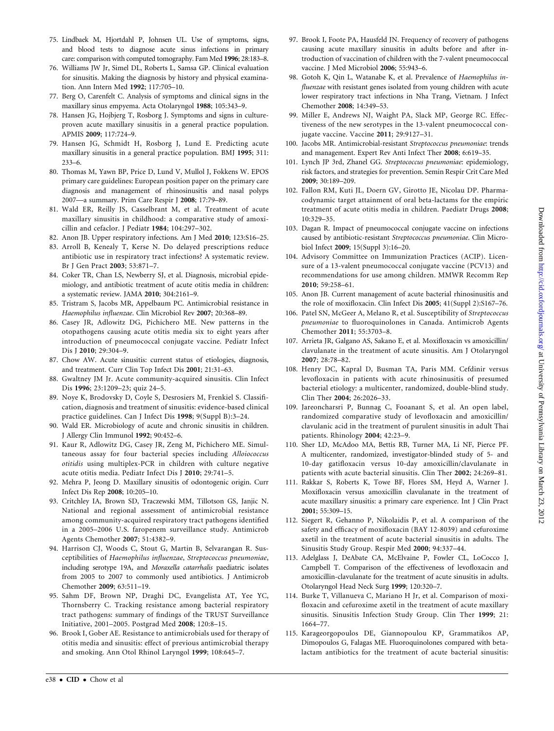- <span id="page-37-0"></span>75. Lindbaek M, Hjortdahl P, Johnsen UL. Use of symptoms, signs, and blood tests to diagnose acute sinus infections in primary care: comparison with computed tomography. Fam Med 1996; 28:183–8.
- 76. Williams JW Jr, Simel DL, Roberts L, Samsa GP. Clinical evaluation for sinusitis. Making the diagnosis by history and physical examination. Ann Intern Med 1992; 117:705–10.
- 77. Berg O, Carenfelt C. Analysis of symptoms and clinical signs in the maxillary sinus empyema. Acta Otolaryngol 1988; 105:343–9.
- 78. Hansen JG, Hojbjerg T, Rosborg J. Symptoms and signs in cultureproven acute maxillary sinusitis in a general practice population. APMIS 2009; 117:724–9.
- 79. Hansen JG, Schmidt H, Rosborg J, Lund E. Predicting acute maxillary sinusitis in a general practice population. BMJ 1995; 311: 233–6.
- 80. Thomas M, Yawn BP, Price D, Lund V, Mullol J, Fokkens W. EPOS primary care guidelines: European position paper on the primary care diagnosis and management of rhinosinusitis and nasal polyps 2007—a summary. Prim Care Respir J 2008; 17:79–89.
- 81. Wald ER, Reilly JS, Casselbrant M, et al. Treatment of acute maxillary sinusitis in childhood: a comparative study of amoxicillin and cefaclor. J Pediatr 1984; 104:297–302.
- 82. Anon JB. Upper respiratory infections. Am J Med 2010; 123:S16–25.
- 83. Arroll B, Kenealy T, Kerse N. Do delayed prescriptions reduce antibiotic use in respiratory tract infections? A systematic review. Br J Gen Pract 2003; 53:871–7.
- 84. Coker TR, Chan LS, Newberry SJ, et al. Diagnosis, microbial epidemiology, and antibiotic treatment of acute otitis media in children: a systematic review. JAMA 2010; 304:2161–9.
- 85. Tristram S, Jacobs MR, Appelbaum PC. Antimicrobial resistance in Haemophilus influenzae. Clin Microbiol Rev 2007; 20:368–89.
- 86. Casey JR, Adlowitz DG, Pichichero ME. New patterns in the otopathogens causing acute otitis media six to eight years after introduction of pneumococcal conjugate vaccine. Pediatr Infect Dis J 2010; 29:304-9.
- 87. Chow AW. Acute sinusitis: current status of etiologies, diagnosis, and treatment. Curr Clin Top Infect Dis 2001; 21:31–63.
- 88. Gwaltney JM Jr. Acute community-acquired sinusitis. Clin Infect Dis 1996; 23:1209–23; quiz 24–5.
- 89. Noye K, Brodovsky D, Coyle S, Desrosiers M, Frenkiel S. Classification, diagnosis and treatment of sinusitis: evidence-based clinical practice guidelines. Can J Infect Dis 1998; 9(Suppl B):3–24.
- 90. Wald ER. Microbiology of acute and chronic sinusitis in children. J Allergy Clin Immunol 1992; 90:452–6.
- 91. Kaur R, Adlowitz DG, Casey JR, Zeng M, Pichichero ME. Simultaneous assay for four bacterial species including Alloiococcus otitidis using multiplex-PCR in children with culture negative acute otitis media. Pediatr Infect Dis J 2010; 29:741–5.
- 92. Mehra P, Jeong D. Maxillary sinusitis of odontogenic origin. Curr Infect Dis Rep 2008; 10:205–10.
- 93. Critchley IA, Brown SD, Traczewski MM, Tillotson GS, Janjic N. National and regional assessment of antimicrobial resistance among community-acquired respiratory tract pathogens identified in a 2005–2006 U.S. faropenem surveillance study. Antimicrob Agents Chemother 2007; 51:4382–9.
- 94. Harrison CJ, Woods C, Stout G, Martin B, Selvarangan R. Susceptibilities of Haemophilus influenzae, Streptococcus pneumoniae, including serotype 19A, and Moraxella catarrhalis paediatric isolates from 2005 to 2007 to commonly used antibiotics. J Antimicrob Chemother 2009; 63:511–19.
- 95. Sahm DF, Brown NP, Draghi DC, Evangelista AT, Yee YC, Thornsberry C. Tracking resistance among bacterial respiratory tract pathogens: summary of findings of the TRUST Surveillance Initiative, 2001–2005. Postgrad Med 2008; 120:8–15.
- 96. Brook I, Gober AE. Resistance to antimicrobials used for therapy of otitis media and sinusitis: effect of previous antimicrobial therapy and smoking. Ann Otol Rhinol Laryngol 1999; 108:645–7.
- 97. Brook I, Foote PA, Hausfeld JN. Frequency of recovery of pathogens causing acute maxillary sinusitis in adults before and after introduction of vaccination of children with the 7-valent pneumococcal vaccine. J Med Microbiol 2006; 55:943–6.
- 98. Gotoh K, Qin L, Watanabe K, et al. Prevalence of Haemophilus influenzae with resistant genes isolated from young children with acute lower respiratory tract infections in Nha Trang, Vietnam. J Infect Chemother 2008; 14:349–53.
- 99. Miller E, Andrews NJ, Waight PA, Slack MP, George RC. Effectiveness of the new serotypes in the 13-valent pneumococcal conjugate vaccine. Vaccine 2011; 29:9127–31.
- 100. Jacobs MR. Antimicrobial-resistant Streptococcus pneumoniae: trends and management. Expert Rev Anti Infect Ther 2008; 6:619–35.
- 101. Lynch JP 3rd, Zhanel GG. Streptococcus pneumoniae: epidemiology, risk factors, and strategies for prevention. Semin Respir Crit Care Med 2009; 30:189–209.
- 102. Fallon RM, Kuti JL, Doern GV, Girotto JE, Nicolau DP. Pharmacodynamic target attainment of oral beta-lactams for the empiric treatment of acute otitis media in children. Paediatr Drugs 2008; 10:329–35.
- 103. Dagan R. Impact of pneumococcal conjugate vaccine on infections caused by antibiotic-resistant Streptococcus pneumoniae. Clin Microbiol Infect 2009; 15(Suppl 3):16–20.
- 104. Advisory Committee on Immunization Practices (ACIP). Licensure of a 13-valent pneumococcal conjugate vaccine (PCV13) and recommendations for use among children. MMWR Recomm Rep 2010; 59:258–61.
- 105. Anon JB. Current management of acute bacterial rhinosinusitis and the role of moxifloxacin. Clin Infect Dis 2005; 41(Suppl 2):S167–76.
- 106. Patel SN, McGeer A, Melano R, et al. Susceptibility of Streptococcus pneumoniae to fluoroquinolones in Canada. Antimicrob Agents Chemother 2011; 55:3703–8.
- 107. Arrieta JR, Galgano AS, Sakano E, et al. Moxifloxacin vs amoxicillin/ clavulanate in the treatment of acute sinusitis. Am J Otolaryngol 2007; 28:78–82.
- 108. Henry DC, Kapral D, Busman TA, Paris MM. Cefdinir versus levofloxacin in patients with acute rhinosinusitis of presumed bacterial etiology: a multicenter, randomized, double-blind study. Clin Ther 2004; 26:2026–33.
- 109. Jareoncharsri P, Bunnag C, Fooanant S, et al. An open label, randomized comparative study of levofloxacin and amoxicillin/ clavulanic acid in the treatment of purulent sinusitis in adult Thai patients. Rhinology 2004; 42:23–9.
- 110. Sher LD, McAdoo MA, Bettis RB, Turner MA, Li NF, Pierce PF. A multicenter, randomized, investigator-blinded study of 5- and 10-day gatifloxacin versus 10-day amoxicillin/clavulanate in patients with acute bacterial sinusitis. Clin Ther 2002; 24:269–81.
- 111. Rakkar S, Roberts K, Towe BF, Flores SM, Heyd A, Warner J. Moxifloxacin versus amoxicillin clavulanate in the treatment of acute maxillary sinusitis: a primary care experience. Int J Clin Pract 2001; 55:309–15.
- 112. Siegert R, Gehanno P, Nikolaidis P, et al. A comparison of the safety and efficacy of moxifloxacin (BAY 12-8039) and cefuroxime axetil in the treatment of acute bacterial sinusitis in adults. The Sinusitis Study Group. Respir Med 2000; 94:337–44.
- 113. Adelglass J, DeAbate CA, McElvaine P, Fowler CL, LoCocco J, Campbell T. Comparison of the effectiveness of levofloxacin and amoxicillin-clavulanate for the treatment of acute sinusitis in adults. Otolaryngol Head Neck Surg 1999; 120:320–7.
- 114. Burke T, Villanueva C, Mariano H Jr, et al. Comparison of moxifloxacin and cefuroxime axetil in the treatment of acute maxillary sinusitis. Sinusitis Infection Study Group. Clin Ther 1999; 21: 1664–77.
- 115. Karageorgopoulos DE, Giannopoulou KP, Grammatikos AP, Dimopoulos G, Falagas ME. Fluoroquinolones compared with betalactam antibiotics for the treatment of acute bacterial sinusitis: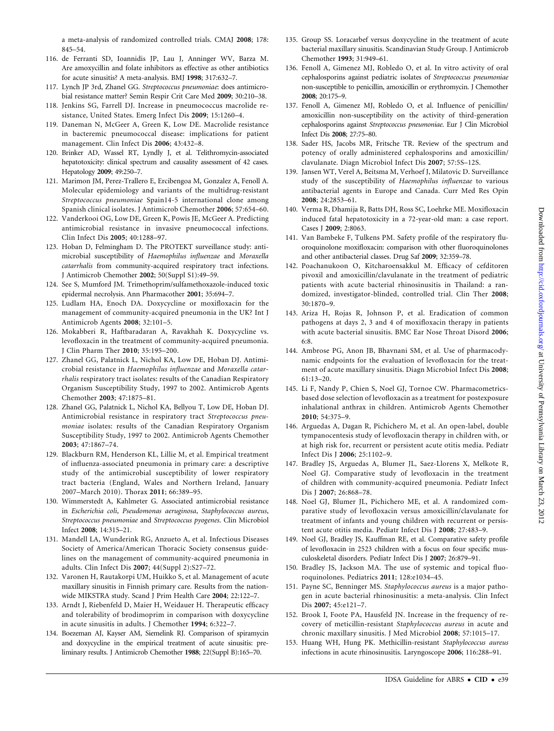<span id="page-38-0"></span>a meta-analysis of randomized controlled trials. CMAJ 2008; 178: 845–54.

- 116. de Ferranti SD, Ioannidis JP, Lau J, Anninger WV, Barza M. Are amoxycillin and folate inhibitors as effective as other antibiotics for acute sinusitis? A meta-analysis. BMJ 1998; 317:632–7.
- 117. Lynch JP 3rd, Zhanel GG. Streptococcus pneumoniae: does antimicrobial resistance matter? Semin Respir Crit Care Med 2009; 30:210–38.
- 118. Jenkins SG, Farrell DJ. Increase in pneumococcus macrolide resistance, United States. Emerg Infect Dis 2009; 15:1260–4.
- 119. Daneman N, McGeer A, Green K, Low DE. Macrolide resistance in bacteremic pneumococcal disease: implications for patient management. Clin Infect Dis 2006; 43:432–8.
- 120. Brinker AD, Wassel RT, Lyndly J, et al. Telithromycin-associated hepatotoxicity: clinical spectrum and causality assessment of 42 cases. Hepatology 2009; 49:250–7.
- 121. Marimon JM, Perez-Trallero E, Ercibengoa M, Gonzalez A, Fenoll A. Molecular epidemiology and variants of the multidrug-resistant Streptococcus pneumoniae Spain14-5 international clone among Spanish clinical isolates. J Antimicrob Chemother 2006; 57:654–60.
- 122. Vanderkooi OG, Low DE, Green K, Powis JE, McGeer A. Predicting antimicrobial resistance in invasive pneumococcal infections. Clin Infect Dis 2005; 40:1288–97.
- 123. Hoban D, Felmingham D. The PROTEKT surveillance study: antimicrobial susceptibility of Haemophilus influenzae and Moraxella catarrhalis from community-acquired respiratory tract infections. J Antimicrob Chemother 2002; 50(Suppl S1):49–59.
- 124. See S, Mumford JM. Trimethoprim/sulfamethoxazole-induced toxic epidermal necrolysis. Ann Pharmacother 2001; 35:694–7.
- 125. Ludlam HA, Enoch DA. Doxycycline or moxifloxacin for the management of community-acquired pneumonia in the UK? Int J Antimicrob Agents 2008; 32:101–5.
- 126. Mokabberi R, Haftbaradaran A, Ravakhah K. Doxycycline vs. levofloxacin in the treatment of community-acquired pneumonia. J Clin Pharm Ther 2010; 35:195–200.
- 127. Zhanel GG, Palatnick L, Nichol KA, Low DE, Hoban DJ. Antimicrobial resistance in Haemophilus influenzae and Moraxella catarrhalis respiratory tract isolates: results of the Canadian Respiratory Organism Susceptibility Study, 1997 to 2002. Antimicrob Agents Chemother 2003; 47:1875–81.
- 128. Zhanel GG, Palatnick L, Nichol KA, Bellyou T, Low DE, Hoban DJ. Antimicrobial resistance in respiratory tract Streptococcus pneumoniae isolates: results of the Canadian Respiratory Organism Susceptibility Study, 1997 to 2002. Antimicrob Agents Chemother 2003; 47:1867–74.
- 129. Blackburn RM, Henderson KL, Lillie M, et al. Empirical treatment of influenza-associated pneumonia in primary care: a descriptive study of the antimicrobial susceptibility of lower respiratory tract bacteria (England, Wales and Northern Ireland, January 2007–March 2010). Thorax 2011; 66:389–95.
- 130. Wimmerstedt A, Kahlmeter G. Associated antimicrobial resistance in Escherichia coli, Pseudomonas aeruginosa, Staphylococcus aureus, Streptococcus pneumoniae and Streptococcus pyogenes. Clin Microbiol Infect 2008; 14:315–21.
- 131. Mandell LA, Wunderink RG, Anzueto A, et al. Infectious Diseases Society of America/American Thoracic Society consensus guidelines on the management of community-acquired pneumonia in adults. Clin Infect Dis 2007; 44(Suppl 2):S27–72.
- 132. Varonen H, Rautakorpi UM, Huikko S, et al. Management of acute maxillary sinusitis in Finnish primary care. Results from the nationwide MIKSTRA study. Scand J Prim Health Care 2004; 22:122–7.
- 133. Arndt J, Riebenfeld D, Maier H, Weidauer H. Therapeutic efficacy and tolerability of brodimoprim in comparison with doxycycline in acute sinusitis in adults. J Chemother 1994; 6:322–7.
- 134. Boezeman AJ, Kayser AM, Siemelink RJ. Comparison of spiramycin and doxycycline in the empirical treatment of acute sinusitis: preliminary results. J Antimicrob Chemother 1988; 22(Suppl B):165–70.
- 135. Group SS. Loracarbef versus doxycycline in the treatment of acute bacterial maxillary sinusitis. Scandinavian Study Group. J Antimicrob Chemother 1993; 31:949–61.
- 136. Fenoll A, Gimenez MJ, Robledo O, et al. In vitro activity of oral cephalosporins against pediatric isolates of Streptococcus pneumoniae non-susceptible to penicillin, amoxicillin or erythromycin. J Chemother 2008; 20:175–9.
- 137. Fenoll A, Gimenez MJ, Robledo O, et al. Influence of penicillin/ amoxicillin non-susceptibility on the activity of third-generation cephalosporins against Streptococcus pneumoniae. Eur J Clin Microbiol Infect Dis 2008; 27:75–80.
- 138. Sader HS, Jacobs MR, Fritsche TR. Review of the spectrum and potency of orally administered cephalosporins and amoxicillin/ clavulanate. Diagn Microbiol Infect Dis 2007; 57:5S–12S.
- 139. Jansen WT, Verel A, Beitsma M, Verhoef J, Milatovic D. Surveillance study of the susceptibility of Haemophilus influenzae to various antibacterial agents in Europe and Canada. Curr Med Res Opin 2008; 24:2853–61.
- 140. Verma R, Dhamija R, Batts DH, Ross SC, Loehrke ME. Moxifloxacin induced fatal hepatotoxicity in a 72-year-old man: a case report. Cases J 2009; 2:8063.
- 141. Van Bambeke F, Tulkens PM. Safety profile of the respiratory fluoroquinolone moxifloxacin: comparison with other fluoroquinolones and other antibacterial classes. Drug Saf 2009; 32:359–78.
- 142. Poachanukoon O, Kitcharoensakkul M. Efficacy of cefditoren pivoxil and amoxicillin/clavulanate in the treatment of pediatric patients with acute bacterial rhinosinusitis in Thailand: a randomized, investigator-blinded, controlled trial. Clin Ther 2008; 30:1870–9.
- 143. Ariza H, Rojas R, Johnson P, et al. Eradication of common pathogens at days 2, 3 and 4 of moxifloxacin therapy in patients with acute bacterial sinusitis. BMC Ear Nose Throat Disord 2006; 6:8.
- 144. Ambrose PG, Anon JB, Bhavnani SM, et al. Use of pharmacodynamic endpoints for the evaluation of levofloxacin for the treatment of acute maxillary sinusitis. Diagn Microbiol Infect Dis 2008; 61:13–20.
- 145. Li F, Nandy P, Chien S, Noel GJ, Tornoe CW. Pharmacometricsbased dose selection of levofloxacin as a treatment for postexposure inhalational anthrax in children. Antimicrob Agents Chemother 2010; 54:375–9.
- 146. Arguedas A, Dagan R, Pichichero M, et al. An open-label, double tympanocentesis study of levofloxacin therapy in children with, or at high risk for, recurrent or persistent acute otitis media. Pediatr Infect Dis J 2006; 25:1102–9.
- 147. Bradley JS, Arguedas A, Blumer JL, Saez-Llorens X, Melkote R, Noel GJ. Comparative study of levofloxacin in the treatment of children with community-acquired pneumonia. Pediatr Infect Dis J 2007; 26:868–78.
- 148. Noel GJ, Blumer JL, Pichichero ME, et al. A randomized comparative study of levofloxacin versus amoxicillin/clavulanate for treatment of infants and young children with recurrent or persistent acute otitis media. Pediatr Infect Dis J 2008; 27:483–9.
- 149. Noel GJ, Bradley JS, Kauffman RE, et al. Comparative safety profile of levofloxacin in 2523 children with a focus on four specific musculoskeletal disorders. Pediatr Infect Dis J 2007; 26:879–91.
- 150. Bradley JS, Jackson MA. The use of systemic and topical fluoroquinolones. Pediatrics 2011; 128:e1034–45.
- 151. Payne SC, Benninger MS. Staphylococcus aureus is a major pathogen in acute bacterial rhinosinusitis: a meta-analysis. Clin Infect Dis 2007; 45:e121–7.
- 152. Brook I, Foote PA, Hausfeld JN. Increase in the frequency of recovery of meticillin-resistant Staphylococcus aureus in acute and chronic maxillary sinusitis. J Med Microbiol 2008; 57:1015–17.
- 153. Huang WH, Hung PK. Methicillin-resistant Staphylococcus aureus infections in acute rhinosinusitis. Laryngoscope 2006; 116:288–91.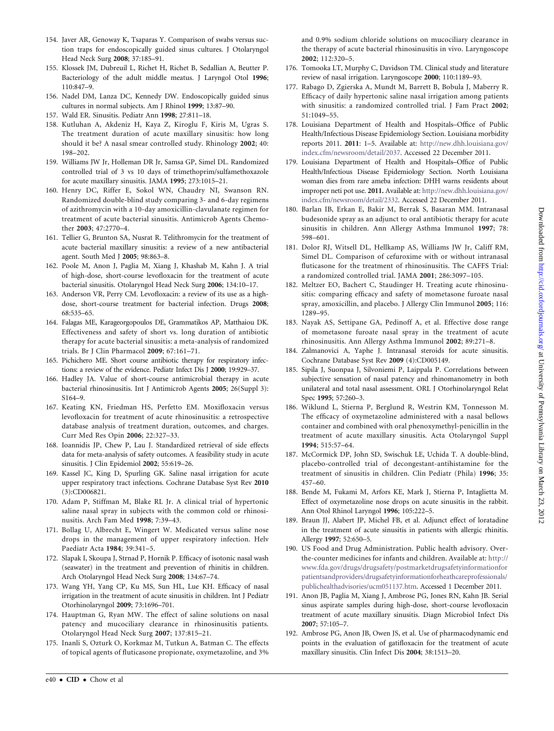- <span id="page-39-0"></span>154. Javer AR, Genoway K, Tsaparas Y. Comparison of swabs versus suction traps for endoscopically guided sinus cultures. J Otolaryngol Head Neck Surg 2008; 37:185–91.
- 155. Klossek JM, Dubreuil L, Richet H, Richet B, Sedallian A, Beutter P. Bacteriology of the adult middle meatus. J Laryngol Otol 1996; 110:847–9.
- 156. Nadel DM, Lanza DC, Kennedy DW. Endoscopically guided sinus cultures in normal subjects. Am J Rhinol 1999; 13:87–90.
- 157. Wald ER. Sinusitis. Pediatr Ann 1998; 27:811–18.
- 158. Kutluhan A, Akdeniz H, Kaya Z, Kiroglu F, Kiris M, Ugras S. The treatment duration of acute maxillary sinusitis: how long should it be? A nasal smear controlled study. Rhinology 2002; 40: 198–202.
- 159. Williams JW Jr, Holleman DR Jr, Samsa GP, Simel DL. Randomized controlled trial of 3 vs 10 days of trimethoprim/sulfamethoxazole for acute maxillary sinusitis. JAMA 1995; 273:1015–21.
- 160. Henry DC, Riffer E, Sokol WN, Chaudry NI, Swanson RN. Randomized double-blind study comparing 3- and 6-day regimens of azithromycin with a 10-day amoxicillin-clavulanate regimen for treatment of acute bacterial sinusitis. Antimicrob Agents Chemother 2003; 47:2770–4.
- 161. Tellier G, Brunton SA, Nusrat R. Telithromycin for the treatment of acute bacterial maxillary sinusitis: a review of a new antibacterial agent. South Med J 2005; 98:863–8.
- 162. Poole M, Anon J, Paglia M, Xiang J, Khashab M, Kahn J. A trial of high-dose, short-course levofloxacin for the treatment of acute bacterial sinusitis. Otolaryngol Head Neck Surg 2006; 134:10–17.
- 163. Anderson VR, Perry CM. Levofloxacin: a review of its use as a highdose, short-course treatment for bacterial infection. Drugs 2008; 68:535–65.
- 164. Falagas ME, Karageorgopoulos DE, Grammatikos AP, Matthaiou DK. Effectiveness and safety of short vs. long duration of antibiotic therapy for acute bacterial sinusitis: a meta-analysis of randomized trials. Br J Clin Pharmacol 2009; 67:161–71.
- 165. Pichichero ME. Short course antibiotic therapy for respiratory infections: a review of the evidence. Pediatr Infect Dis J 2000; 19:929–37.
- 166. Hadley JA. Value of short-course antimicrobial therapy in acute bacterial rhinosinusitis. Int J Antimicrob Agents 2005; 26(Suppl 3): S164–9.
- 167. Keating KN, Friedman HS, Perfetto EM. Moxifloxacin versus levofloxacin for treatment of acute rhinosinusitis: a retrospective database analysis of treatment duration, outcomes, and charges. Curr Med Res Opin 2006; 22:327–33.
- 168. Ioannidis JP, Chew P, Lau J. Standardized retrieval of side effects data for meta-analysis of safety outcomes. A feasibility study in acute sinusitis. J Clin Epidemiol 2002; 55:619–26.
- 169. Kassel JC, King D, Spurling GK. Saline nasal irrigation for acute upper respiratory tract infections. Cochrane Database Syst Rev 2010 (3):CD006821.
- 170. Adam P, Stiffman M, Blake RL Jr. A clinical trial of hypertonic saline nasal spray in subjects with the common cold or rhinosinusitis. Arch Fam Med 1998; 7:39–43.
- 171. Bollag U, Albrecht E, Wingert W. Medicated versus saline nose drops in the management of upper respiratory infection. Helv Paediatr Acta 1984; 39:341–5.
- 172. Slapak I, Skoupa J, Strnad P, Hornik P. Efficacy of isotonic nasal wash (seawater) in the treatment and prevention of rhinitis in children. Arch Otolaryngol Head Neck Surg 2008; 134:67–74.
- 173. Wang YH, Yang CP, Ku MS, Sun HL, Lue KH. Efficacy of nasal irrigation in the treatment of acute sinusitis in children. Int J Pediatr Otorhinolaryngol 2009; 73:1696–701.
- 174. Hauptman G, Ryan MW. The effect of saline solutions on nasal patency and mucociliary clearance in rhinosinusitis patients. Otolaryngol Head Neck Surg 2007; 137:815–21.
- 175. Inanli S, Ozturk O, Korkmaz M, Tutkun A, Batman C. The effects of topical agents of fluticasone propionate, oxymetazoline, and 3%

and 0.9% sodium chloride solutions on mucociliary clearance in the therapy of acute bacterial rhinosinusitis in vivo. Laryngoscope  $2002:112:320-5$ 

- 176. Tomooka LT, Murphy C, Davidson TM. Clinical study and literature review of nasal irrigation. Laryngoscope 2000; 110:1189–93.
- 177. Rabago D, Zgierska A, Mundt M, Barrett B, Bobula J, Maberry R. Efficacy of daily hypertonic saline nasal irrigation among patients with sinusitis: a randomized controlled trial. J Fam Pract 2002; 51:1049–55.
- 178. Louisiana Department of Health and Hospitals–Office of Public Health/Infectious Disease Epidemiology Section. Louisiana morbidity reports 2011. 2011: 1–5. Available at: [http://new.dhh.louisiana.gov/](http://new.dhh.louisiana.gov/index.cfm/newsroom/detail/2037) [index.cfm/newsroom/detail/2037](http://new.dhh.louisiana.gov/index.cfm/newsroom/detail/2037). Accessed 22 December 2011.
- 179. Louisiana Department of Health and Hospitals–Office of Public Health/Infectious Disease Epidemiology Section. North Louisiana woman dies from rare ameba infection: DHH warns residents about improper neti pot use. 2011. Available at: [http://new.dhh.louisiana.gov/](http://new.dhh.louisiana.gov/index.cfm/newsroom/detail/2332) [index.cfm/newsroom/detail/2332.](http://new.dhh.louisiana.gov/index.cfm/newsroom/detail/2332) Accessed 22 December 2011.
- 180. Barlan IB, Erkan E, Bakir M, Berrak S, Basaran MM. Intranasal budesonide spray as an adjunct to oral antibiotic therapy for acute sinusitis in children. Ann Allergy Asthma Immunol 1997; 78: 598–601.
- 181. Dolor RJ, Witsell DL, Hellkamp AS, Williams JW Jr, Califf RM, Simel DL. Comparison of cefuroxime with or without intranasal fluticasone for the treatment of rhinosinusitis. The CAFFS Trial: a randomized controlled trial. JAMA 2001; 286:3097–105.
- 182. Meltzer EO, Bachert C, Staudinger H. Treating acute rhinosinusitis: comparing efficacy and safety of mometasone furoate nasal spray, amoxicillin, and placebo. J Allergy Clin Immunol 2005; 116: 1289–95.
- 183. Nayak AS, Settipane GA, Pedinoff A, et al. Effective dose range of mometasone furoate nasal spray in the treatment of acute rhinosinusitis. Ann Allergy Asthma Immunol 2002; 89:271–8.
- 184. Zalmanovici A, Yaphe J. Intranasal steroids for acute sinusitis. Cochrane Database Syst Rev 2009 (4):CD005149.
- 185. Sipila J, Suonpaa J, Silvoniemi P, Laippala P. Correlations between subjective sensation of nasal patency and rhinomanometry in both unilateral and total nasal assessment. ORL J Otorhinolaryngol Relat Spec 1995; 57:260–3.
- 186. Wiklund L, Stierna P, Berglund R, Westrin KM, Tonnesson M. The efficacy of oxymetazoline administered with a nasal bellows container and combined with oral phenoxymethyl-penicillin in the treatment of acute maxillary sinusitis. Acta Otolaryngol Suppl 1994; 515:57–64.
- 187. McCormick DP, John SD, Swischuk LE, Uchida T. A double-blind, placebo-controlled trial of decongestant-antihistamine for the treatment of sinusitis in children. Clin Pediatr (Phila) 1996; 35: 457–60.
- 188. Bende M, Fukami M, Arfors KE, Mark J, Stierna P, Intaglietta M. Effect of oxymetazoline nose drops on acute sinusitis in the rabbit. Ann Otol Rhinol Laryngol 1996; 105:222–5.
- 189. Braun JJ, Alabert JP, Michel FB, et al. Adjunct effect of loratadine in the treatment of acute sinusitis in patients with allergic rhinitis. Allergy 1997; 52:650–5.
- 190. US Food and Drug Administration. Public health advisory. Overthe-counter medicines for infants and children. Available at: [http://](http://www.fda.gov/drugs/drugsafety/postmarketdrugsafetyinformationforpatientsandproviders/drugsafetyinformationforheathcareprofessionals/publichealthadvisories/ucm051137.htm) [www.fda.gov/drugs/drugsafety/postmarketdrugsafetyinformationfor](http://www.fda.gov/drugs/drugsafety/postmarketdrugsafetyinformationforpatientsandproviders/drugsafetyinformationforheathcareprofessionals/publichealthadvisories/ucm051137.htm) [patientsandproviders/drugsafetyinformationforheathcareprofessionals/](http://www.fda.gov/drugs/drugsafety/postmarketdrugsafetyinformationforpatientsandproviders/drugsafetyinformationforheathcareprofessionals/publichealthadvisories/ucm051137.htm) [publichealthadvisories/ucm051137.htm](http://www.fda.gov/drugs/drugsafety/postmarketdrugsafetyinformationforpatientsandproviders/drugsafetyinformationforheathcareprofessionals/publichealthadvisories/ucm051137.htm). Accessed 1 December 2011.
- 191. Anon JB, Paglia M, Xiang J, Ambrose PG, Jones RN, Kahn JB. Serial sinus aspirate samples during high-dose, short-course levofloxacin treatment of acute maxillary sinusitis. Diagn Microbiol Infect Dis 2007; 57:105–7.
- 192. Ambrose PG, Anon JB, Owen JS, et al. Use of pharmacodynamic end points in the evaluation of gatifloxacin for the treatment of acute maxillary sinusitis. Clin Infect Dis 2004; 38:1513–20.